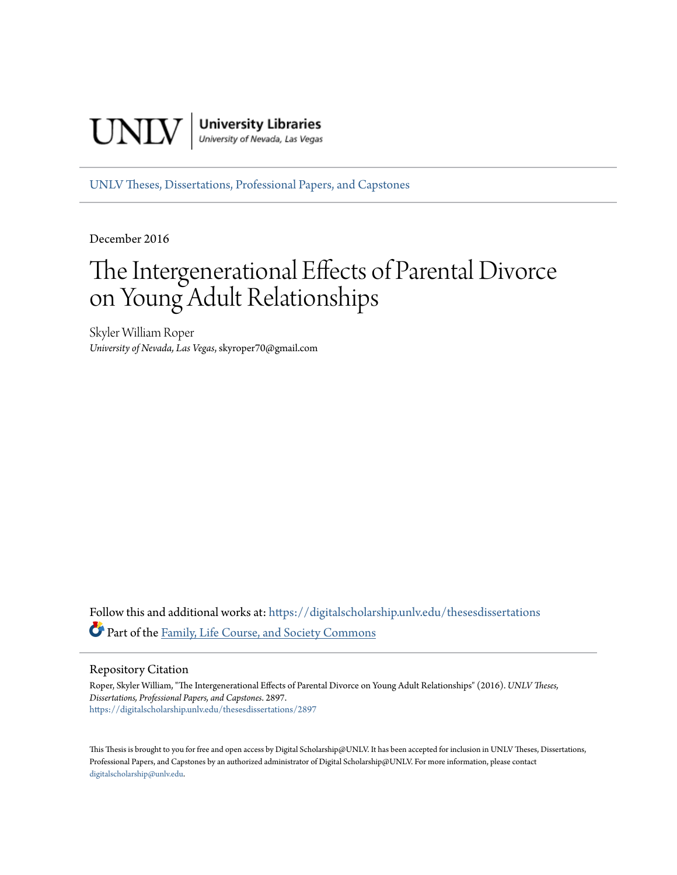

[UNLV Theses, Dissertations, Professional Papers, and Capstones](https://digitalscholarship.unlv.edu/thesesdissertations?utm_source=digitalscholarship.unlv.edu%2Fthesesdissertations%2F2897&utm_medium=PDF&utm_campaign=PDFCoverPages)

December 2016

# The Intergenerational Effects of Parental Divorce on Young Adult Relationships

Skyler William Roper *University of Nevada, Las Vegas*, skyroper70@gmail.com

Follow this and additional works at: [https://digitalscholarship.unlv.edu/thesesdissertations](https://digitalscholarship.unlv.edu/thesesdissertations?utm_source=digitalscholarship.unlv.edu%2Fthesesdissertations%2F2897&utm_medium=PDF&utm_campaign=PDFCoverPages) Part of the [Family, Life Course, and Society Commons](http://network.bepress.com/hgg/discipline/419?utm_source=digitalscholarship.unlv.edu%2Fthesesdissertations%2F2897&utm_medium=PDF&utm_campaign=PDFCoverPages)

Repository Citation

Roper, Skyler William, "The Intergenerational Effects of Parental Divorce on Young Adult Relationships" (2016). *UNLV Theses, Dissertations, Professional Papers, and Capstones*. 2897. [https://digitalscholarship.unlv.edu/thesesdissertations/2897](https://digitalscholarship.unlv.edu/thesesdissertations/2897?utm_source=digitalscholarship.unlv.edu%2Fthesesdissertations%2F2897&utm_medium=PDF&utm_campaign=PDFCoverPages)

This Thesis is brought to you for free and open access by Digital Scholarship@UNLV. It has been accepted for inclusion in UNLV Theses, Dissertations, Professional Papers, and Capstones by an authorized administrator of Digital Scholarship@UNLV. For more information, please contact [digitalscholarship@unlv.edu.](mailto:digitalscholarship@unlv.edu)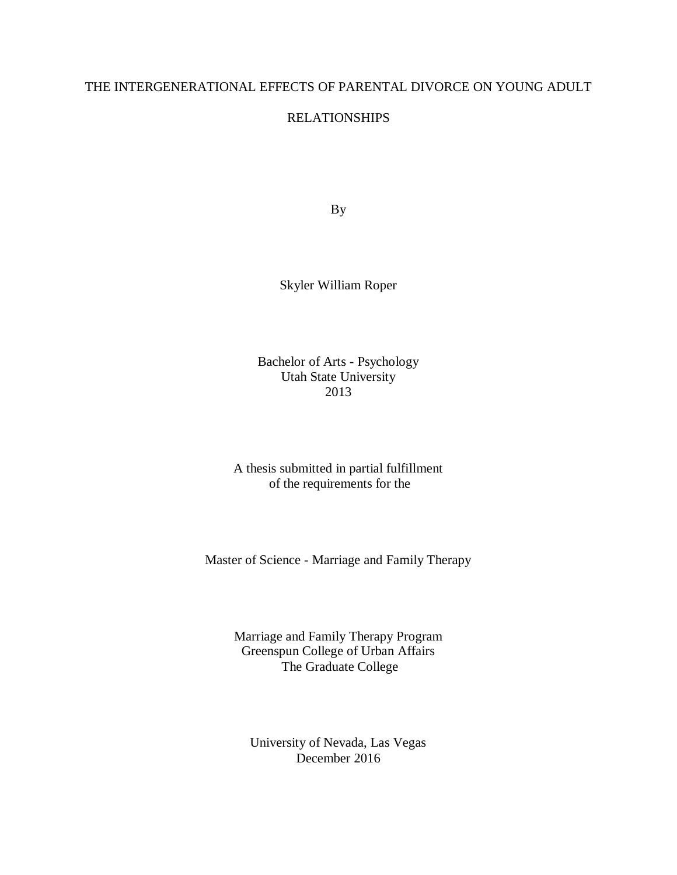#### THE INTERGENERATIONAL EFFECTS OF PARENTAL DIVORCE ON YOUNG ADULT

#### RELATIONSHIPS

By

Skyler William Roper

Bachelor of Arts - Psychology Utah State University 2013

A thesis submitted in partial fulfillment of the requirements for the

Master of Science - Marriage and Family Therapy

Marriage and Family Therapy Program Greenspun College of Urban Affairs The Graduate College

University of Nevada, Las Vegas December 2016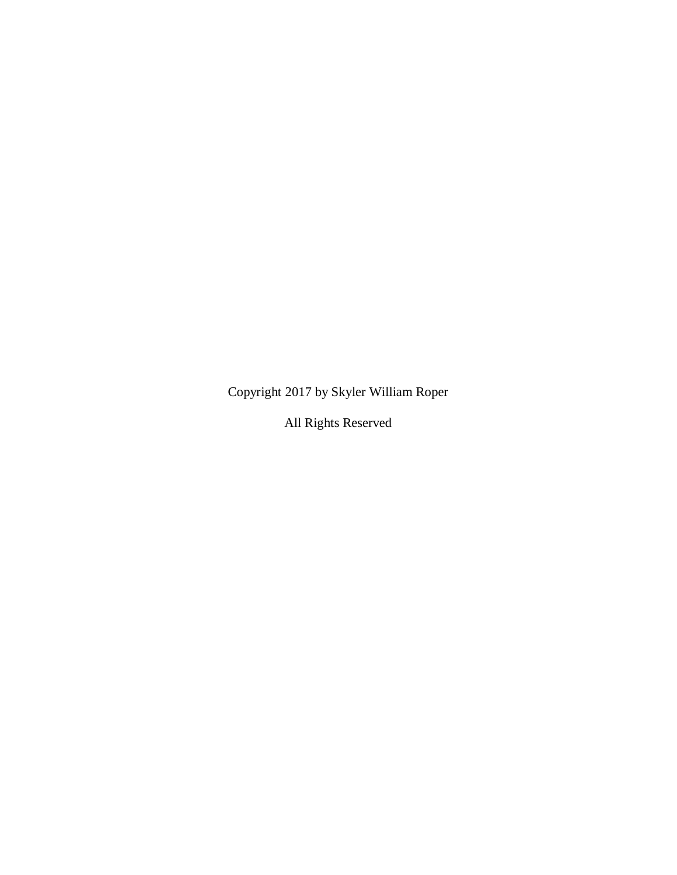Copyright 2017 by Skyler William Roper

All Rights Reserved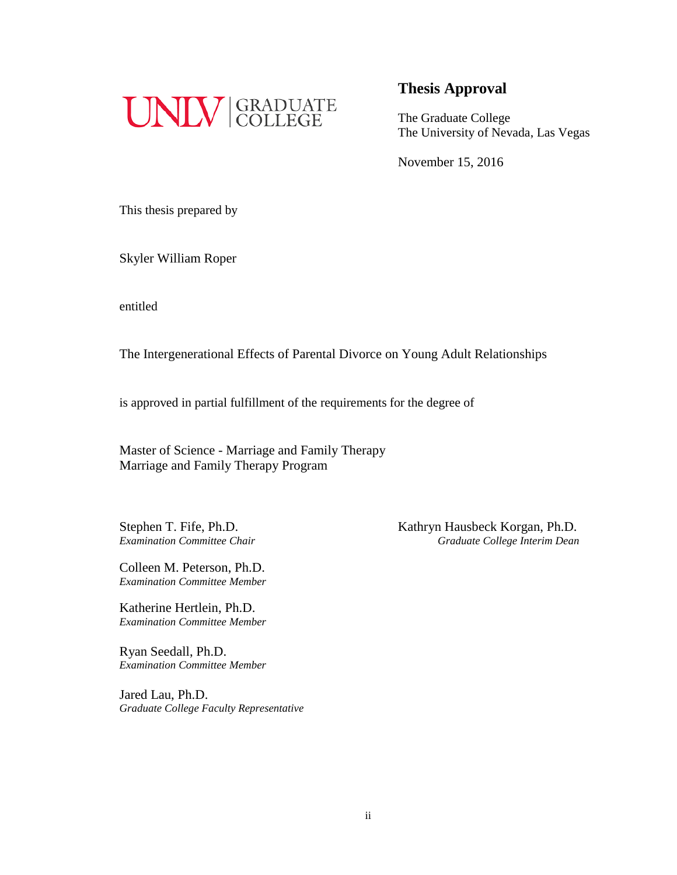

The Graduate College The University of Nevada, Las Vegas

November 15, 2016

This thesis prepared by

Skyler William Roper

entitled

The Intergenerational Effects of Parental Divorce on Young Adult Relationships

is approved in partial fulfillment of the requirements for the degree of

Master of Science - Marriage and Family Therapy Marriage and Family Therapy Program

Colleen M. Peterson, Ph.D. *Examination Committee Member*

Katherine Hertlein, Ph.D. *Examination Committee Member*

Ryan Seedall, Ph.D. *Examination Committee Member*

Jared Lau, Ph.D. *Graduate College Faculty Representative*

Stephen T. Fife, Ph.D.<br>
Examination Committee Chair<br>
Graduate College Interim Dean *Examination Committee Chair Graduate College Interim Dean*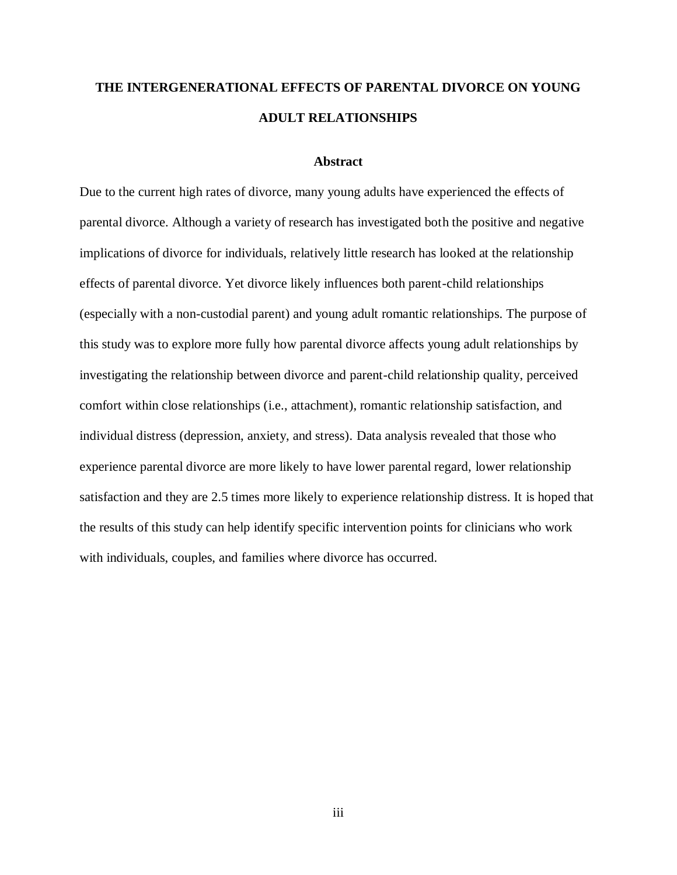## **THE INTERGENERATIONAL EFFECTS OF PARENTAL DIVORCE ON YOUNG ADULT RELATIONSHIPS**

#### **Abstract**

<span id="page-4-0"></span>Due to the current high rates of divorce, many young adults have experienced the effects of parental divorce. Although a variety of research has investigated both the positive and negative implications of divorce for individuals, relatively little research has looked at the relationship effects of parental divorce. Yet divorce likely influences both parent-child relationships (especially with a non-custodial parent) and young adult romantic relationships. The purpose of this study was to explore more fully how parental divorce affects young adult relationships by investigating the relationship between divorce and parent-child relationship quality, perceived comfort within close relationships (i.e., attachment), romantic relationship satisfaction, and individual distress (depression, anxiety, and stress). Data analysis revealed that those who experience parental divorce are more likely to have lower parental regard, lower relationship satisfaction and they are 2.5 times more likely to experience relationship distress. It is hoped that the results of this study can help identify specific intervention points for clinicians who work with individuals, couples, and families where divorce has occurred.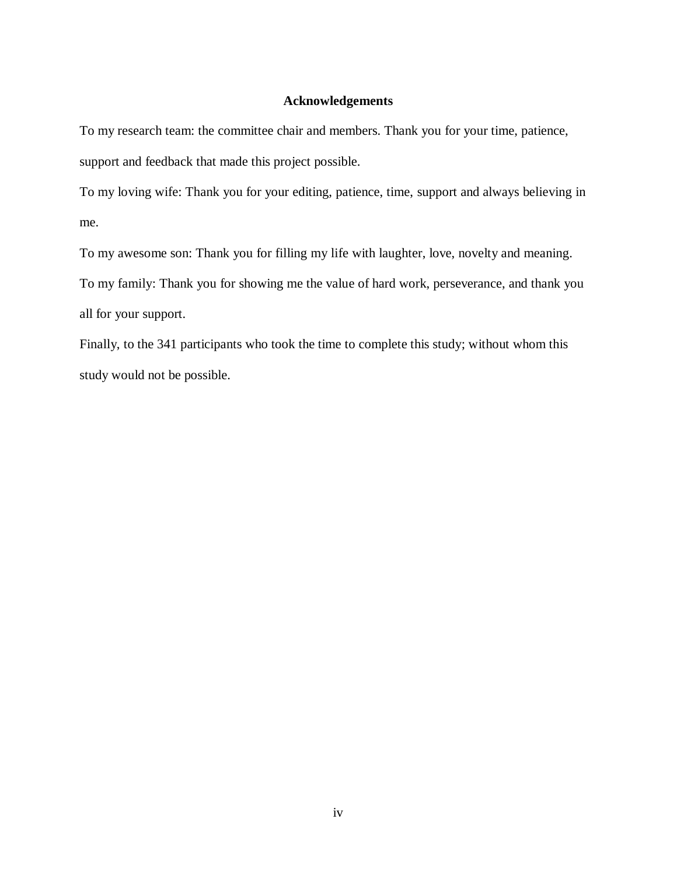#### **Acknowledgements**

<span id="page-5-0"></span>To my research team: the committee chair and members. Thank you for your time, patience, support and feedback that made this project possible.

To my loving wife: Thank you for your editing, patience, time, support and always believing in me.

To my awesome son: Thank you for filling my life with laughter, love, novelty and meaning.

To my family: Thank you for showing me the value of hard work, perseverance, and thank you all for your support.

Finally, to the 341 participants who took the time to complete this study; without whom this study would not be possible.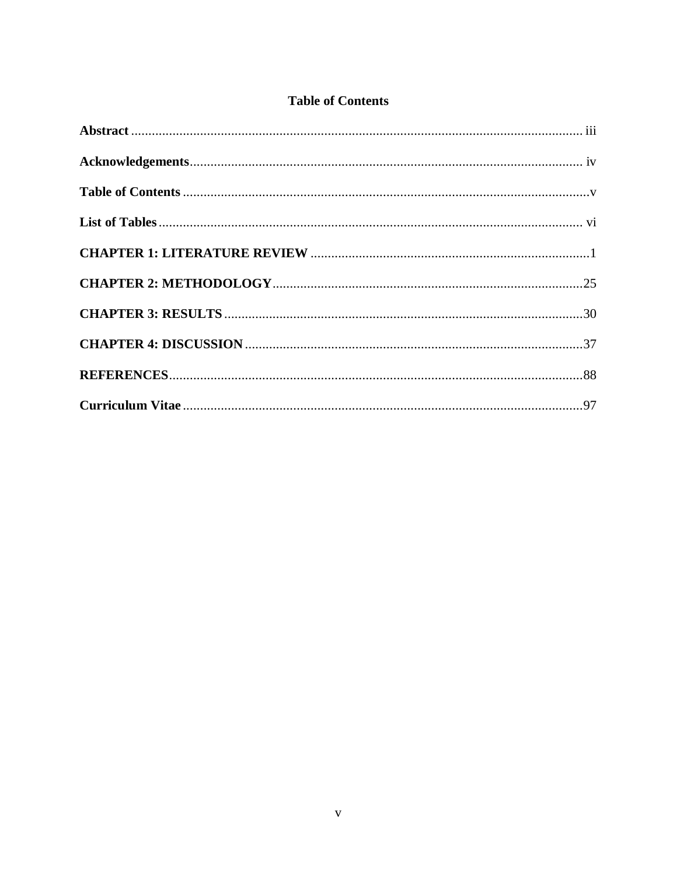#### **Table of Contents**

<span id="page-6-0"></span>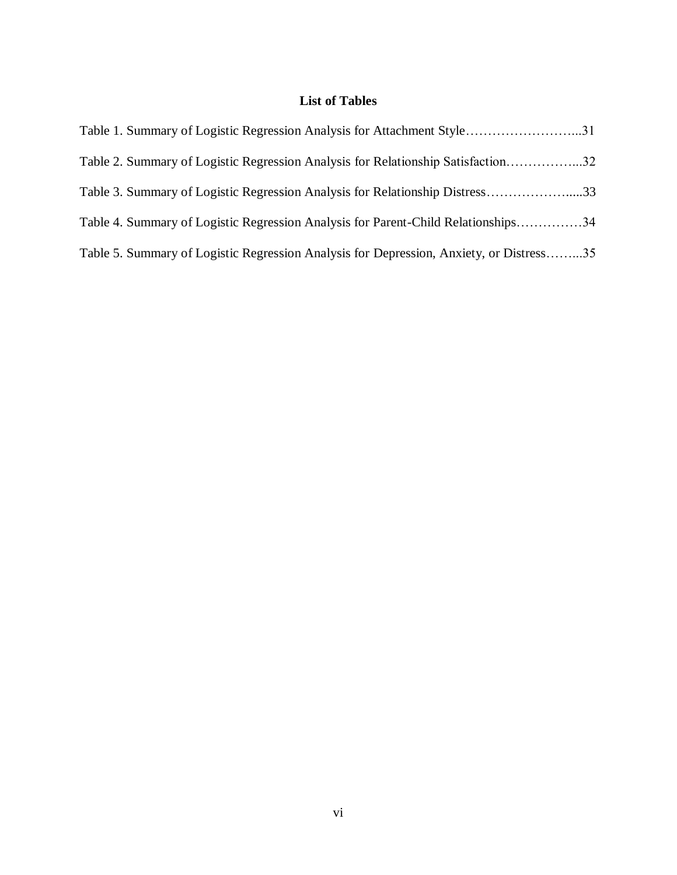### **List of Tables**

<span id="page-7-0"></span>

| Table 1. Summary of Logistic Regression Analysis for Attachment Style31                 |  |
|-----------------------------------------------------------------------------------------|--|
| Table 2. Summary of Logistic Regression Analysis for Relationship Satisfaction32        |  |
| Table 3. Summary of Logistic Regression Analysis for Relationship Distress33            |  |
| Table 4. Summary of Logistic Regression Analysis for Parent-Child Relationships34       |  |
| Table 5. Summary of Logistic Regression Analysis for Depression, Anxiety, or Distress35 |  |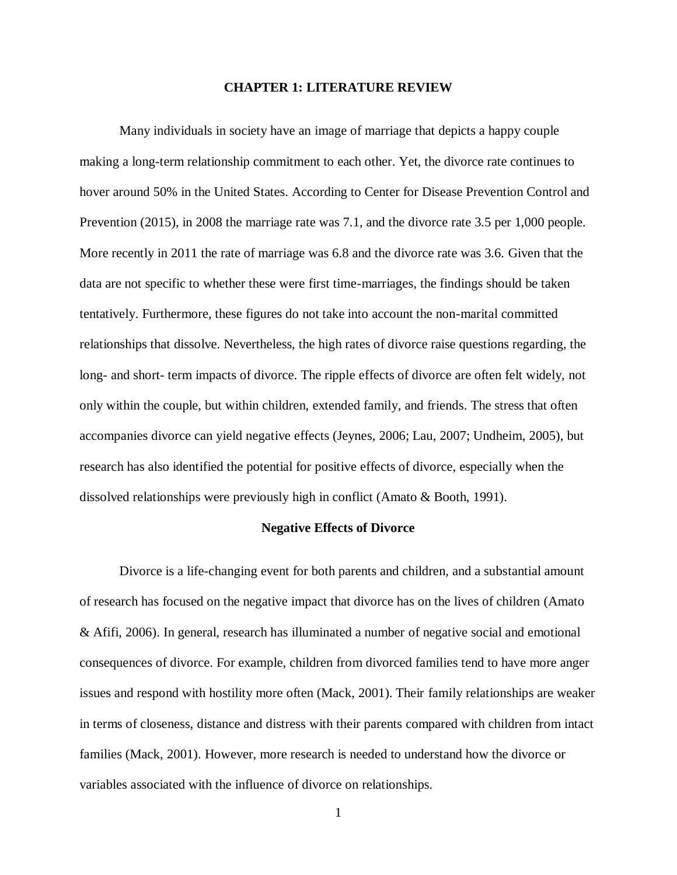#### **CHAPTER 1: LITERATURE REVIEW**

<span id="page-8-0"></span>Many individuals in society have an image of marriage that depicts a happy couple making a long-term relationship commitment to each other. Yet, the divorce rate continues to hover around 50% in the United States. According to Center for Disease Prevention Control and Prevention (2015), in 2008 the marriage rate was 7.1, and the divorce rate 3.5 per 1,000 people. More recently in 2011 the rate of marriage was 6.8 and the divorce rate was 3.6. Given that the data are not specific to whether these were first time-marriages, the findings should be taken tentatively. Furthermore, these figures do not take into account the non-marital committed relationships that dissolve. Nevertheless, the high rates of divorce raise questions regarding, the long- and short- term impacts of divorce. The ripple effects of divorce are often felt widely, not only within the couple, but within children, extended family, and friends. The stress that often accompanies divorce can yield negative effects (Jeynes, 2006; Lau, 2007; Undheim, 2005), but research has also identified the potential for positive effects of divorce, especially when the dissolved relationships were previously high in conflict (Amato & Booth, 1991).

#### **Negative Effects of Divorce**

Divorce is a life-changing event for both parents and children, and a substantial amount of research has focused on the negative impact that divorce has on the lives of children (Amato & Afifi, 2006). In general, research has illuminated a number of negative social and emotional consequences of divorce. For example, children from divorced families tend to have more anger issues and respond with hostility more often (Mack, 2001). Their family relationships are weaker in terms of closeness, distance and distress with their parents compared with children from intact families (Mack, 2001). However, more research is needed to understand how the divorce or variables associated with the influence of divorce on relationships.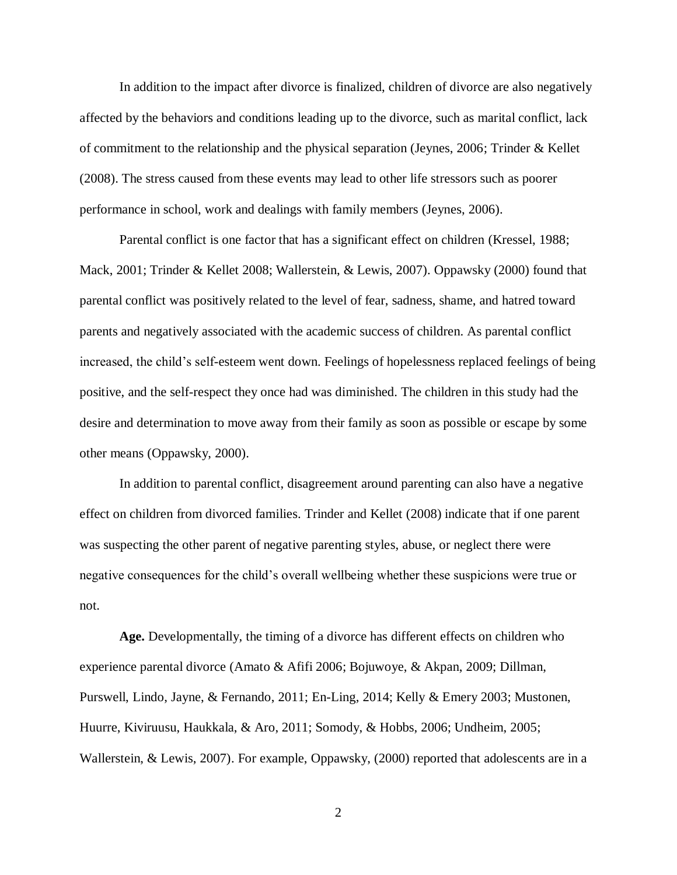In addition to the impact after divorce is finalized, children of divorce are also negatively affected by the behaviors and conditions leading up to the divorce, such as marital conflict, lack of commitment to the relationship and the physical separation (Jeynes, 2006; Trinder & Kellet (2008). The stress caused from these events may lead to other life stressors such as poorer performance in school, work and dealings with family members (Jeynes, 2006).

Parental conflict is one factor that has a significant effect on children (Kressel, 1988; Mack, 2001; Trinder & Kellet 2008; Wallerstein, & Lewis, 2007). Oppawsky (2000) found that parental conflict was positively related to the level of fear, sadness, shame, and hatred toward parents and negatively associated with the academic success of children. As parental conflict increased, the child's self-esteem went down. Feelings of hopelessness replaced feelings of being positive, and the self-respect they once had was diminished. The children in this study had the desire and determination to move away from their family as soon as possible or escape by some other means (Oppawsky, 2000).

In addition to parental conflict, disagreement around parenting can also have a negative effect on children from divorced families. Trinder and Kellet (2008) indicate that if one parent was suspecting the other parent of negative parenting styles, abuse, or neglect there were negative consequences for the child's overall wellbeing whether these suspicions were true or not.

**Age.** Developmentally, the timing of a divorce has different effects on children who experience parental divorce (Amato & Afifi 2006; Bojuwoye, & Akpan, 2009; Dillman, Purswell, Lindo, Jayne, & Fernando, 2011; En-Ling, 2014; Kelly & Emery 2003; Mustonen, Huurre, Kiviruusu, Haukkala, & Aro, 2011; Somody, & Hobbs, 2006; Undheim, 2005; Wallerstein, & Lewis, 2007). For example, Oppawsky, (2000) reported that adolescents are in a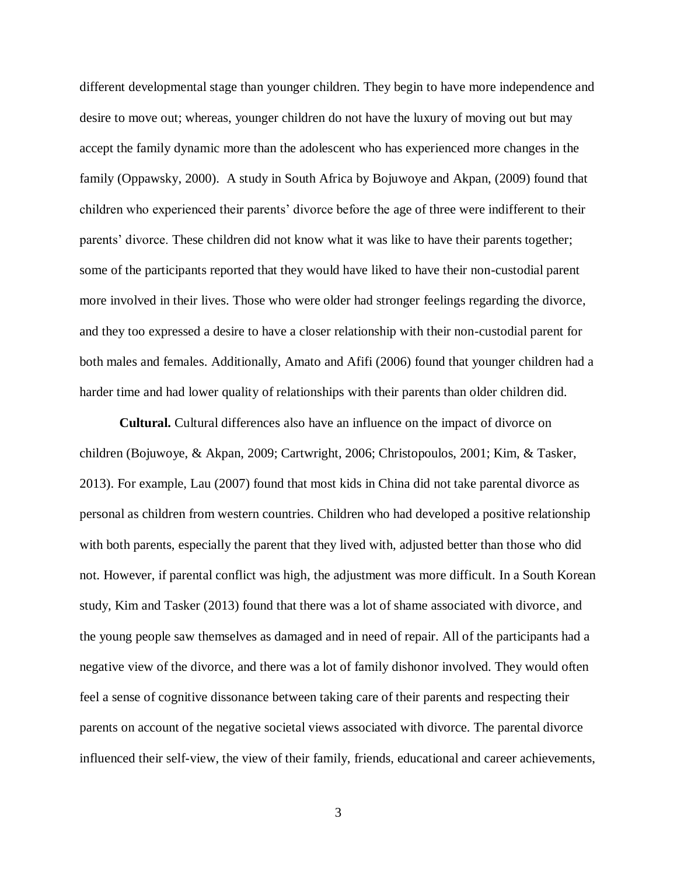different developmental stage than younger children. They begin to have more independence and desire to move out; whereas, younger children do not have the luxury of moving out but may accept the family dynamic more than the adolescent who has experienced more changes in the family (Oppawsky, 2000). A study in South Africa by Bojuwoye and Akpan, (2009) found that children who experienced their parents' divorce before the age of three were indifferent to their parents' divorce. These children did not know what it was like to have their parents together; some of the participants reported that they would have liked to have their non-custodial parent more involved in their lives. Those who were older had stronger feelings regarding the divorce, and they too expressed a desire to have a closer relationship with their non-custodial parent for both males and females. Additionally, Amato and Afifi (2006) found that younger children had a harder time and had lower quality of relationships with their parents than older children did.

**Cultural.** Cultural differences also have an influence on the impact of divorce on children (Bojuwoye, & Akpan, 2009; Cartwright, 2006; Christopoulos, 2001; Kim, & Tasker, 2013). For example, Lau (2007) found that most kids in China did not take parental divorce as personal as children from western countries. Children who had developed a positive relationship with both parents, especially the parent that they lived with, adjusted better than those who did not. However, if parental conflict was high, the adjustment was more difficult. In a South Korean study, Kim and Tasker (2013) found that there was a lot of shame associated with divorce, and the young people saw themselves as damaged and in need of repair. All of the participants had a negative view of the divorce, and there was a lot of family dishonor involved. They would often feel a sense of cognitive dissonance between taking care of their parents and respecting their parents on account of the negative societal views associated with divorce. The parental divorce influenced their self-view, the view of their family, friends, educational and career achievements,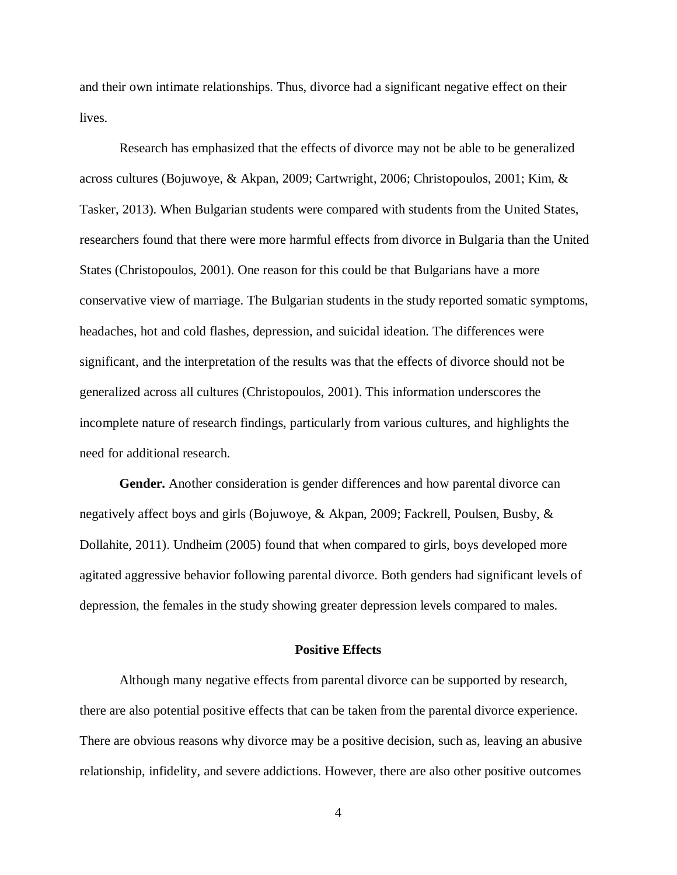and their own intimate relationships. Thus, divorce had a significant negative effect on their lives.

Research has emphasized that the effects of divorce may not be able to be generalized across cultures (Bojuwoye, & Akpan, 2009; Cartwright, 2006; Christopoulos, 2001; Kim, & Tasker, 2013). When Bulgarian students were compared with students from the United States, researchers found that there were more harmful effects from divorce in Bulgaria than the United States (Christopoulos, 2001). One reason for this could be that Bulgarians have a more conservative view of marriage. The Bulgarian students in the study reported somatic symptoms, headaches, hot and cold flashes, depression, and suicidal ideation. The differences were significant, and the interpretation of the results was that the effects of divorce should not be generalized across all cultures (Christopoulos, 2001). This information underscores the incomplete nature of research findings, particularly from various cultures, and highlights the need for additional research.

**Gender.** Another consideration is gender differences and how parental divorce can negatively affect boys and girls (Bojuwoye, & Akpan, 2009; Fackrell, Poulsen, Busby, & Dollahite, 2011). Undheim (2005) found that when compared to girls, boys developed more agitated aggressive behavior following parental divorce. Both genders had significant levels of depression, the females in the study showing greater depression levels compared to males.

#### **Positive Effects**

Although many negative effects from parental divorce can be supported by research, there are also potential positive effects that can be taken from the parental divorce experience. There are obvious reasons why divorce may be a positive decision, such as, leaving an abusive relationship, infidelity, and severe addictions. However, there are also other positive outcomes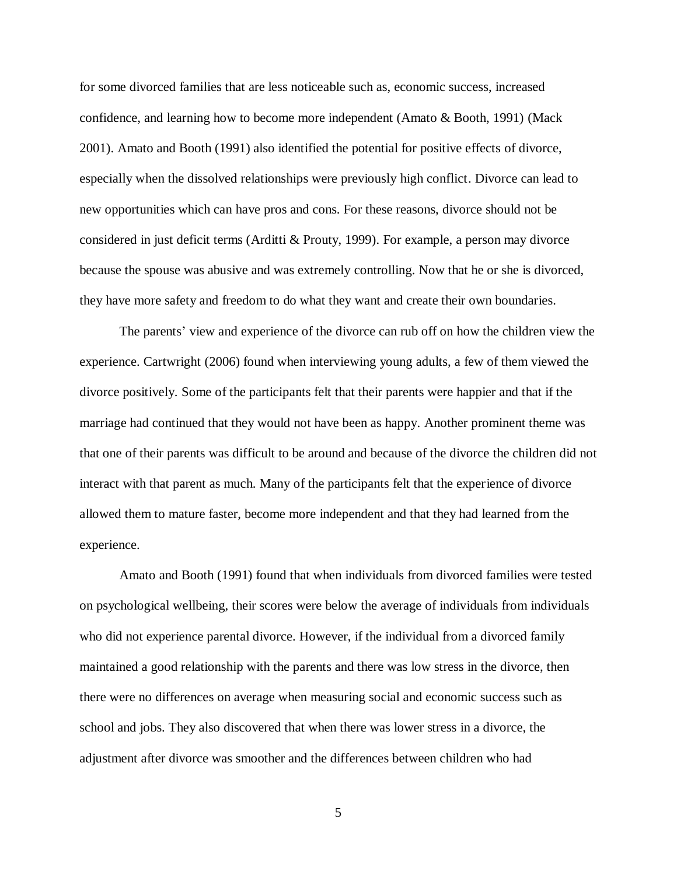for some divorced families that are less noticeable such as, economic success, increased confidence, and learning how to become more independent (Amato & Booth, 1991) (Mack 2001). Amato and Booth (1991) also identified the potential for positive effects of divorce, especially when the dissolved relationships were previously high conflict. Divorce can lead to new opportunities which can have pros and cons. For these reasons, divorce should not be considered in just deficit terms (Arditti & Prouty, 1999). For example, a person may divorce because the spouse was abusive and was extremely controlling. Now that he or she is divorced, they have more safety and freedom to do what they want and create their own boundaries.

The parents' view and experience of the divorce can rub off on how the children view the experience. Cartwright (2006) found when interviewing young adults, a few of them viewed the divorce positively. Some of the participants felt that their parents were happier and that if the marriage had continued that they would not have been as happy. Another prominent theme was that one of their parents was difficult to be around and because of the divorce the children did not interact with that parent as much. Many of the participants felt that the experience of divorce allowed them to mature faster, become more independent and that they had learned from the experience.

Amato and Booth (1991) found that when individuals from divorced families were tested on psychological wellbeing, their scores were below the average of individuals from individuals who did not experience parental divorce. However, if the individual from a divorced family maintained a good relationship with the parents and there was low stress in the divorce, then there were no differences on average when measuring social and economic success such as school and jobs. They also discovered that when there was lower stress in a divorce, the adjustment after divorce was smoother and the differences between children who had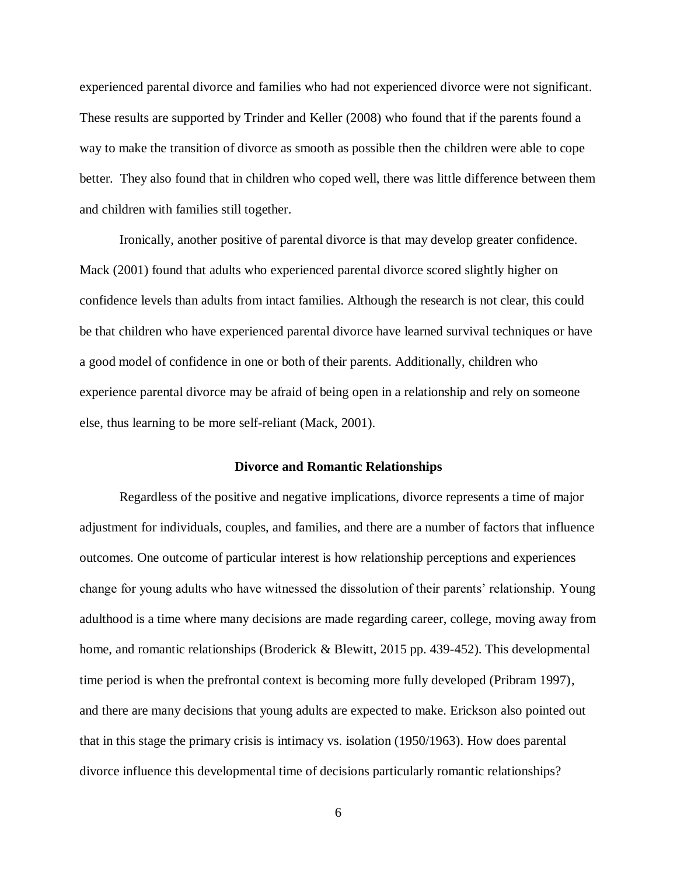experienced parental divorce and families who had not experienced divorce were not significant. These results are supported by Trinder and Keller (2008) who found that if the parents found a way to make the transition of divorce as smooth as possible then the children were able to cope better. They also found that in children who coped well, there was little difference between them and children with families still together.

Ironically, another positive of parental divorce is that may develop greater confidence. Mack (2001) found that adults who experienced parental divorce scored slightly higher on confidence levels than adults from intact families. Although the research is not clear, this could be that children who have experienced parental divorce have learned survival techniques or have a good model of confidence in one or both of their parents. Additionally, children who experience parental divorce may be afraid of being open in a relationship and rely on someone else, thus learning to be more self-reliant (Mack, 2001).

#### **Divorce and Romantic Relationships**

Regardless of the positive and negative implications, divorce represents a time of major adjustment for individuals, couples, and families, and there are a number of factors that influence outcomes. One outcome of particular interest is how relationship perceptions and experiences change for young adults who have witnessed the dissolution of their parents' relationship. Young adulthood is a time where many decisions are made regarding career, college, moving away from home, and romantic relationships (Broderick & Blewitt, 2015 pp. 439-452). This developmental time period is when the prefrontal context is becoming more fully developed (Pribram 1997), and there are many decisions that young adults are expected to make. Erickson also pointed out that in this stage the primary crisis is intimacy vs. isolation (1950/1963). How does parental divorce influence this developmental time of decisions particularly romantic relationships?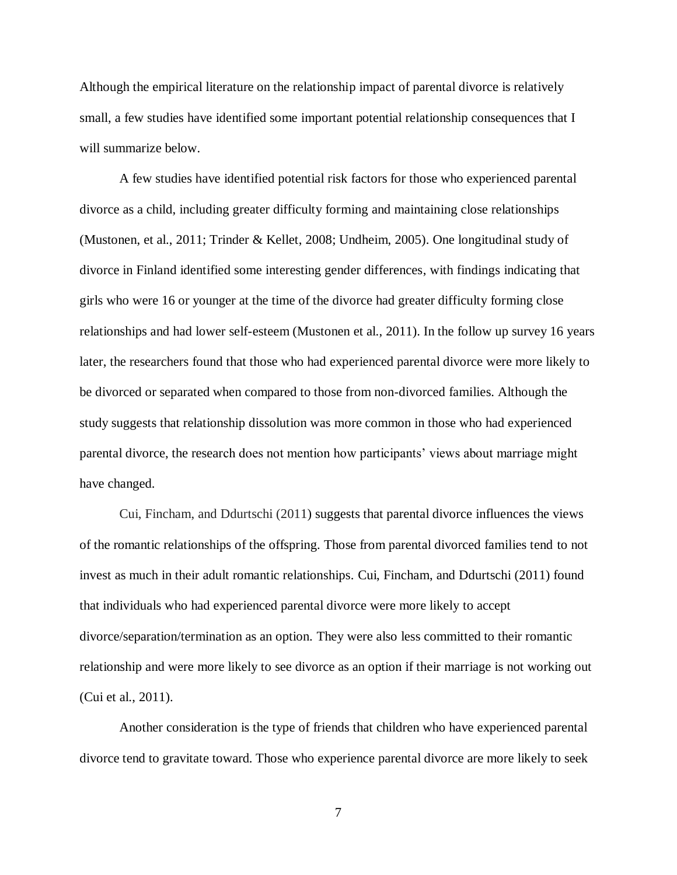Although the empirical literature on the relationship impact of parental divorce is relatively small, a few studies have identified some important potential relationship consequences that I will summarize below.

A few studies have identified potential risk factors for those who experienced parental divorce as a child, including greater difficulty forming and maintaining close relationships (Mustonen, et al., 2011; Trinder & Kellet, 2008; Undheim, 2005). One longitudinal study of divorce in Finland identified some interesting gender differences, with findings indicating that girls who were 16 or younger at the time of the divorce had greater difficulty forming close relationships and had lower self-esteem (Mustonen et al., 2011). In the follow up survey 16 years later, the researchers found that those who had experienced parental divorce were more likely to be divorced or separated when compared to those from non-divorced families. Although the study suggests that relationship dissolution was more common in those who had experienced parental divorce, the research does not mention how participants' views about marriage might have changed.

Cui, Fincham, and Ddurtschi (2011) suggests that parental divorce influences the views of the romantic relationships of the offspring. Those from parental divorced families tend to not invest as much in their adult romantic relationships. Cui, Fincham, and Ddurtschi (2011) found that individuals who had experienced parental divorce were more likely to accept divorce/separation/termination as an option. They were also less committed to their romantic relationship and were more likely to see divorce as an option if their marriage is not working out (Cui et al., 2011).

Another consideration is the type of friends that children who have experienced parental divorce tend to gravitate toward. Those who experience parental divorce are more likely to seek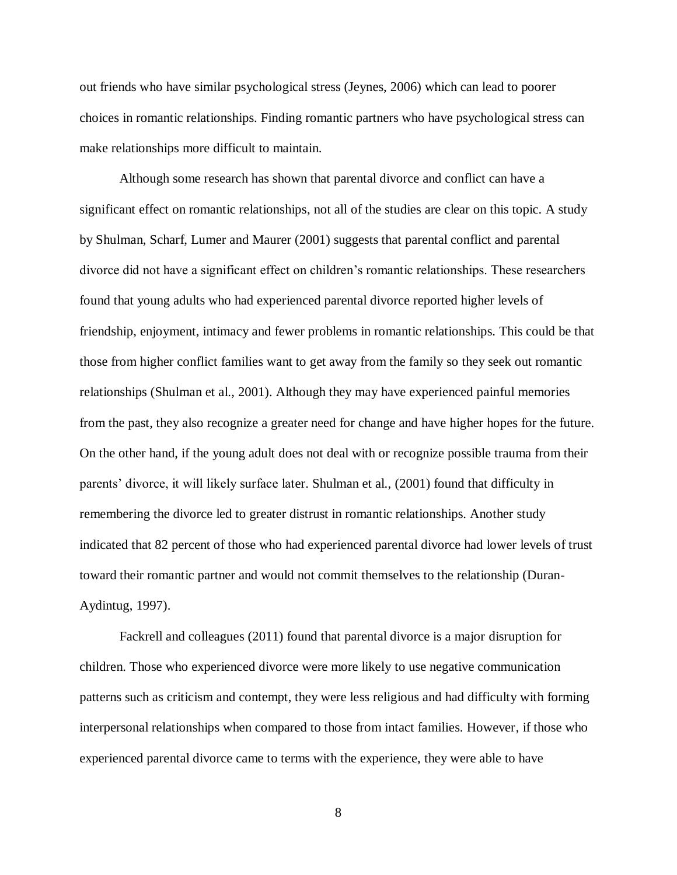out friends who have similar psychological stress (Jeynes, 2006) which can lead to poorer choices in romantic relationships. Finding romantic partners who have psychological stress can make relationships more difficult to maintain.

Although some research has shown that parental divorce and conflict can have a significant effect on romantic relationships, not all of the studies are clear on this topic. A study by Shulman, Scharf, Lumer and Maurer (2001) suggests that parental conflict and parental divorce did not have a significant effect on children's romantic relationships. These researchers found that young adults who had experienced parental divorce reported higher levels of friendship, enjoyment, intimacy and fewer problems in romantic relationships. This could be that those from higher conflict families want to get away from the family so they seek out romantic relationships (Shulman et al., 2001). Although they may have experienced painful memories from the past, they also recognize a greater need for change and have higher hopes for the future. On the other hand, if the young adult does not deal with or recognize possible trauma from their parents' divorce, it will likely surface later. Shulman et al., (2001) found that difficulty in remembering the divorce led to greater distrust in romantic relationships. Another study indicated that 82 percent of those who had experienced parental divorce had lower levels of trust toward their romantic partner and would not commit themselves to the relationship (Duran-Aydintug, 1997).

Fackrell and colleagues (2011) found that parental divorce is a major disruption for children. Those who experienced divorce were more likely to use negative communication patterns such as criticism and contempt, they were less religious and had difficulty with forming interpersonal relationships when compared to those from intact families. However, if those who experienced parental divorce came to terms with the experience, they were able to have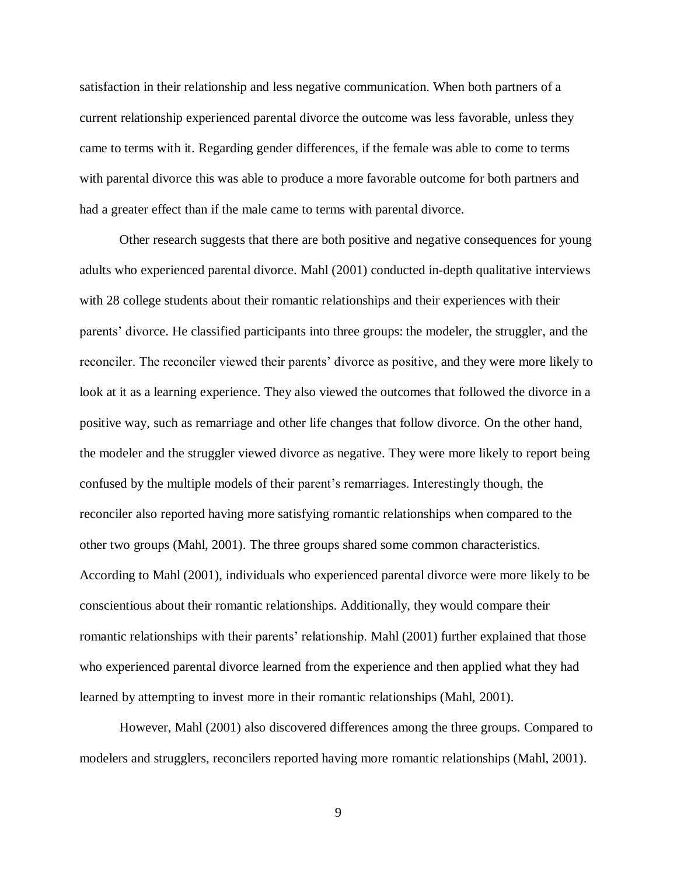satisfaction in their relationship and less negative communication. When both partners of a current relationship experienced parental divorce the outcome was less favorable, unless they came to terms with it. Regarding gender differences, if the female was able to come to terms with parental divorce this was able to produce a more favorable outcome for both partners and had a greater effect than if the male came to terms with parental divorce.

Other research suggests that there are both positive and negative consequences for young adults who experienced parental divorce. Mahl (2001) conducted in-depth qualitative interviews with 28 college students about their romantic relationships and their experiences with their parents' divorce. He classified participants into three groups: the modeler, the struggler, and the reconciler. The reconciler viewed their parents' divorce as positive, and they were more likely to look at it as a learning experience. They also viewed the outcomes that followed the divorce in a positive way, such as remarriage and other life changes that follow divorce. On the other hand, the modeler and the struggler viewed divorce as negative. They were more likely to report being confused by the multiple models of their parent's remarriages. Interestingly though, the reconciler also reported having more satisfying romantic relationships when compared to the other two groups (Mahl, 2001). The three groups shared some common characteristics. According to Mahl (2001), individuals who experienced parental divorce were more likely to be conscientious about their romantic relationships. Additionally, they would compare their romantic relationships with their parents' relationship. Mahl (2001) further explained that those who experienced parental divorce learned from the experience and then applied what they had learned by attempting to invest more in their romantic relationships (Mahl, 2001).

However, Mahl (2001) also discovered differences among the three groups. Compared to modelers and strugglers, reconcilers reported having more romantic relationships (Mahl, 2001).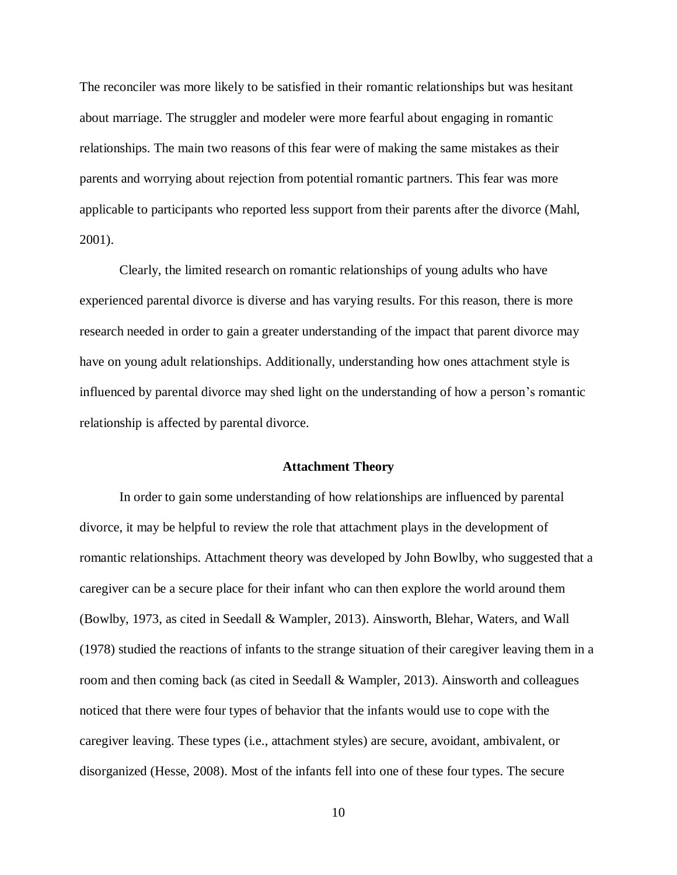The reconciler was more likely to be satisfied in their romantic relationships but was hesitant about marriage. The struggler and modeler were more fearful about engaging in romantic relationships. The main two reasons of this fear were of making the same mistakes as their parents and worrying about rejection from potential romantic partners. This fear was more applicable to participants who reported less support from their parents after the divorce (Mahl, 2001).

Clearly, the limited research on romantic relationships of young adults who have experienced parental divorce is diverse and has varying results. For this reason, there is more research needed in order to gain a greater understanding of the impact that parent divorce may have on young adult relationships. Additionally, understanding how ones attachment style is influenced by parental divorce may shed light on the understanding of how a person's romantic relationship is affected by parental divorce.

#### **Attachment Theory**

In order to gain some understanding of how relationships are influenced by parental divorce, it may be helpful to review the role that attachment plays in the development of romantic relationships. Attachment theory was developed by John Bowlby, who suggested that a caregiver can be a secure place for their infant who can then explore the world around them (Bowlby, 1973, as cited in Seedall & Wampler, 2013). Ainsworth, Blehar, Waters, and Wall (1978) studied the reactions of infants to the strange situation of their caregiver leaving them in a room and then coming back (as cited in Seedall & Wampler, 2013). Ainsworth and colleagues noticed that there were four types of behavior that the infants would use to cope with the caregiver leaving. These types (i.e., attachment styles) are secure, avoidant, ambivalent, or disorganized (Hesse, 2008). Most of the infants fell into one of these four types. The secure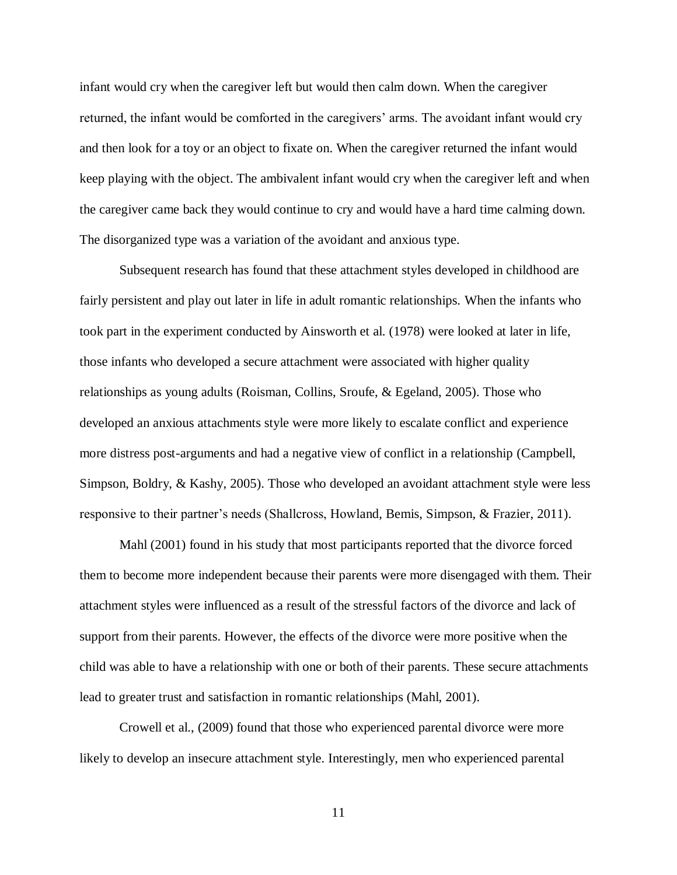infant would cry when the caregiver left but would then calm down. When the caregiver returned, the infant would be comforted in the caregivers' arms. The avoidant infant would cry and then look for a toy or an object to fixate on. When the caregiver returned the infant would keep playing with the object. The ambivalent infant would cry when the caregiver left and when the caregiver came back they would continue to cry and would have a hard time calming down. The disorganized type was a variation of the avoidant and anxious type.

Subsequent research has found that these attachment styles developed in childhood are fairly persistent and play out later in life in adult romantic relationships. When the infants who took part in the experiment conducted by Ainsworth et al. (1978) were looked at later in life, those infants who developed a secure attachment were associated with higher quality relationships as young adults (Roisman, Collins, Sroufe, & Egeland, 2005). Those who developed an anxious attachments style were more likely to escalate conflict and experience more distress post-arguments and had a negative view of conflict in a relationship (Campbell, Simpson, Boldry, & Kashy, 2005). Those who developed an avoidant attachment style were less responsive to their partner's needs (Shallcross, Howland, Bemis, Simpson, & Frazier, 2011).

Mahl (2001) found in his study that most participants reported that the divorce forced them to become more independent because their parents were more disengaged with them. Their attachment styles were influenced as a result of the stressful factors of the divorce and lack of support from their parents. However, the effects of the divorce were more positive when the child was able to have a relationship with one or both of their parents. These secure attachments lead to greater trust and satisfaction in romantic relationships (Mahl, 2001).

Crowell et al., (2009) found that those who experienced parental divorce were more likely to develop an insecure attachment style. Interestingly, men who experienced parental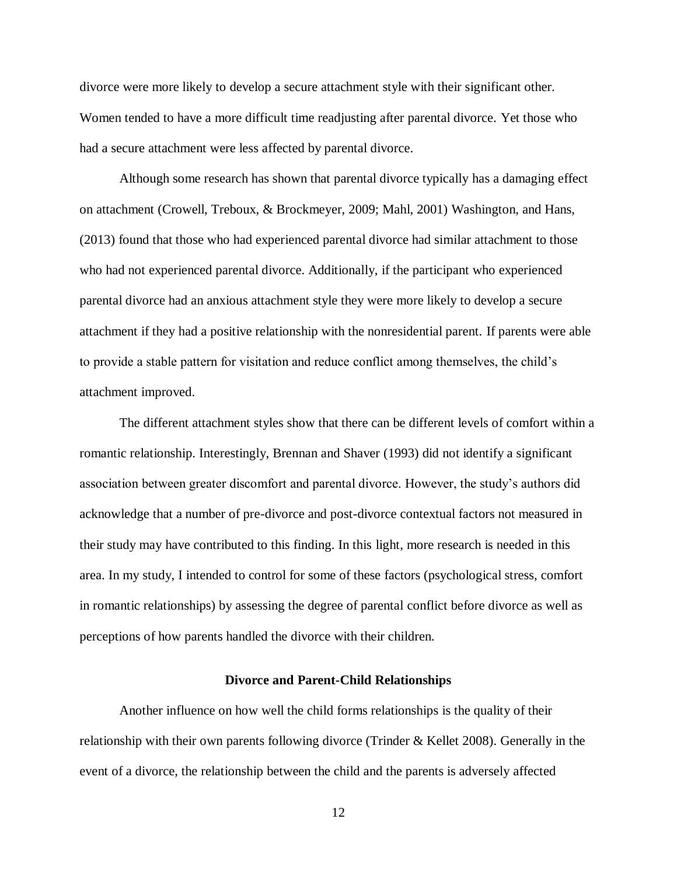divorce were more likely to develop a secure attachment style with their significant other. Women tended to have a more difficult time readjusting after parental divorce. Yet those who had a secure attachment were less affected by parental divorce.

Although some research has shown that parental divorce typically has a damaging effect on attachment (Crowell, Treboux, & Brockmeyer, 2009; Mahl, 2001) Washington, and Hans, (2013) found that those who had experienced parental divorce had similar attachment to those who had not experienced parental divorce. Additionally, if the participant who experienced parental divorce had an anxious attachment style they were more likely to develop a secure attachment if they had a positive relationship with the nonresidential parent. If parents were able to provide a stable pattern for visitation and reduce conflict among themselves, the child's attachment improved.

The different attachment styles show that there can be different levels of comfort within a romantic relationship. Interestingly, Brennan and Shaver (1993) did not identify a significant association between greater discomfort and parental divorce. However, the study's authors did acknowledge that a number of pre-divorce and post-divorce contextual factors not measured in their study may have contributed to this finding. In this light, more research is needed in this area. In my study, I intended to control for some of these factors (psychological stress, comfort in romantic relationships) by assessing the degree of parental conflict before divorce as well as perceptions of how parents handled the divorce with their children.

#### **Divorce and Parent-Child Relationships**

Another influence on how well the child forms relationships is the quality of their relationship with their own parents following divorce (Trinder & Kellet 2008). Generally in the event of a divorce, the relationship between the child and the parents is adversely affected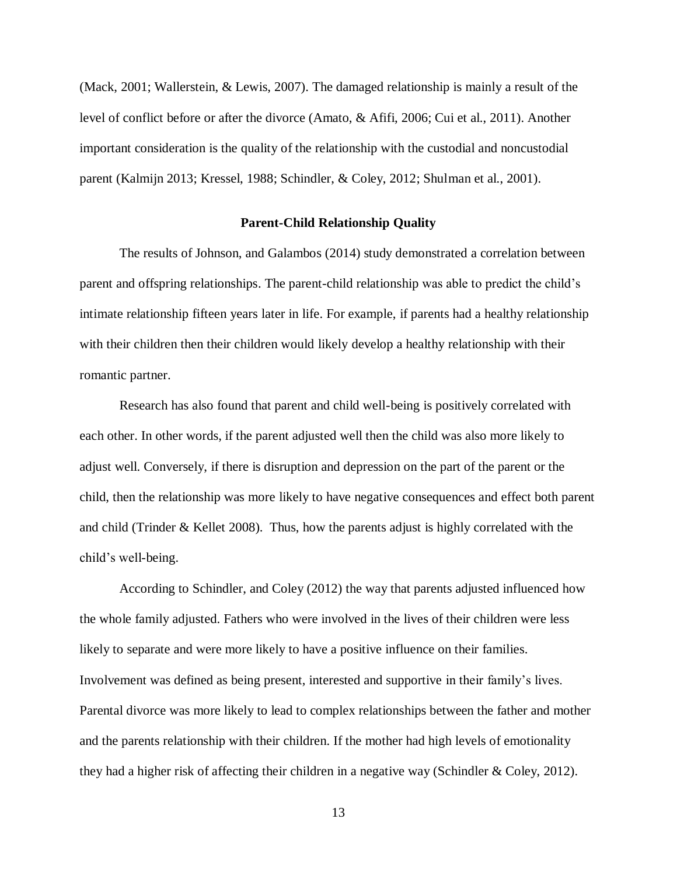(Mack, 2001; Wallerstein, & Lewis, 2007). The damaged relationship is mainly a result of the level of conflict before or after the divorce (Amato, & Afifi, 2006; Cui et al., 2011). Another important consideration is the quality of the relationship with the custodial and noncustodial parent (Kalmijn 2013; Kressel, 1988; Schindler, & Coley, 2012; Shulman et al., 2001).

#### **Parent-Child Relationship Quality**

The results of Johnson, and Galambos (2014) study demonstrated a correlation between parent and offspring relationships. The parent-child relationship was able to predict the child's intimate relationship fifteen years later in life. For example, if parents had a healthy relationship with their children then their children would likely develop a healthy relationship with their romantic partner.

Research has also found that parent and child well-being is positively correlated with each other. In other words, if the parent adjusted well then the child was also more likely to adjust well. Conversely, if there is disruption and depression on the part of the parent or the child, then the relationship was more likely to have negative consequences and effect both parent and child (Trinder & Kellet 2008). Thus, how the parents adjust is highly correlated with the child's well-being.

According to Schindler, and Coley (2012) the way that parents adjusted influenced how the whole family adjusted. Fathers who were involved in the lives of their children were less likely to separate and were more likely to have a positive influence on their families. Involvement was defined as being present, interested and supportive in their family's lives. Parental divorce was more likely to lead to complex relationships between the father and mother and the parents relationship with their children. If the mother had high levels of emotionality they had a higher risk of affecting their children in a negative way (Schindler & Coley, 2012).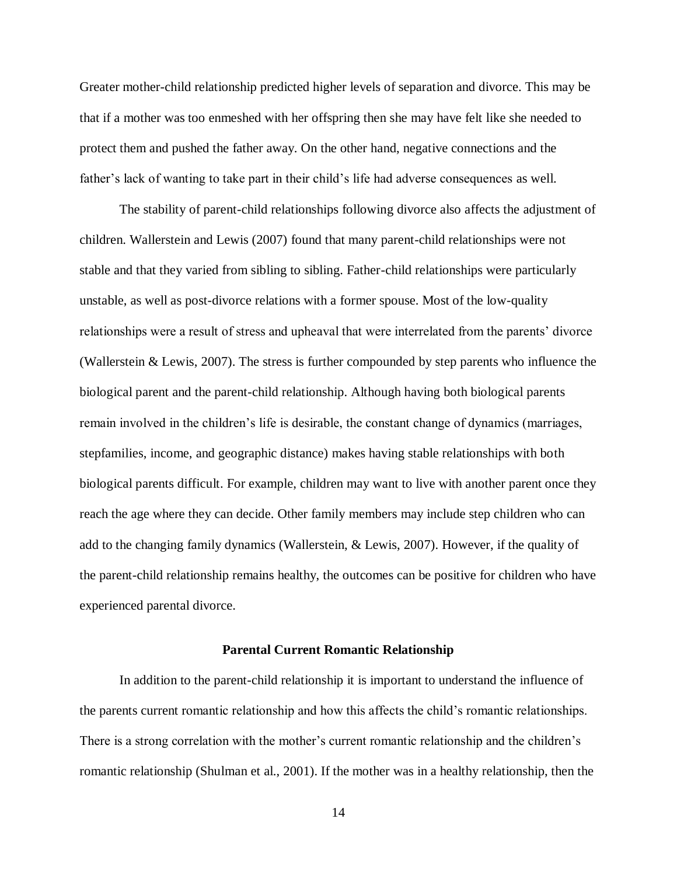Greater mother-child relationship predicted higher levels of separation and divorce. This may be that if a mother was too enmeshed with her offspring then she may have felt like she needed to protect them and pushed the father away. On the other hand, negative connections and the father's lack of wanting to take part in their child's life had adverse consequences as well.

The stability of parent-child relationships following divorce also affects the adjustment of children. Wallerstein and Lewis (2007) found that many parent-child relationships were not stable and that they varied from sibling to sibling. Father-child relationships were particularly unstable, as well as post-divorce relations with a former spouse. Most of the low-quality relationships were a result of stress and upheaval that were interrelated from the parents' divorce (Wallerstein & Lewis, 2007). The stress is further compounded by step parents who influence the biological parent and the parent-child relationship. Although having both biological parents remain involved in the children's life is desirable, the constant change of dynamics (marriages, stepfamilies, income, and geographic distance) makes having stable relationships with both biological parents difficult. For example, children may want to live with another parent once they reach the age where they can decide. Other family members may include step children who can add to the changing family dynamics (Wallerstein, & Lewis, 2007). However, if the quality of the parent-child relationship remains healthy, the outcomes can be positive for children who have experienced parental divorce.

#### **Parental Current Romantic Relationship**

In addition to the parent-child relationship it is important to understand the influence of the parents current romantic relationship and how this affects the child's romantic relationships. There is a strong correlation with the mother's current romantic relationship and the children's romantic relationship (Shulman et al., 2001). If the mother was in a healthy relationship, then the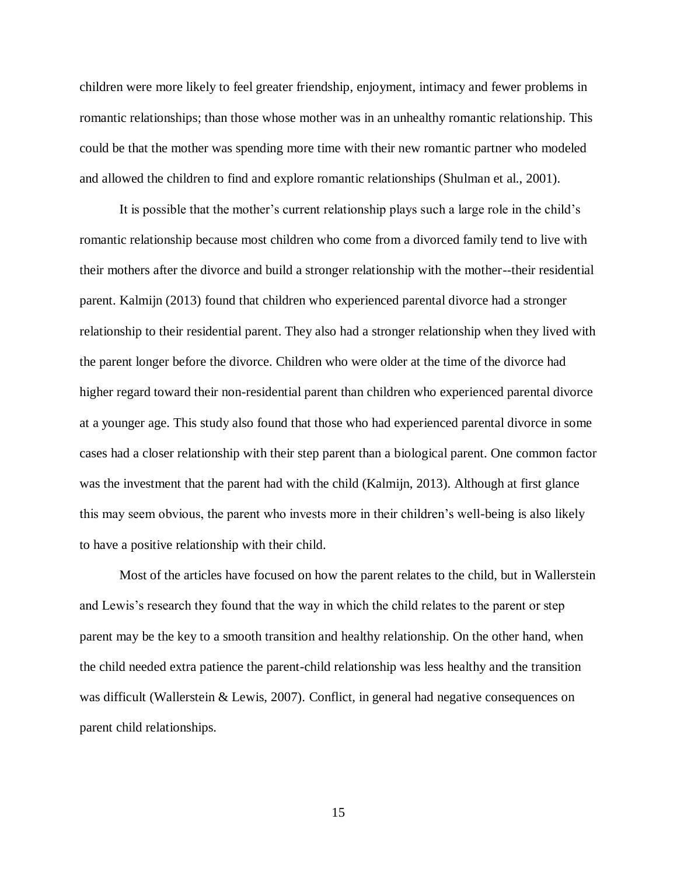children were more likely to feel greater friendship, enjoyment, intimacy and fewer problems in romantic relationships; than those whose mother was in an unhealthy romantic relationship. This could be that the mother was spending more time with their new romantic partner who modeled and allowed the children to find and explore romantic relationships (Shulman et al., 2001).

It is possible that the mother's current relationship plays such a large role in the child's romantic relationship because most children who come from a divorced family tend to live with their mothers after the divorce and build a stronger relationship with the mother--their residential parent. Kalmijn (2013) found that children who experienced parental divorce had a stronger relationship to their residential parent. They also had a stronger relationship when they lived with the parent longer before the divorce. Children who were older at the time of the divorce had higher regard toward their non-residential parent than children who experienced parental divorce at a younger age. This study also found that those who had experienced parental divorce in some cases had a closer relationship with their step parent than a biological parent. One common factor was the investment that the parent had with the child (Kalmijn, 2013). Although at first glance this may seem obvious, the parent who invests more in their children's well-being is also likely to have a positive relationship with their child.

Most of the articles have focused on how the parent relates to the child, but in Wallerstein and Lewis's research they found that the way in which the child relates to the parent or step parent may be the key to a smooth transition and healthy relationship. On the other hand, when the child needed extra patience the parent-child relationship was less healthy and the transition was difficult (Wallerstein & Lewis, 2007). Conflict, in general had negative consequences on parent child relationships.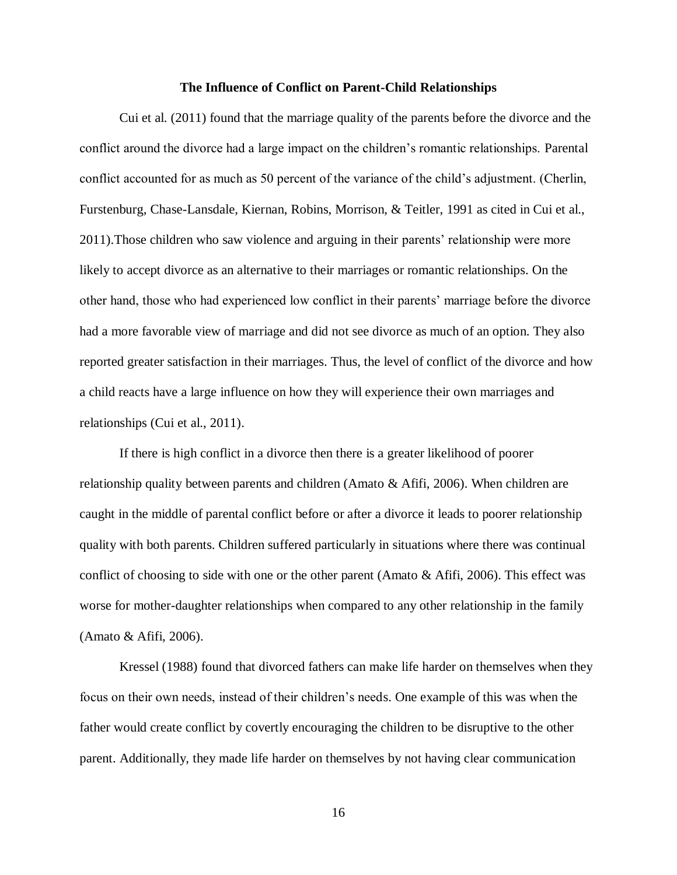#### **The Influence of Conflict on Parent-Child Relationships**

Cui et al. (2011) found that the marriage quality of the parents before the divorce and the conflict around the divorce had a large impact on the children's romantic relationships. Parental conflict accounted for as much as 50 percent of the variance of the child's adjustment. (Cherlin, Furstenburg, Chase-Lansdale, Kiernan, Robins, Morrison, & Teitler, 1991 as cited in Cui et al., 2011).Those children who saw violence and arguing in their parents' relationship were more likely to accept divorce as an alternative to their marriages or romantic relationships. On the other hand, those who had experienced low conflict in their parents' marriage before the divorce had a more favorable view of marriage and did not see divorce as much of an option. They also reported greater satisfaction in their marriages. Thus, the level of conflict of the divorce and how a child reacts have a large influence on how they will experience their own marriages and relationships (Cui et al., 2011).

If there is high conflict in a divorce then there is a greater likelihood of poorer relationship quality between parents and children (Amato & Afifi, 2006). When children are caught in the middle of parental conflict before or after a divorce it leads to poorer relationship quality with both parents. Children suffered particularly in situations where there was continual conflict of choosing to side with one or the other parent (Amato & Afifi, 2006). This effect was worse for mother-daughter relationships when compared to any other relationship in the family (Amato & Afifi, 2006).

Kressel (1988) found that divorced fathers can make life harder on themselves when they focus on their own needs, instead of their children's needs. One example of this was when the father would create conflict by covertly encouraging the children to be disruptive to the other parent. Additionally, they made life harder on themselves by not having clear communication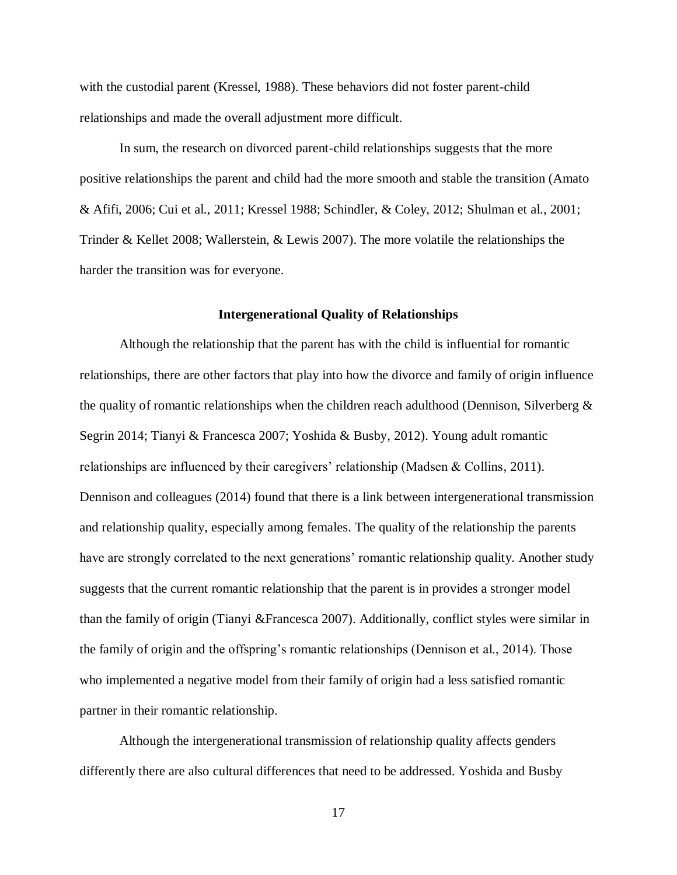with the custodial parent (Kressel, 1988). These behaviors did not foster parent-child relationships and made the overall adjustment more difficult.

In sum, the research on divorced parent-child relationships suggests that the more positive relationships the parent and child had the more smooth and stable the transition (Amato & Afifi, 2006; Cui et al., 2011; Kressel 1988; Schindler, & Coley, 2012; Shulman et al., 2001; Trinder & Kellet 2008; Wallerstein, & Lewis 2007). The more volatile the relationships the harder the transition was for everyone.

#### **Intergenerational Quality of Relationships**

Although the relationship that the parent has with the child is influential for romantic relationships, there are other factors that play into how the divorce and family of origin influence the quality of romantic relationships when the children reach adulthood (Dennison, Silverberg & Segrin 2014; Tianyi & Francesca 2007; Yoshida & Busby, 2012). Young adult romantic relationships are influenced by their caregivers' relationship (Madsen & Collins, 2011). Dennison and colleagues (2014) found that there is a link between intergenerational transmission and relationship quality, especially among females. The quality of the relationship the parents have are strongly correlated to the next generations' romantic relationship quality. Another study suggests that the current romantic relationship that the parent is in provides a stronger model than the family of origin (Tianyi &Francesca 2007). Additionally, conflict styles were similar in the family of origin and the offspring's romantic relationships (Dennison et al., 2014). Those who implemented a negative model from their family of origin had a less satisfied romantic partner in their romantic relationship.

Although the intergenerational transmission of relationship quality affects genders differently there are also cultural differences that need to be addressed. Yoshida and Busby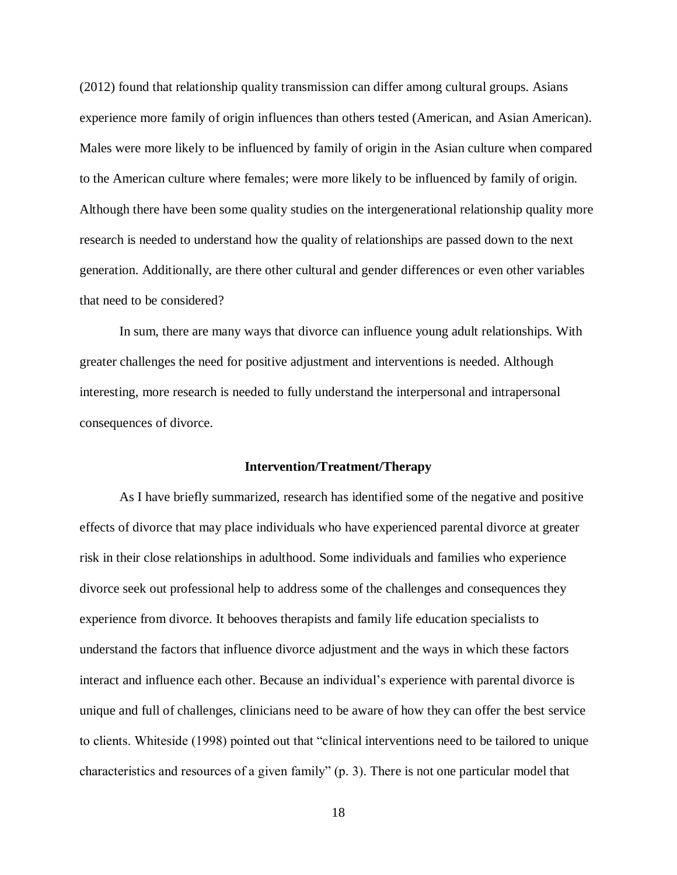(2012) found that relationship quality transmission can differ among cultural groups. Asians experience more family of origin influences than others tested (American, and Asian American). Males were more likely to be influenced by family of origin in the Asian culture when compared to the American culture where females; were more likely to be influenced by family of origin. Although there have been some quality studies on the intergenerational relationship quality more research is needed to understand how the quality of relationships are passed down to the next generation. Additionally, are there other cultural and gender differences or even other variables that need to be considered?

In sum, there are many ways that divorce can influence young adult relationships. With greater challenges the need for positive adjustment and interventions is needed. Although interesting, more research is needed to fully understand the interpersonal and intrapersonal consequences of divorce.

#### **Intervention/Treatment/Therapy**

As I have briefly summarized, research has identified some of the negative and positive effects of divorce that may place individuals who have experienced parental divorce at greater risk in their close relationships in adulthood. Some individuals and families who experience divorce seek out professional help to address some of the challenges and consequences they experience from divorce. It behooves therapists and family life education specialists to understand the factors that influence divorce adjustment and the ways in which these factors interact and influence each other. Because an individual's experience with parental divorce is unique and full of challenges, clinicians need to be aware of how they can offer the best service to clients. Whiteside (1998) pointed out that "clinical interventions need to be tailored to unique characteristics and resources of a given family" (p. 3). There is not one particular model that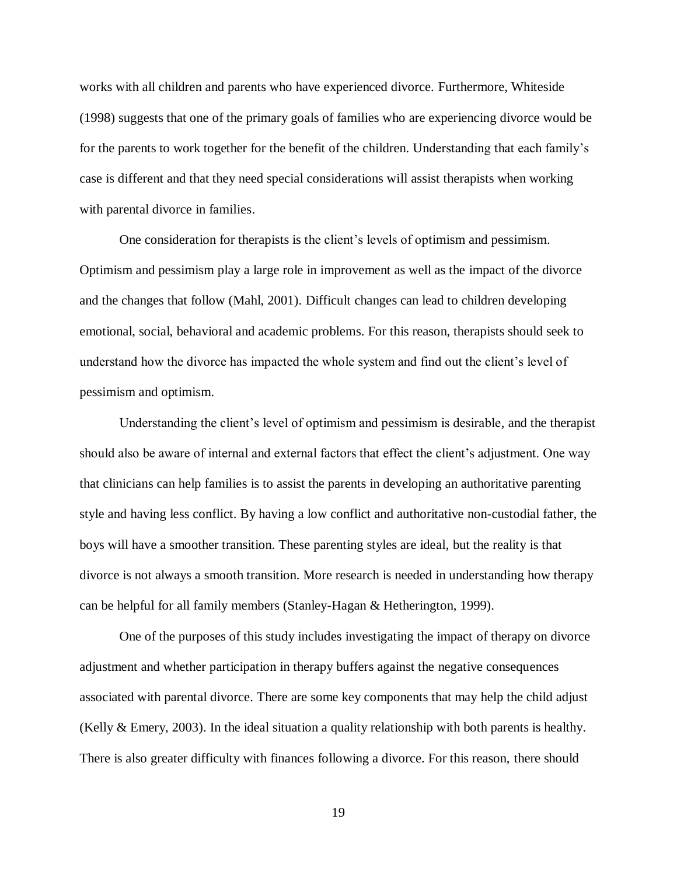works with all children and parents who have experienced divorce. Furthermore, Whiteside (1998) suggests that one of the primary goals of families who are experiencing divorce would be for the parents to work together for the benefit of the children. Understanding that each family's case is different and that they need special considerations will assist therapists when working with parental divorce in families.

One consideration for therapists is the client's levels of optimism and pessimism. Optimism and pessimism play a large role in improvement as well as the impact of the divorce and the changes that follow (Mahl, 2001). Difficult changes can lead to children developing emotional, social, behavioral and academic problems. For this reason, therapists should seek to understand how the divorce has impacted the whole system and find out the client's level of pessimism and optimism.

Understanding the client's level of optimism and pessimism is desirable, and the therapist should also be aware of internal and external factors that effect the client's adjustment. One way that clinicians can help families is to assist the parents in developing an authoritative parenting style and having less conflict. By having a low conflict and authoritative non-custodial father, the boys will have a smoother transition. These parenting styles are ideal, but the reality is that divorce is not always a smooth transition. More research is needed in understanding how therapy can be helpful for all family members (Stanley-Hagan & Hetherington, 1999).

One of the purposes of this study includes investigating the impact of therapy on divorce adjustment and whether participation in therapy buffers against the negative consequences associated with parental divorce. There are some key components that may help the child adjust (Kelly  $\&$  Emery, 2003). In the ideal situation a quality relationship with both parents is healthy. There is also greater difficulty with finances following a divorce. For this reason, there should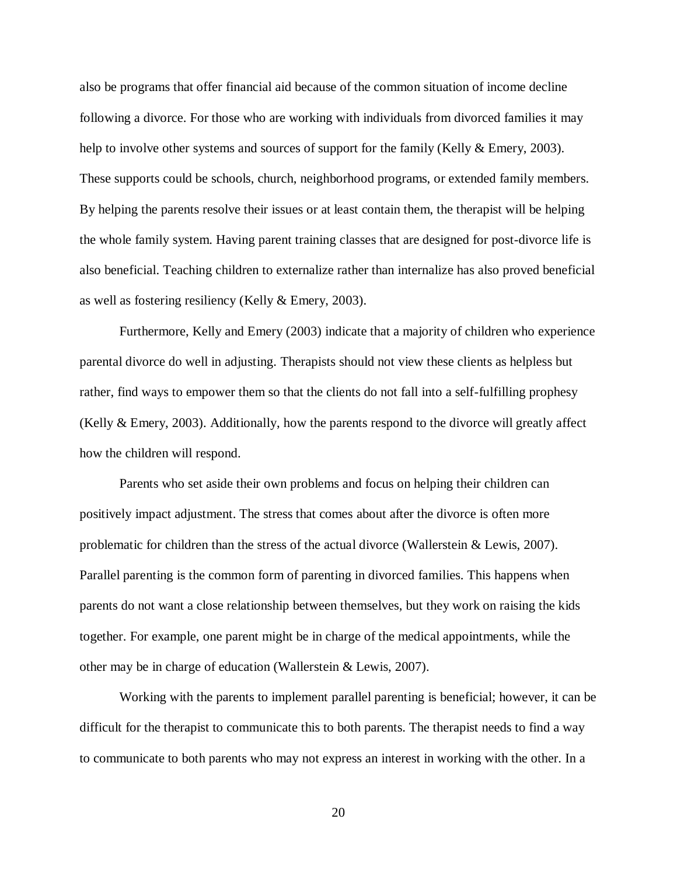also be programs that offer financial aid because of the common situation of income decline following a divorce. For those who are working with individuals from divorced families it may help to involve other systems and sources of support for the family (Kelly & Emery, 2003). These supports could be schools, church, neighborhood programs, or extended family members. By helping the parents resolve their issues or at least contain them, the therapist will be helping the whole family system. Having parent training classes that are designed for post-divorce life is also beneficial. Teaching children to externalize rather than internalize has also proved beneficial as well as fostering resiliency (Kelly & Emery, 2003).

Furthermore, Kelly and Emery (2003) indicate that a majority of children who experience parental divorce do well in adjusting. Therapists should not view these clients as helpless but rather, find ways to empower them so that the clients do not fall into a self-fulfilling prophesy (Kelly & Emery, 2003). Additionally, how the parents respond to the divorce will greatly affect how the children will respond.

Parents who set aside their own problems and focus on helping their children can positively impact adjustment. The stress that comes about after the divorce is often more problematic for children than the stress of the actual divorce (Wallerstein & Lewis, 2007). Parallel parenting is the common form of parenting in divorced families. This happens when parents do not want a close relationship between themselves, but they work on raising the kids together. For example, one parent might be in charge of the medical appointments, while the other may be in charge of education (Wallerstein & Lewis, 2007).

Working with the parents to implement parallel parenting is beneficial; however, it can be difficult for the therapist to communicate this to both parents. The therapist needs to find a way to communicate to both parents who may not express an interest in working with the other. In a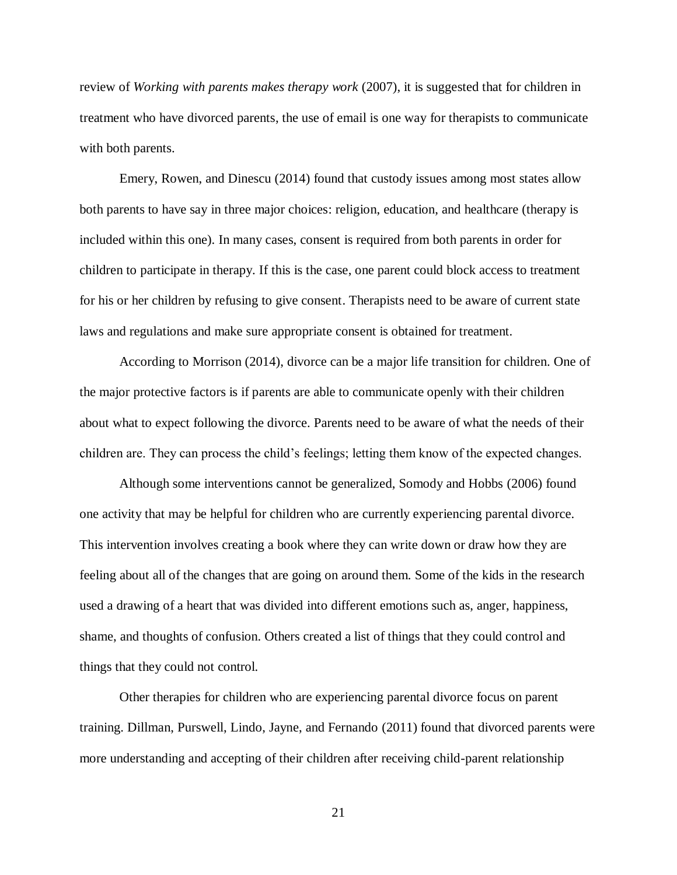review of *Working with parents makes therapy work* (2007), it is suggested that for children in treatment who have divorced parents, the use of email is one way for therapists to communicate with both parents.

Emery, Rowen, and Dinescu (2014) found that custody issues among most states allow both parents to have say in three major choices: religion, education, and healthcare (therapy is included within this one). In many cases, consent is required from both parents in order for children to participate in therapy. If this is the case, one parent could block access to treatment for his or her children by refusing to give consent. Therapists need to be aware of current state laws and regulations and make sure appropriate consent is obtained for treatment.

According to Morrison (2014), divorce can be a major life transition for children. One of the major protective factors is if parents are able to communicate openly with their children about what to expect following the divorce. Parents need to be aware of what the needs of their children are. They can process the child's feelings; letting them know of the expected changes.

Although some interventions cannot be generalized, Somody and Hobbs (2006) found one activity that may be helpful for children who are currently experiencing parental divorce. This intervention involves creating a book where they can write down or draw how they are feeling about all of the changes that are going on around them. Some of the kids in the research used a drawing of a heart that was divided into different emotions such as, anger, happiness, shame, and thoughts of confusion. Others created a list of things that they could control and things that they could not control.

Other therapies for children who are experiencing parental divorce focus on parent training. Dillman, Purswell, Lindo, Jayne, and Fernando (2011) found that divorced parents were more understanding and accepting of their children after receiving child-parent relationship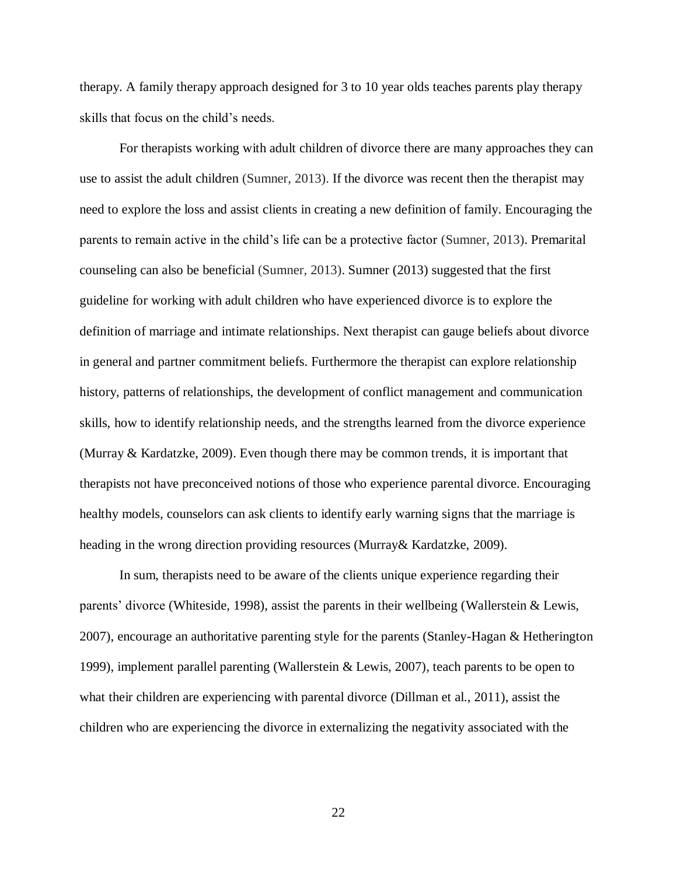therapy. A family therapy approach designed for 3 to 10 year olds teaches parents play therapy skills that focus on the child's needs.

For therapists working with adult children of divorce there are many approaches they can use to assist the adult children (Sumner, 2013). If the divorce was recent then the therapist may need to explore the loss and assist clients in creating a new definition of family. Encouraging the parents to remain active in the child's life can be a protective factor (Sumner, 2013). Premarital counseling can also be beneficial (Sumner, 2013). Sumner (2013) suggested that the first guideline for working with adult children who have experienced divorce is to explore the definition of marriage and intimate relationships. Next therapist can gauge beliefs about divorce in general and partner commitment beliefs. Furthermore the therapist can explore relationship history, patterns of relationships, the development of conflict management and communication skills, how to identify relationship needs, and the strengths learned from the divorce experience (Murray & Kardatzke, 2009). Even though there may be common trends, it is important that therapists not have preconceived notions of those who experience parental divorce. Encouraging healthy models, counselors can ask clients to identify early warning signs that the marriage is heading in the wrong direction providing resources (Murray& Kardatzke, 2009).

In sum, therapists need to be aware of the clients unique experience regarding their parents' divorce (Whiteside, 1998), assist the parents in their wellbeing (Wallerstein & Lewis, 2007), encourage an authoritative parenting style for the parents (Stanley-Hagan & Hetherington 1999), implement parallel parenting (Wallerstein & Lewis, 2007), teach parents to be open to what their children are experiencing with parental divorce (Dillman et al., 2011), assist the children who are experiencing the divorce in externalizing the negativity associated with the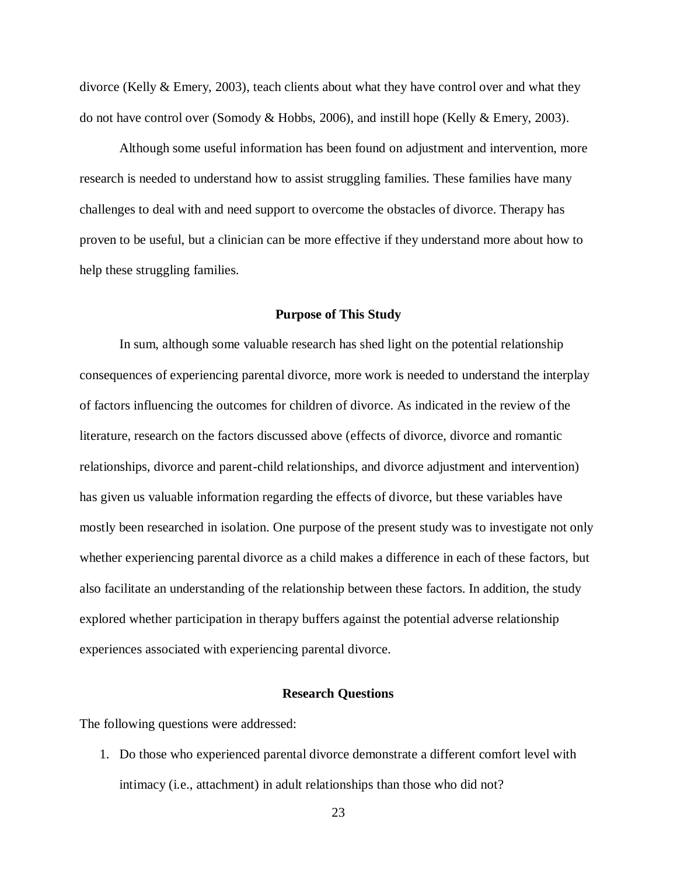divorce (Kelly & Emery, 2003), teach clients about what they have control over and what they do not have control over (Somody & Hobbs, 2006), and instill hope (Kelly & Emery, 2003).

Although some useful information has been found on adjustment and intervention, more research is needed to understand how to assist struggling families. These families have many challenges to deal with and need support to overcome the obstacles of divorce. Therapy has proven to be useful, but a clinician can be more effective if they understand more about how to help these struggling families.

#### **Purpose of This Study**

In sum, although some valuable research has shed light on the potential relationship consequences of experiencing parental divorce, more work is needed to understand the interplay of factors influencing the outcomes for children of divorce. As indicated in the review of the literature, research on the factors discussed above (effects of divorce, divorce and romantic relationships, divorce and parent-child relationships, and divorce adjustment and intervention) has given us valuable information regarding the effects of divorce, but these variables have mostly been researched in isolation. One purpose of the present study was to investigate not only whether experiencing parental divorce as a child makes a difference in each of these factors, but also facilitate an understanding of the relationship between these factors. In addition, the study explored whether participation in therapy buffers against the potential adverse relationship experiences associated with experiencing parental divorce.

#### **Research Questions**

The following questions were addressed:

1. Do those who experienced parental divorce demonstrate a different comfort level with intimacy (i.e., attachment) in adult relationships than those who did not?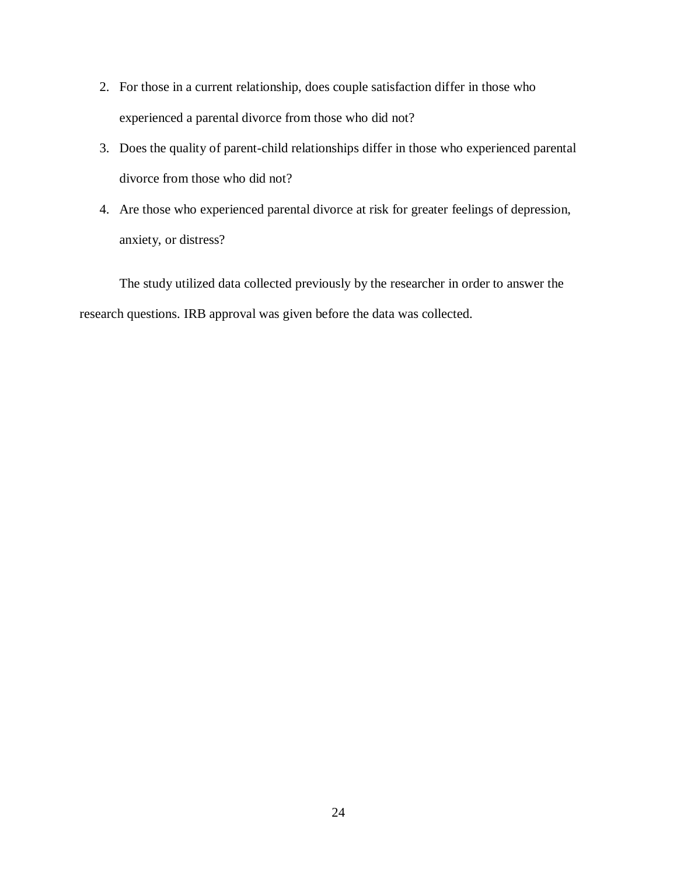- 2. For those in a current relationship, does couple satisfaction differ in those who experienced a parental divorce from those who did not?
- 3. Does the quality of parent-child relationships differ in those who experienced parental divorce from those who did not?
- 4. Are those who experienced parental divorce at risk for greater feelings of depression, anxiety, or distress?

The study utilized data collected previously by the researcher in order to answer the research questions. IRB approval was given before the data was collected.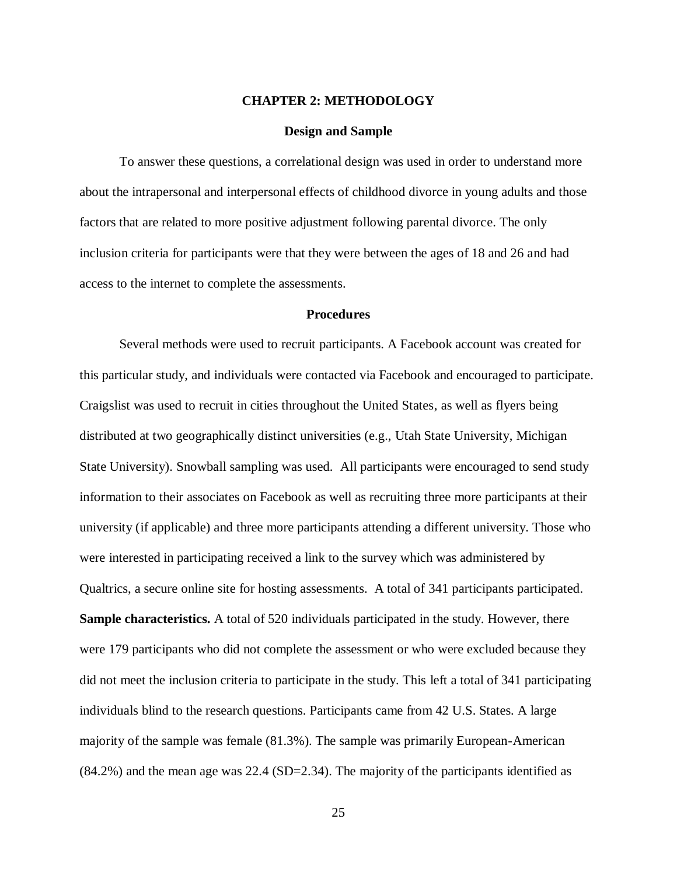#### **CHAPTER 2: METHODOLOGY**

#### **Design and Sample**

<span id="page-32-0"></span>To answer these questions, a correlational design was used in order to understand more about the intrapersonal and interpersonal effects of childhood divorce in young adults and those factors that are related to more positive adjustment following parental divorce. The only inclusion criteria for participants were that they were between the ages of 18 and 26 and had access to the internet to complete the assessments.

#### **Procedures**

Several methods were used to recruit participants. A Facebook account was created for this particular study, and individuals were contacted via Facebook and encouraged to participate. Craigslist was used to recruit in cities throughout the United States, as well as flyers being distributed at two geographically distinct universities (e.g., Utah State University, Michigan State University). Snowball sampling was used. All participants were encouraged to send study information to their associates on Facebook as well as recruiting three more participants at their university (if applicable) and three more participants attending a different university. Those who were interested in participating received a link to the survey which was administered by Qualtrics, a secure online site for hosting assessments. A total of 341 participants participated. **Sample characteristics.** A total of 520 individuals participated in the study. However, there were 179 participants who did not complete the assessment or who were excluded because they did not meet the inclusion criteria to participate in the study. This left a total of 341 participating individuals blind to the research questions. Participants came from 42 U.S. States. A large majority of the sample was female (81.3%). The sample was primarily European-American (84.2%) and the mean age was 22.4 (SD=2.34). The majority of the participants identified as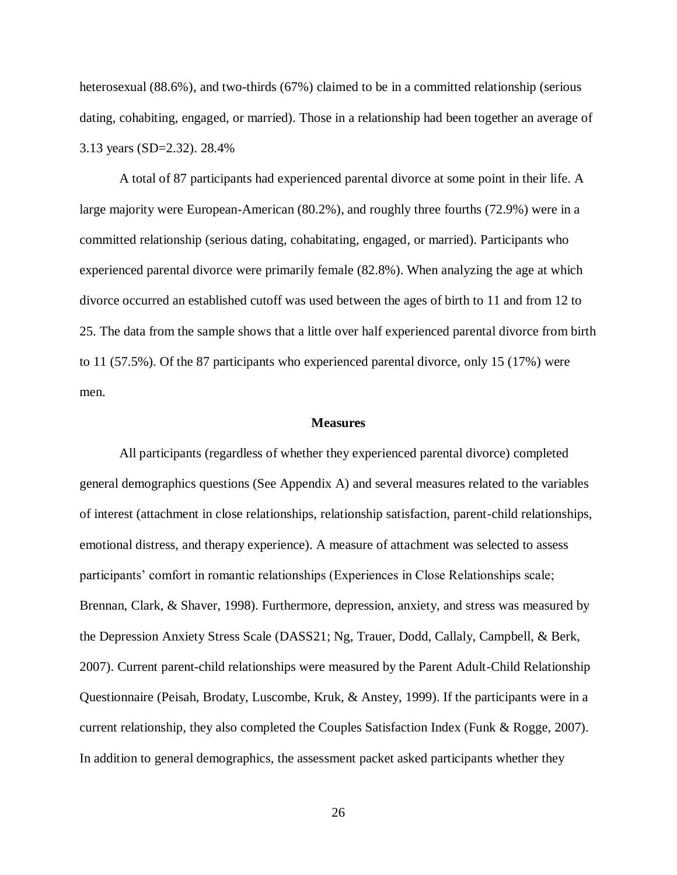heterosexual (88.6%), and two-thirds (67%) claimed to be in a committed relationship (serious dating, cohabiting, engaged, or married). Those in a relationship had been together an average of 3.13 years (SD=2.32). 28.4%

A total of 87 participants had experienced parental divorce at some point in their life. A large majority were European-American (80.2%), and roughly three fourths (72.9%) were in a committed relationship (serious dating, cohabitating, engaged, or married). Participants who experienced parental divorce were primarily female (82.8%). When analyzing the age at which divorce occurred an established cutoff was used between the ages of birth to 11 and from 12 to 25. The data from the sample shows that a little over half experienced parental divorce from birth to 11 (57.5%). Of the 87 participants who experienced parental divorce, only 15 (17%) were men.

#### **Measures**

All participants (regardless of whether they experienced parental divorce) completed general demographics questions (See Appendix A) and several measures related to the variables of interest (attachment in close relationships, relationship satisfaction, parent-child relationships, emotional distress, and therapy experience). A measure of attachment was selected to assess participants' comfort in romantic relationships (Experiences in Close Relationships scale; Brennan, Clark, & Shaver, 1998). Furthermore, depression, anxiety, and stress was measured by the Depression Anxiety Stress Scale (DASS21; Ng, Trauer, Dodd, Callaly, Campbell, & Berk, 2007). Current parent-child relationships were measured by the Parent Adult-Child Relationship Questionnaire (Peisah, Brodaty, Luscombe, Kruk, & Anstey, 1999). If the participants were in a current relationship, they also completed the Couples Satisfaction Index (Funk & Rogge, 2007). In addition to general demographics, the assessment packet asked participants whether they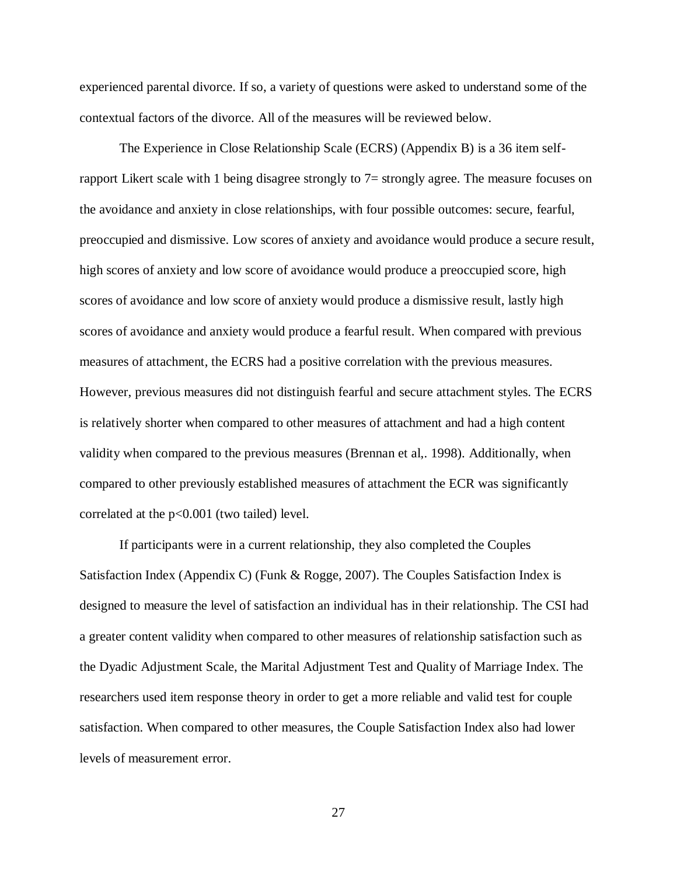experienced parental divorce. If so, a variety of questions were asked to understand some of the contextual factors of the divorce. All of the measures will be reviewed below.

The Experience in Close Relationship Scale (ECRS) (Appendix B) is a 36 item selfrapport Likert scale with 1 being disagree strongly to 7= strongly agree. The measure focuses on the avoidance and anxiety in close relationships, with four possible outcomes: secure, fearful, preoccupied and dismissive. Low scores of anxiety and avoidance would produce a secure result, high scores of anxiety and low score of avoidance would produce a preoccupied score, high scores of avoidance and low score of anxiety would produce a dismissive result, lastly high scores of avoidance and anxiety would produce a fearful result. When compared with previous measures of attachment, the ECRS had a positive correlation with the previous measures. However, previous measures did not distinguish fearful and secure attachment styles. The ECRS is relatively shorter when compared to other measures of attachment and had a high content validity when compared to the previous measures (Brennan et al,. 1998). Additionally, when compared to other previously established measures of attachment the ECR was significantly correlated at the p<0.001 (two tailed) level.

If participants were in a current relationship, they also completed the Couples Satisfaction Index (Appendix C) (Funk & Rogge, 2007). The Couples Satisfaction Index is designed to measure the level of satisfaction an individual has in their relationship. The CSI had a greater content validity when compared to other measures of relationship satisfaction such as the Dyadic Adjustment Scale, the Marital Adjustment Test and Quality of Marriage Index. The researchers used item response theory in order to get a more reliable and valid test for couple satisfaction. When compared to other measures, the Couple Satisfaction Index also had lower levels of measurement error.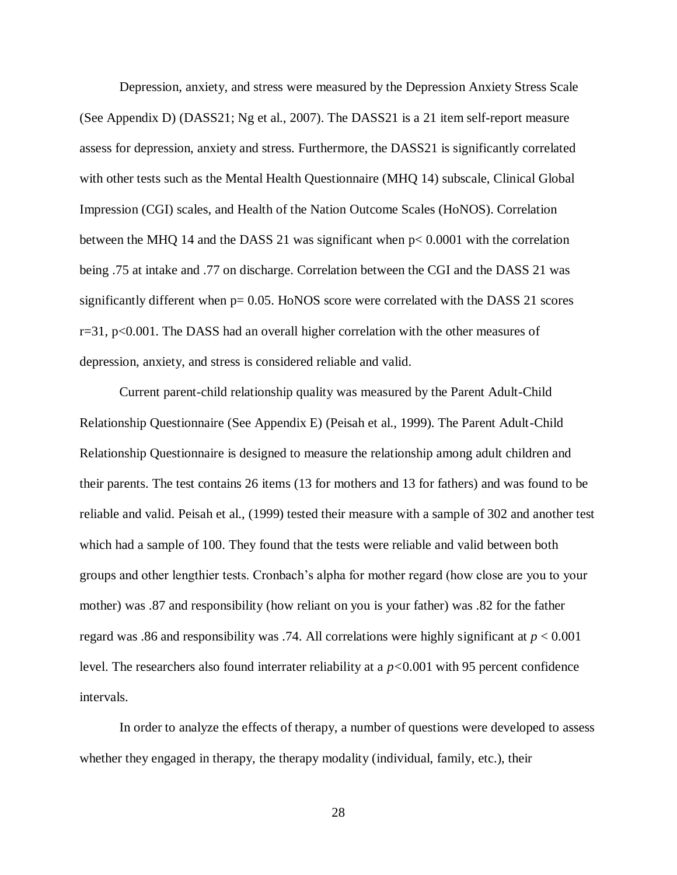Depression, anxiety, and stress were measured by the Depression Anxiety Stress Scale (See Appendix D) (DASS21; Ng et al., 2007). The DASS21 is a 21 item self-report measure assess for depression, anxiety and stress. Furthermore, the DASS21 is significantly correlated with other tests such as the Mental Health Questionnaire (MHQ 14) subscale, Clinical Global Impression (CGI) scales, and Health of the Nation Outcome Scales (HoNOS). Correlation between the MHQ 14 and the DASS 21 was significant when p< 0.0001 with the correlation being .75 at intake and .77 on discharge. Correlation between the CGI and the DASS 21 was significantly different when  $p = 0.05$ . HoNOS score were correlated with the DASS 21 scores  $r=31$ ,  $p<0.001$ . The DASS had an overall higher correlation with the other measures of depression, anxiety, and stress is considered reliable and valid.

Current parent-child relationship quality was measured by the Parent Adult-Child Relationship Questionnaire (See Appendix E) (Peisah et al., 1999). The Parent Adult-Child Relationship Questionnaire is designed to measure the relationship among adult children and their parents. The test contains 26 items (13 for mothers and 13 for fathers) and was found to be reliable and valid. Peisah et al., (1999) tested their measure with a sample of 302 and another test which had a sample of 100. They found that the tests were reliable and valid between both groups and other lengthier tests. Cronbach's alpha for mother regard (how close are you to your mother) was .87 and responsibility (how reliant on you is your father) was .82 for the father regard was .86 and responsibility was .74. All correlations were highly significant at *p* < 0.001 level. The researchers also found interrater reliability at a *p<*0.001 with 95 percent confidence intervals.

In order to analyze the effects of therapy, a number of questions were developed to assess whether they engaged in therapy, the therapy modality (individual, family, etc.), their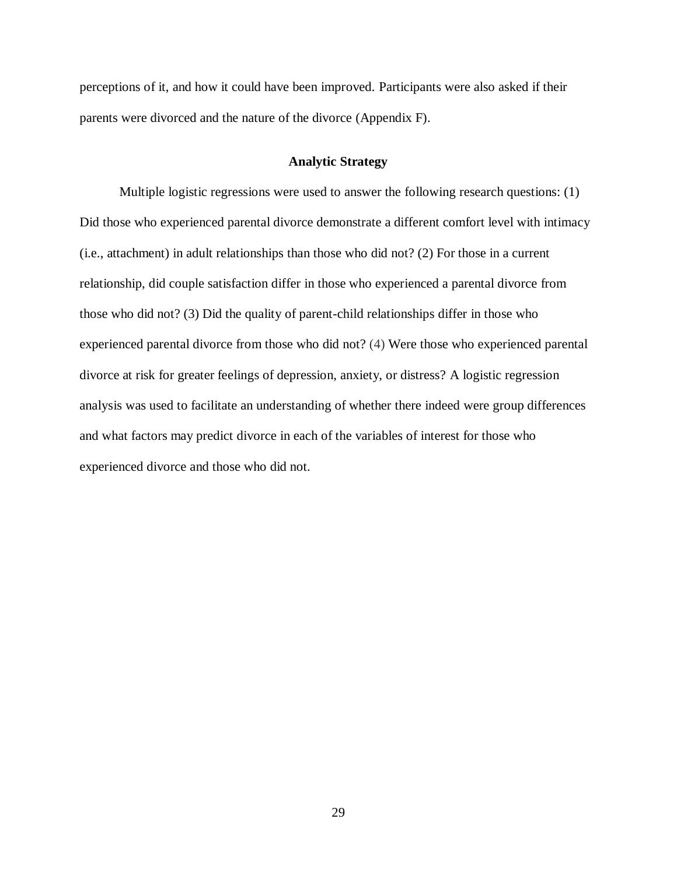perceptions of it, and how it could have been improved. Participants were also asked if their parents were divorced and the nature of the divorce (Appendix F).

### **Analytic Strategy**

Multiple logistic regressions were used to answer the following research questions: (1) Did those who experienced parental divorce demonstrate a different comfort level with intimacy (i.e., attachment) in adult relationships than those who did not? (2) For those in a current relationship, did couple satisfaction differ in those who experienced a parental divorce from those who did not? (3) Did the quality of parent-child relationships differ in those who experienced parental divorce from those who did not? (4) Were those who experienced parental divorce at risk for greater feelings of depression, anxiety, or distress? A logistic regression analysis was used to facilitate an understanding of whether there indeed were group differences and what factors may predict divorce in each of the variables of interest for those who experienced divorce and those who did not.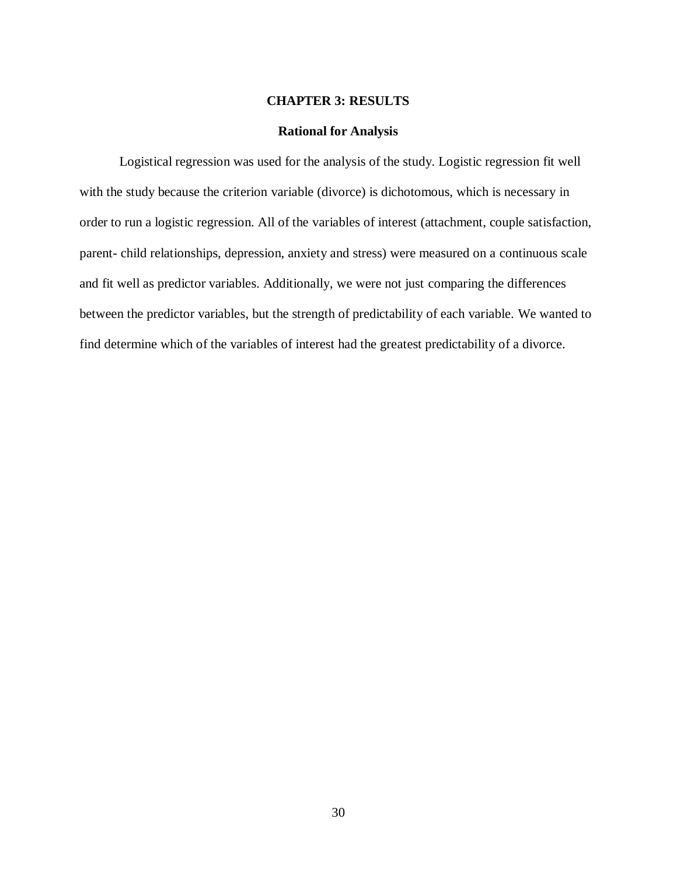### **CHAPTER 3: RESULTS**

#### **Rational for Analysis**

Logistical regression was used for the analysis of the study. Logistic regression fit well with the study because the criterion variable (divorce) is dichotomous, which is necessary in order to run a logistic regression. All of the variables of interest (attachment, couple satisfaction, parent- child relationships, depression, anxiety and stress) were measured on a continuous scale and fit well as predictor variables. Additionally, we were not just comparing the differences between the predictor variables, but the strength of predictability of each variable. We wanted to find determine which of the variables of interest had the greatest predictability of a divorce.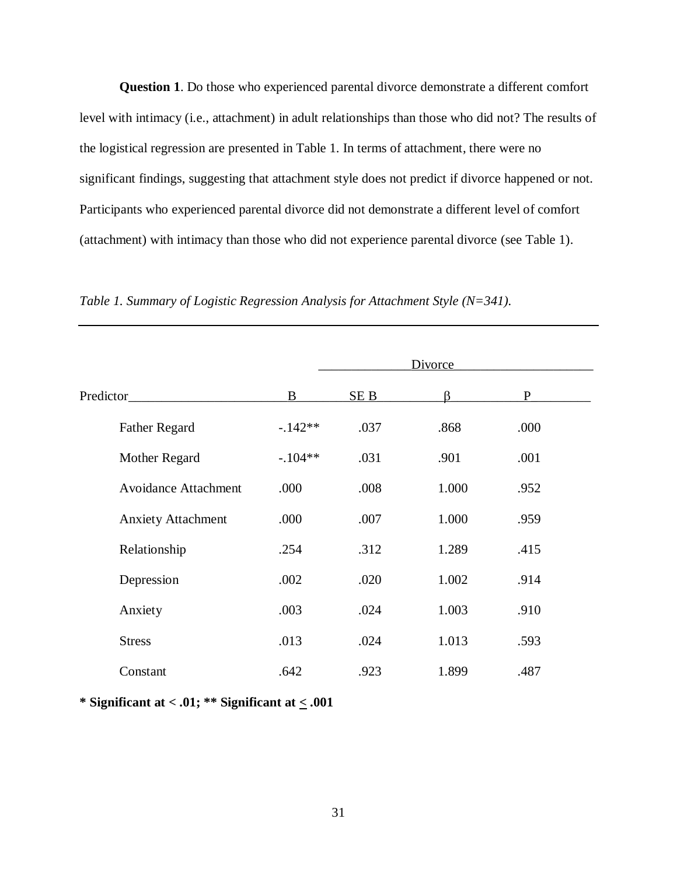**Question 1**. Do those who experienced parental divorce demonstrate a different comfort level with intimacy (i.e., attachment) in adult relationships than those who did not? The results of the logistical regression are presented in Table 1. In terms of attachment, there were no significant findings, suggesting that attachment style does not predict if divorce happened or not. Participants who experienced parental divorce did not demonstrate a different level of comfort (attachment) with intimacy than those who did not experience parental divorce (see Table 1).

|                             | <b>Divorce</b> |      |       |              |  |
|-----------------------------|----------------|------|-------|--------------|--|
| Predictor                   | B              | SE B | ß     | $\mathbf{P}$ |  |
| <b>Father Regard</b>        | $-142**$       | .037 | .868  | .000         |  |
| Mother Regard               | $-.104**$      | .031 | .901  | .001         |  |
| <b>Avoidance Attachment</b> | .000           | .008 | 1.000 | .952         |  |
| <b>Anxiety Attachment</b>   | .000           | .007 | 1.000 | .959         |  |
| Relationship                | .254           | .312 | 1.289 | .415         |  |
| Depression                  | .002           | .020 | 1.002 | .914         |  |
| Anxiety                     | .003           | .024 | 1.003 | .910         |  |
| <b>Stress</b>               | .013           | .024 | 1.013 | .593         |  |
| Constant                    | .642           | .923 | 1.899 | .487         |  |

*Table 1. Summary of Logistic Regression Analysis for Attachment Style (N=341).*

**\* Significant at < .01; \*\* Significant at < .001**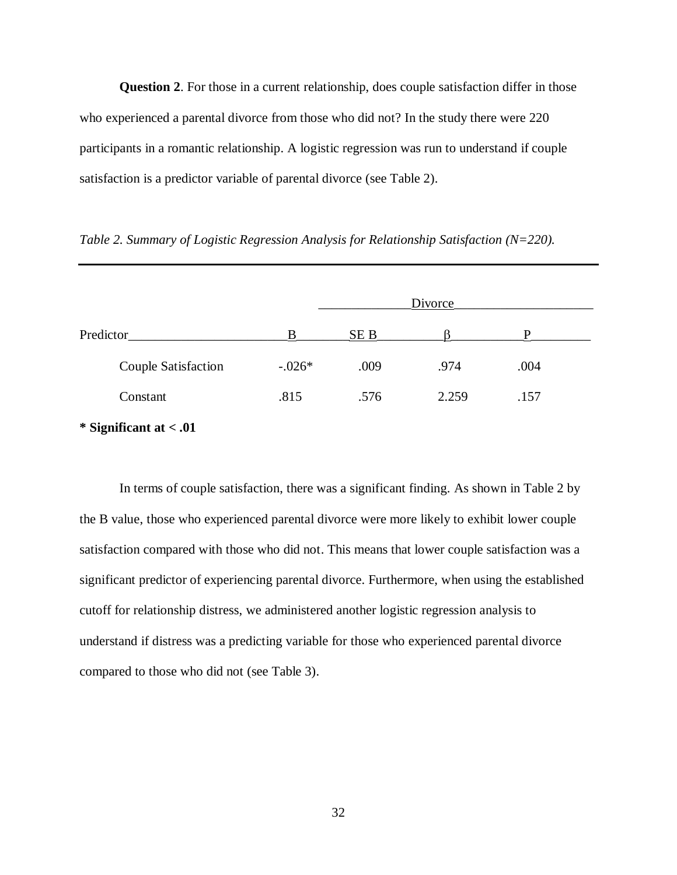**Question 2**. For those in a current relationship, does couple satisfaction differ in those who experienced a parental divorce from those who did not? In the study there were 220 participants in a romantic relationship. A logistic regression was run to understand if couple satisfaction is a predictor variable of parental divorce (see Table 2).

|                     | Divorce  |      |       |      |  |
|---------------------|----------|------|-------|------|--|
| Predictor           | B        | SE B |       | D    |  |
| Couple Satisfaction | $-.026*$ | .009 | .974  | .004 |  |
| Constant            | .815     | .576 | 2.259 | .157 |  |

*Table 2. Summary of Logistic Regression Analysis for Relationship Satisfaction (N=220).*

**\* Significant at < .01**

In terms of couple satisfaction, there was a significant finding. As shown in Table 2 by the B value, those who experienced parental divorce were more likely to exhibit lower couple satisfaction compared with those who did not. This means that lower couple satisfaction was a significant predictor of experiencing parental divorce. Furthermore, when using the established cutoff for relationship distress, we administered another logistic regression analysis to understand if distress was a predicting variable for those who experienced parental divorce compared to those who did not (see Table 3).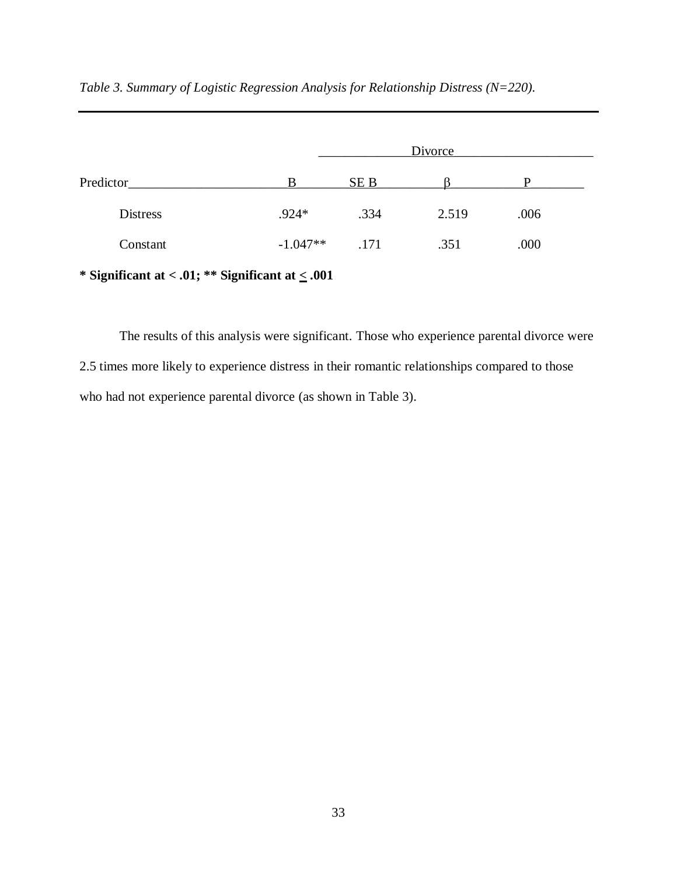|                 | Divorce    |      |       |      |  |
|-----------------|------------|------|-------|------|--|
| Predictor       | R          | SE B |       |      |  |
| <b>Distress</b> | $.924*$    | .334 | 2.519 | .006 |  |
| Constant        | $-1.047**$ | .171 | .351  | .000 |  |

*Table 3. Summary of Logistic Regression Analysis for Relationship Distress (N=220).*

**\* Significant at < .01; \*\* Significant at < .001**

The results of this analysis were significant. Those who experience parental divorce were 2.5 times more likely to experience distress in their romantic relationships compared to those who had not experience parental divorce (as shown in Table 3).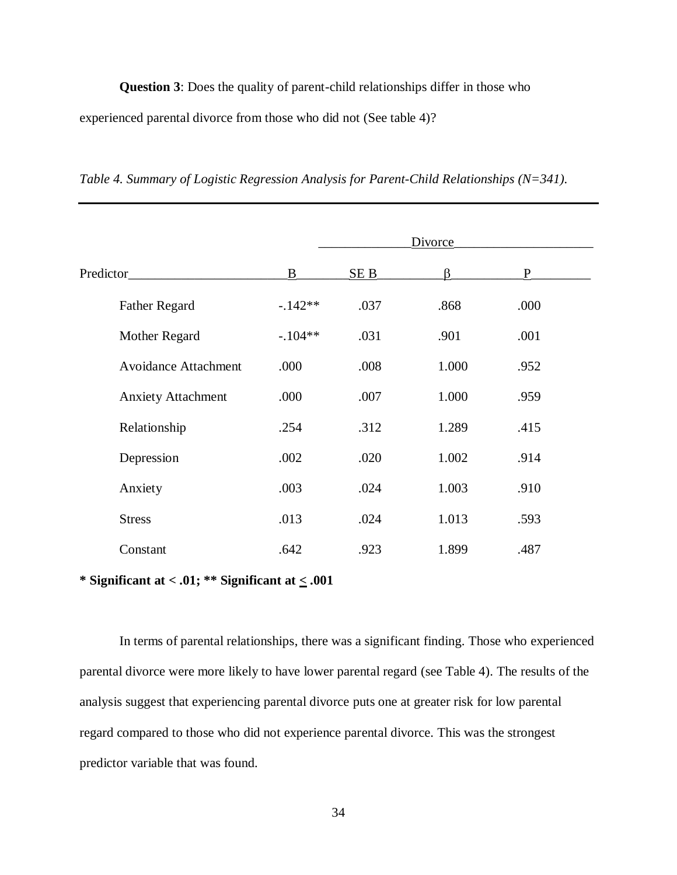**Question 3**: Does the quality of parent-child relationships differ in those who experienced parental divorce from those who did not (See table 4)?

*Table 4. Summary of Logistic Regression Analysis for Parent-Child Relationships (N=341).*

|                             | Divorce   |      |       |      |  |
|-----------------------------|-----------|------|-------|------|--|
| Predictor                   | B         | SEB  | ß.    | P    |  |
| <b>Father Regard</b>        | $-142**$  | .037 | .868  | .000 |  |
| Mother Regard               | $-.104**$ | .031 | .901  | .001 |  |
| <b>Avoidance Attachment</b> | .000      | .008 | 1.000 | .952 |  |
| <b>Anxiety Attachment</b>   | .000      | .007 | 1.000 | .959 |  |
| Relationship                | .254      | .312 | 1.289 | .415 |  |
| Depression                  | .002      | .020 | 1.002 | .914 |  |
| Anxiety                     | .003      | .024 | 1.003 | .910 |  |
| <b>Stress</b>               | .013      | .024 | 1.013 | .593 |  |
| Constant                    | .642      | .923 | 1.899 | .487 |  |

**\* Significant at < .01; \*\* Significant at < .001**

In terms of parental relationships, there was a significant finding. Those who experienced parental divorce were more likely to have lower parental regard (see Table 4). The results of the analysis suggest that experiencing parental divorce puts one at greater risk for low parental regard compared to those who did not experience parental divorce. This was the strongest predictor variable that was found.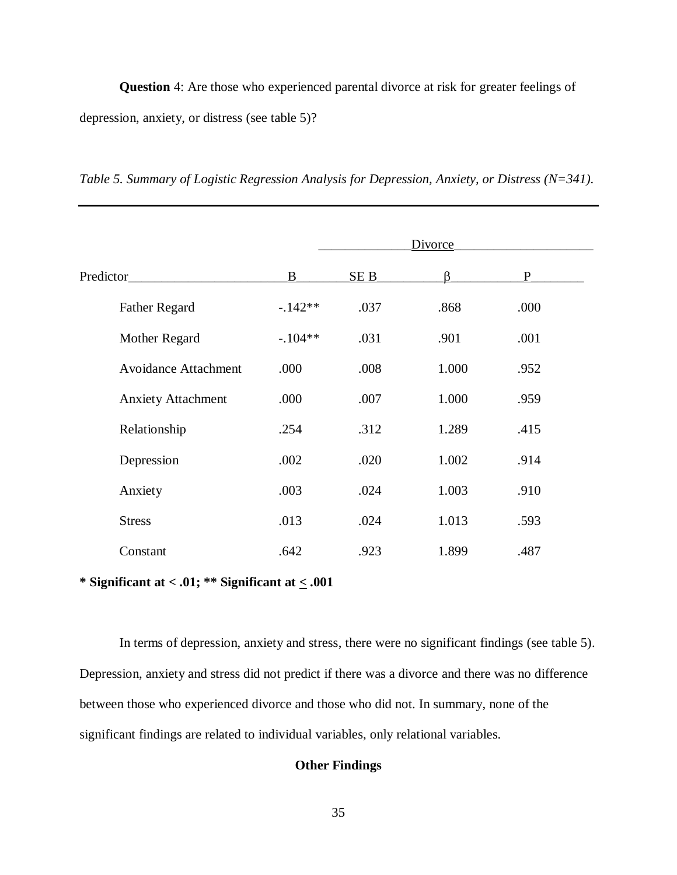**Question** 4: Are those who experienced parental divorce at risk for greater feelings of depression, anxiety, or distress (see table 5)?

*Table 5. Summary of Logistic Regression Analysis for Depression, Anxiety, or Distress (N=341).*

|                             | Divorce   |              |       |      |  |
|-----------------------------|-----------|--------------|-------|------|--|
| Predictor                   | B         | <u>SE B_</u> | ß.    | P    |  |
| <b>Father Regard</b>        | $-142**$  | .037         | .868  | .000 |  |
| Mother Regard               | $-.104**$ | .031         | .901  | .001 |  |
| <b>Avoidance Attachment</b> | .000      | .008         | 1.000 | .952 |  |
| <b>Anxiety Attachment</b>   | .000      | .007         | 1.000 | .959 |  |
| Relationship                | .254      | .312         | 1.289 | .415 |  |
| Depression                  | .002      | .020         | 1.002 | .914 |  |
| Anxiety                     | .003      | .024         | 1.003 | .910 |  |
| <b>Stress</b>               | .013      | .024         | 1.013 | .593 |  |
| Constant                    | .642      | .923         | 1.899 | .487 |  |

**\* Significant at < .01; \*\* Significant at < .001**

In terms of depression, anxiety and stress, there were no significant findings (see table 5). Depression, anxiety and stress did not predict if there was a divorce and there was no difference between those who experienced divorce and those who did not. In summary, none of the significant findings are related to individual variables, only relational variables.

# **Other Findings**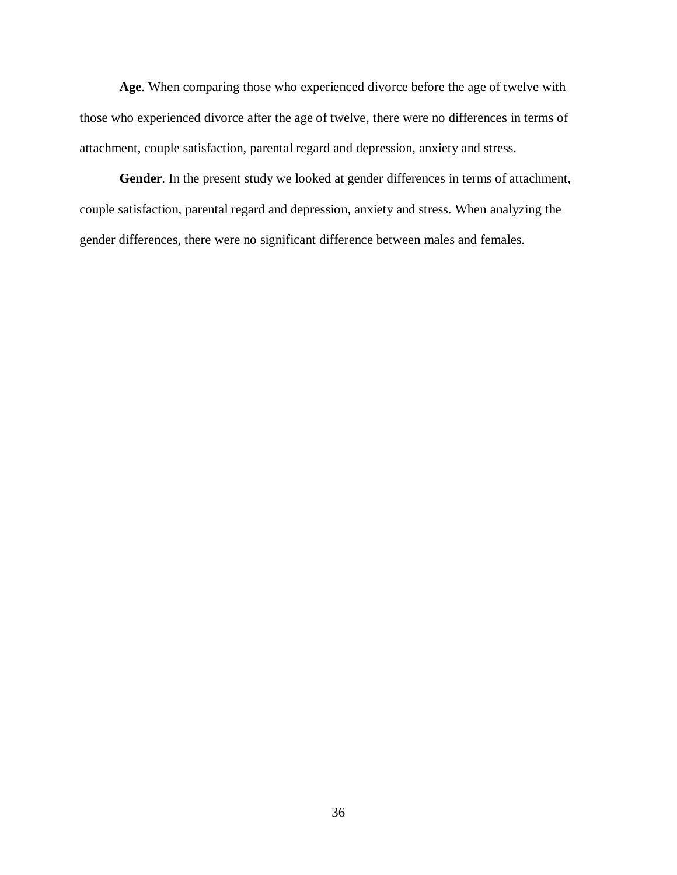**Age**. When comparing those who experienced divorce before the age of twelve with those who experienced divorce after the age of twelve, there were no differences in terms of attachment, couple satisfaction, parental regard and depression, anxiety and stress.

**Gender**. In the present study we looked at gender differences in terms of attachment, couple satisfaction, parental regard and depression, anxiety and stress. When analyzing the gender differences, there were no significant difference between males and females.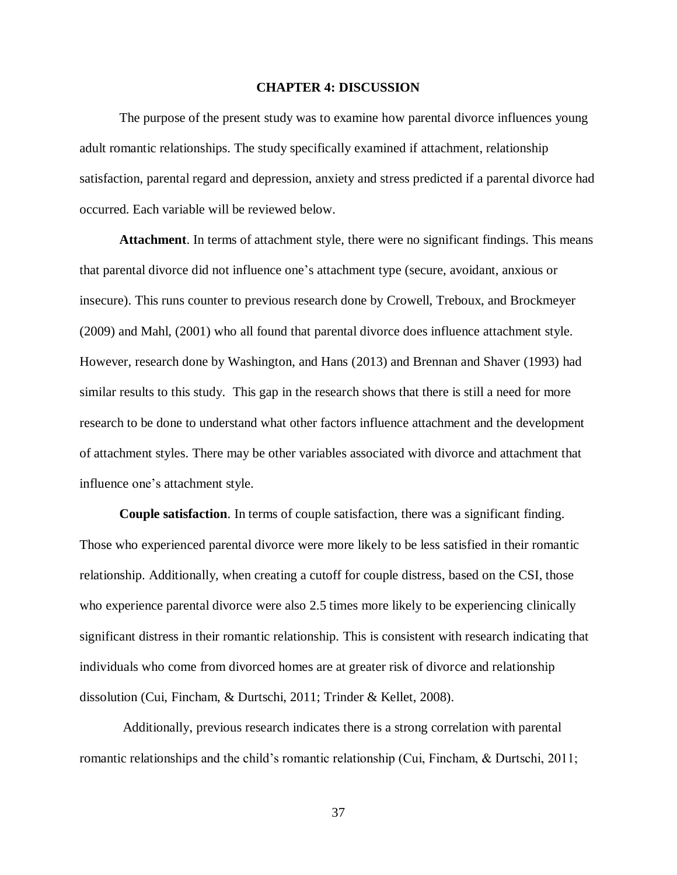#### **CHAPTER 4: DISCUSSION**

The purpose of the present study was to examine how parental divorce influences young adult romantic relationships. The study specifically examined if attachment, relationship satisfaction, parental regard and depression, anxiety and stress predicted if a parental divorce had occurred. Each variable will be reviewed below.

**Attachment**. In terms of attachment style, there were no significant findings. This means that parental divorce did not influence one's attachment type (secure, avoidant, anxious or insecure). This runs counter to previous research done by Crowell, Treboux, and Brockmeyer (2009) and Mahl, (2001) who all found that parental divorce does influence attachment style. However, research done by Washington, and Hans (2013) and Brennan and Shaver (1993) had similar results to this study. This gap in the research shows that there is still a need for more research to be done to understand what other factors influence attachment and the development of attachment styles. There may be other variables associated with divorce and attachment that influence one's attachment style.

**Couple satisfaction**. In terms of couple satisfaction, there was a significant finding. Those who experienced parental divorce were more likely to be less satisfied in their romantic relationship. Additionally, when creating a cutoff for couple distress, based on the CSI, those who experience parental divorce were also 2.5 times more likely to be experiencing clinically significant distress in their romantic relationship. This is consistent with research indicating that individuals who come from divorced homes are at greater risk of divorce and relationship dissolution (Cui, Fincham, & Durtschi, 2011; Trinder & Kellet, 2008).

Additionally, previous research indicates there is a strong correlation with parental romantic relationships and the child's romantic relationship (Cui, Fincham, & Durtschi, 2011;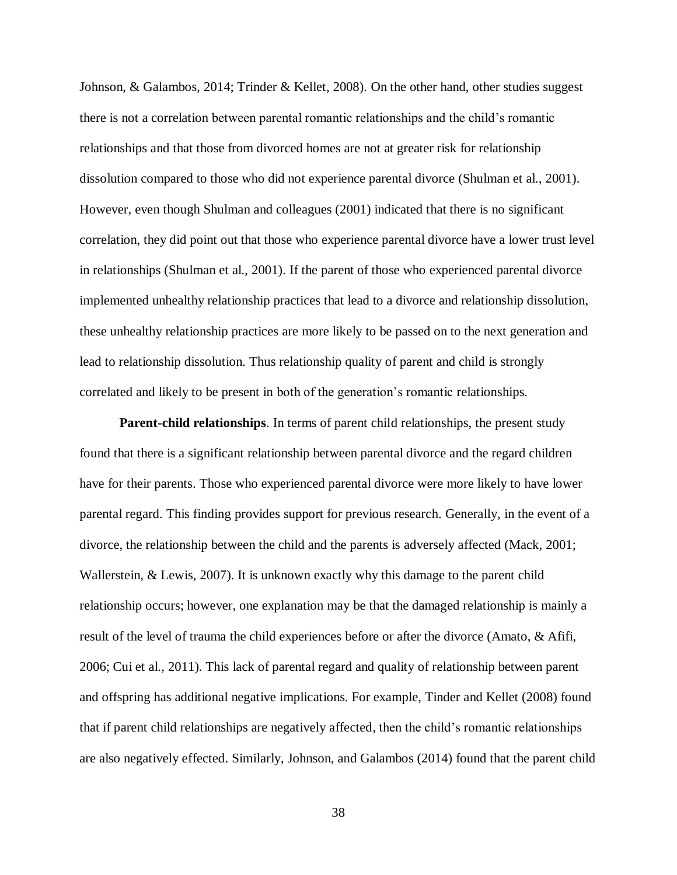Johnson, & Galambos, 2014; Trinder & Kellet, 2008). On the other hand, other studies suggest there is not a correlation between parental romantic relationships and the child's romantic relationships and that those from divorced homes are not at greater risk for relationship dissolution compared to those who did not experience parental divorce (Shulman et al., 2001). However, even though Shulman and colleagues (2001) indicated that there is no significant correlation, they did point out that those who experience parental divorce have a lower trust level in relationships (Shulman et al., 2001). If the parent of those who experienced parental divorce implemented unhealthy relationship practices that lead to a divorce and relationship dissolution, these unhealthy relationship practices are more likely to be passed on to the next generation and lead to relationship dissolution. Thus relationship quality of parent and child is strongly correlated and likely to be present in both of the generation's romantic relationships.

**Parent-child relationships**. In terms of parent child relationships, the present study found that there is a significant relationship between parental divorce and the regard children have for their parents. Those who experienced parental divorce were more likely to have lower parental regard. This finding provides support for previous research. Generally, in the event of a divorce, the relationship between the child and the parents is adversely affected (Mack, 2001; Wallerstein, & Lewis, 2007). It is unknown exactly why this damage to the parent child relationship occurs; however, one explanation may be that the damaged relationship is mainly a result of the level of trauma the child experiences before or after the divorce (Amato, & Afifi, 2006; Cui et al., 2011). This lack of parental regard and quality of relationship between parent and offspring has additional negative implications. For example, Tinder and Kellet (2008) found that if parent child relationships are negatively affected, then the child's romantic relationships are also negatively effected. Similarly, Johnson, and Galambos (2014) found that the parent child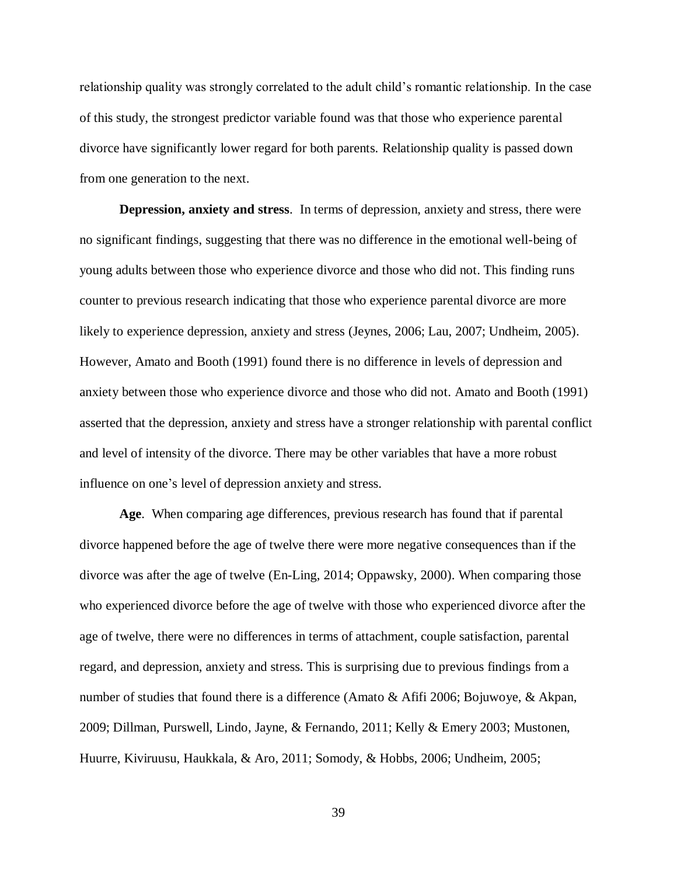relationship quality was strongly correlated to the adult child's romantic relationship. In the case of this study, the strongest predictor variable found was that those who experience parental divorce have significantly lower regard for both parents. Relationship quality is passed down from one generation to the next.

**Depression, anxiety and stress**. In terms of depression, anxiety and stress, there were no significant findings, suggesting that there was no difference in the emotional well-being of young adults between those who experience divorce and those who did not. This finding runs counter to previous research indicating that those who experience parental divorce are more likely to experience depression, anxiety and stress (Jeynes, 2006; Lau, 2007; Undheim, 2005). However, Amato and Booth (1991) found there is no difference in levels of depression and anxiety between those who experience divorce and those who did not. Amato and Booth (1991) asserted that the depression, anxiety and stress have a stronger relationship with parental conflict and level of intensity of the divorce. There may be other variables that have a more robust influence on one's level of depression anxiety and stress.

**Age**. When comparing age differences, previous research has found that if parental divorce happened before the age of twelve there were more negative consequences than if the divorce was after the age of twelve (En-Ling, 2014; Oppawsky, 2000). When comparing those who experienced divorce before the age of twelve with those who experienced divorce after the age of twelve, there were no differences in terms of attachment, couple satisfaction, parental regard, and depression, anxiety and stress. This is surprising due to previous findings from a number of studies that found there is a difference (Amato & Afifi 2006; Bojuwoye, & Akpan, 2009; Dillman, Purswell, Lindo, Jayne, & Fernando, 2011; Kelly & Emery 2003; Mustonen, Huurre, Kiviruusu, Haukkala, & Aro, 2011; Somody, & Hobbs, 2006; Undheim, 2005;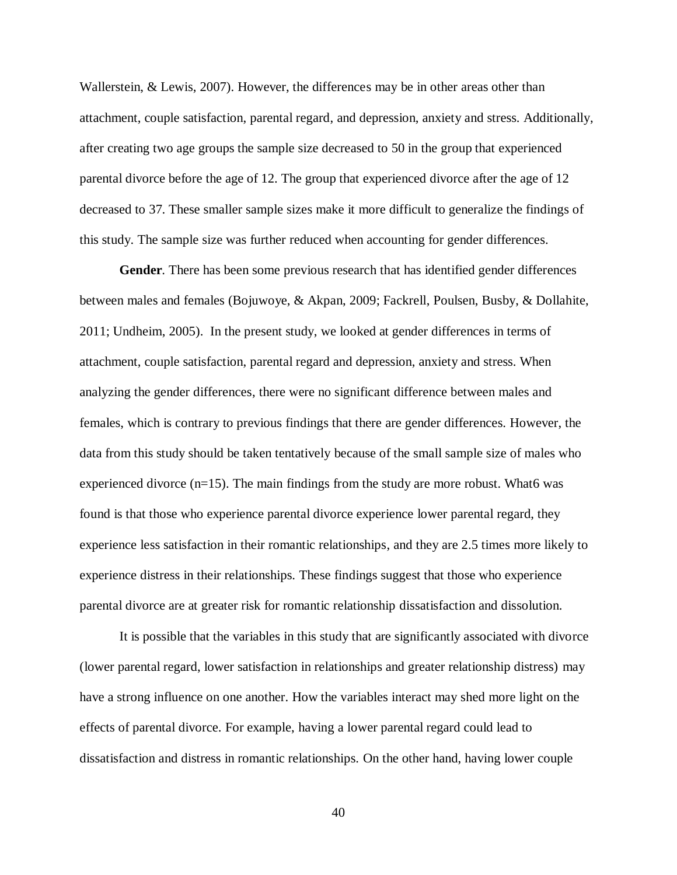Wallerstein, & Lewis, 2007). However, the differences may be in other areas other than attachment, couple satisfaction, parental regard, and depression, anxiety and stress. Additionally, after creating two age groups the sample size decreased to 50 in the group that experienced parental divorce before the age of 12. The group that experienced divorce after the age of 12 decreased to 37. These smaller sample sizes make it more difficult to generalize the findings of this study. The sample size was further reduced when accounting for gender differences.

**Gender**. There has been some previous research that has identified gender differences between males and females (Bojuwoye, & Akpan, 2009; Fackrell, Poulsen, Busby, & Dollahite, 2011; Undheim, 2005). In the present study, we looked at gender differences in terms of attachment, couple satisfaction, parental regard and depression, anxiety and stress. When analyzing the gender differences, there were no significant difference between males and females, which is contrary to previous findings that there are gender differences. However, the data from this study should be taken tentatively because of the small sample size of males who experienced divorce  $(n=15)$ . The main findings from the study are more robust. What6 was found is that those who experience parental divorce experience lower parental regard, they experience less satisfaction in their romantic relationships, and they are 2.5 times more likely to experience distress in their relationships. These findings suggest that those who experience parental divorce are at greater risk for romantic relationship dissatisfaction and dissolution.

It is possible that the variables in this study that are significantly associated with divorce (lower parental regard, lower satisfaction in relationships and greater relationship distress) may have a strong influence on one another. How the variables interact may shed more light on the effects of parental divorce. For example, having a lower parental regard could lead to dissatisfaction and distress in romantic relationships. On the other hand, having lower couple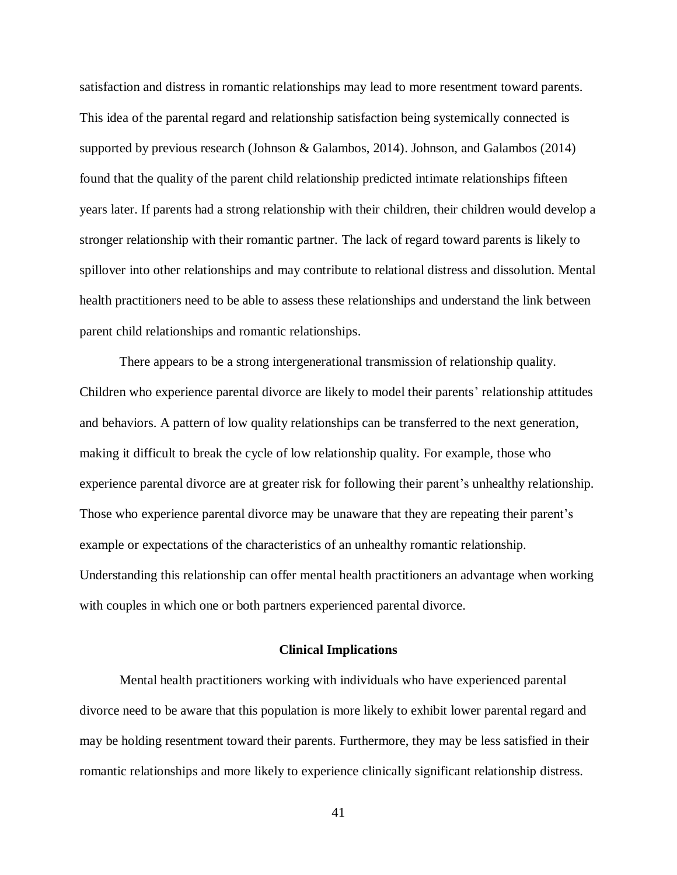satisfaction and distress in romantic relationships may lead to more resentment toward parents. This idea of the parental regard and relationship satisfaction being systemically connected is supported by previous research (Johnson & Galambos, 2014). Johnson, and Galambos (2014) found that the quality of the parent child relationship predicted intimate relationships fifteen years later. If parents had a strong relationship with their children, their children would develop a stronger relationship with their romantic partner. The lack of regard toward parents is likely to spillover into other relationships and may contribute to relational distress and dissolution. Mental health practitioners need to be able to assess these relationships and understand the link between parent child relationships and romantic relationships.

There appears to be a strong intergenerational transmission of relationship quality. Children who experience parental divorce are likely to model their parents' relationship attitudes and behaviors. A pattern of low quality relationships can be transferred to the next generation, making it difficult to break the cycle of low relationship quality. For example, those who experience parental divorce are at greater risk for following their parent's unhealthy relationship. Those who experience parental divorce may be unaware that they are repeating their parent's example or expectations of the characteristics of an unhealthy romantic relationship. Understanding this relationship can offer mental health practitioners an advantage when working with couples in which one or both partners experienced parental divorce.

### **Clinical Implications**

Mental health practitioners working with individuals who have experienced parental divorce need to be aware that this population is more likely to exhibit lower parental regard and may be holding resentment toward their parents. Furthermore, they may be less satisfied in their romantic relationships and more likely to experience clinically significant relationship distress.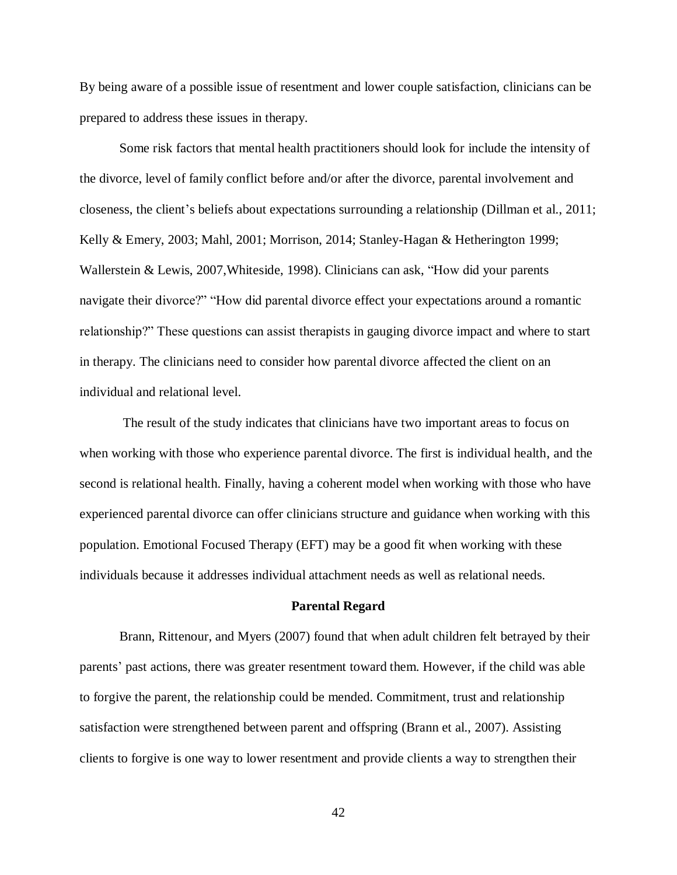By being aware of a possible issue of resentment and lower couple satisfaction, clinicians can be prepared to address these issues in therapy.

Some risk factors that mental health practitioners should look for include the intensity of the divorce, level of family conflict before and/or after the divorce, parental involvement and closeness, the client's beliefs about expectations surrounding a relationship (Dillman et al., 2011; Kelly & Emery, 2003; Mahl, 2001; Morrison, 2014; Stanley-Hagan & Hetherington 1999; Wallerstein & Lewis, 2007,Whiteside, 1998). Clinicians can ask, "How did your parents navigate their divorce?" "How did parental divorce effect your expectations around a romantic relationship?" These questions can assist therapists in gauging divorce impact and where to start in therapy. The clinicians need to consider how parental divorce affected the client on an individual and relational level.

The result of the study indicates that clinicians have two important areas to focus on when working with those who experience parental divorce. The first is individual health, and the second is relational health. Finally, having a coherent model when working with those who have experienced parental divorce can offer clinicians structure and guidance when working with this population. Emotional Focused Therapy (EFT) may be a good fit when working with these individuals because it addresses individual attachment needs as well as relational needs.

#### **Parental Regard**

Brann, Rittenour, and Myers (2007) found that when adult children felt betrayed by their parents' past actions, there was greater resentment toward them. However, if the child was able to forgive the parent, the relationship could be mended. Commitment, trust and relationship satisfaction were strengthened between parent and offspring (Brann et al., 2007). Assisting clients to forgive is one way to lower resentment and provide clients a way to strengthen their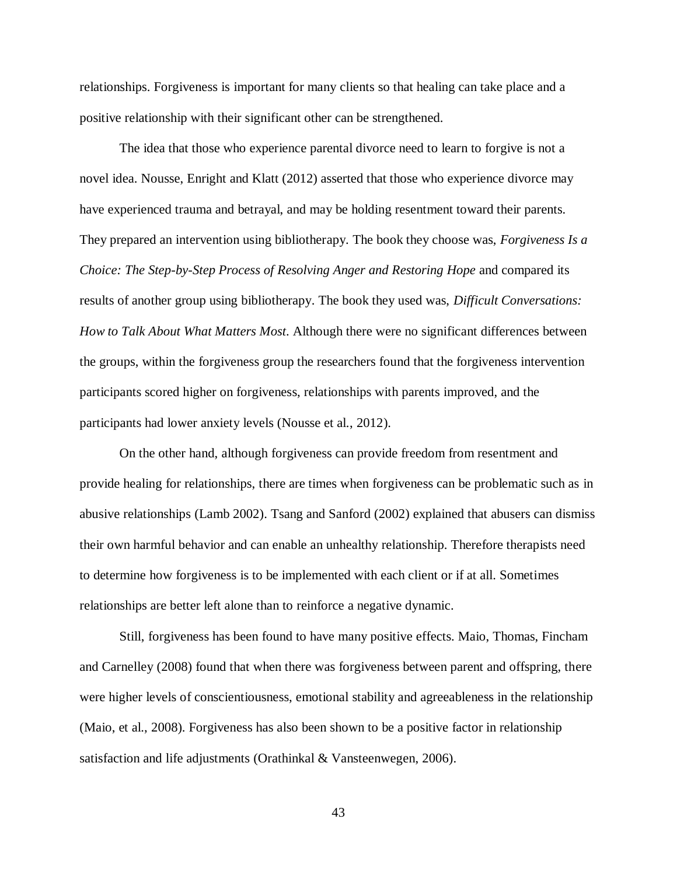relationships. Forgiveness is important for many clients so that healing can take place and a positive relationship with their significant other can be strengthened.

The idea that those who experience parental divorce need to learn to forgive is not a novel idea. Nousse, Enright and Klatt (2012) asserted that those who experience divorce may have experienced trauma and betrayal, and may be holding resentment toward their parents. They prepared an intervention using bibliotherapy. The book they choose was, *Forgiveness Is a Choice: The Step-by-Step Process of Resolving Anger and Restoring Hope* and compared its results of another group using bibliotherapy. The book they used was, *Difficult Conversations: How to Talk About What Matters Most*. Although there were no significant differences between the groups, within the forgiveness group the researchers found that the forgiveness intervention participants scored higher on forgiveness, relationships with parents improved, and the participants had lower anxiety levels (Nousse et al., 2012).

On the other hand, although forgiveness can provide freedom from resentment and provide healing for relationships, there are times when forgiveness can be problematic such as in abusive relationships (Lamb 2002). Tsang and Sanford (2002) explained that abusers can dismiss their own harmful behavior and can enable an unhealthy relationship. Therefore therapists need to determine how forgiveness is to be implemented with each client or if at all. Sometimes relationships are better left alone than to reinforce a negative dynamic.

Still, forgiveness has been found to have many positive effects. Maio, Thomas, Fincham and Carnelley (2008) found that when there was forgiveness between parent and offspring, there were higher levels of conscientiousness, emotional stability and agreeableness in the relationship (Maio, et al., 2008). Forgiveness has also been shown to be a positive factor in relationship satisfaction and life adjustments (Orathinkal & Vansteenwegen, 2006).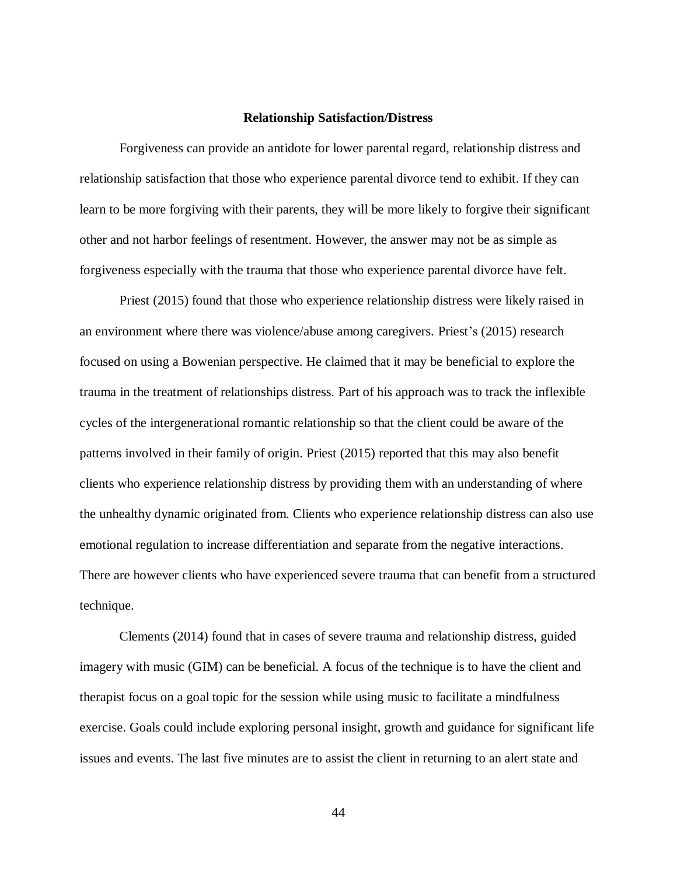#### **Relationship Satisfaction/Distress**

Forgiveness can provide an antidote for lower parental regard, relationship distress and relationship satisfaction that those who experience parental divorce tend to exhibit. If they can learn to be more forgiving with their parents, they will be more likely to forgive their significant other and not harbor feelings of resentment. However, the answer may not be as simple as forgiveness especially with the trauma that those who experience parental divorce have felt.

Priest (2015) found that those who experience relationship distress were likely raised in an environment where there was violence/abuse among caregivers. Priest's (2015) research focused on using a Bowenian perspective. He claimed that it may be beneficial to explore the trauma in the treatment of relationships distress. Part of his approach was to track the inflexible cycles of the intergenerational romantic relationship so that the client could be aware of the patterns involved in their family of origin. Priest (2015) reported that this may also benefit clients who experience relationship distress by providing them with an understanding of where the unhealthy dynamic originated from. Clients who experience relationship distress can also use emotional regulation to increase differentiation and separate from the negative interactions. There are however clients who have experienced severe trauma that can benefit from a structured technique.

Clements (2014) found that in cases of severe trauma and relationship distress, guided imagery with music (GIM) can be beneficial. A focus of the technique is to have the client and therapist focus on a goal topic for the session while using music to facilitate a mindfulness exercise. Goals could include exploring personal insight, growth and guidance for significant life issues and events. The last five minutes are to assist the client in returning to an alert state and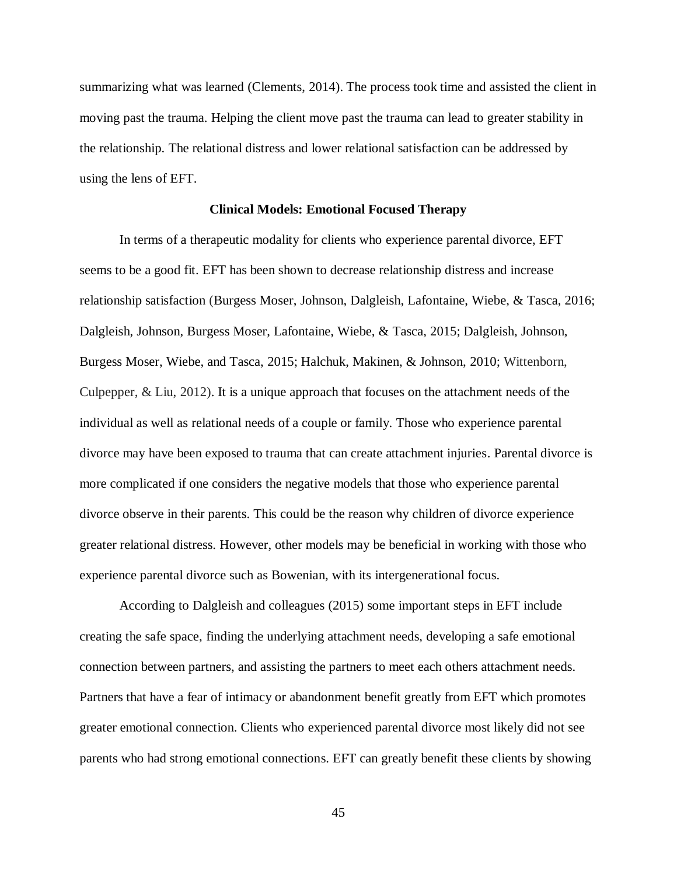summarizing what was learned (Clements, 2014). The process took time and assisted the client in moving past the trauma. Helping the client move past the trauma can lead to greater stability in the relationship. The relational distress and lower relational satisfaction can be addressed by using the lens of EFT.

#### **Clinical Models: Emotional Focused Therapy**

In terms of a therapeutic modality for clients who experience parental divorce, EFT seems to be a good fit. EFT has been shown to decrease relationship distress and increase relationship satisfaction (Burgess Moser, Johnson, Dalgleish, Lafontaine, Wiebe, & Tasca, 2016; Dalgleish, Johnson, Burgess Moser, Lafontaine, Wiebe, & Tasca, 2015; Dalgleish, Johnson, Burgess Moser, Wiebe, and Tasca, 2015; Halchuk, Makinen, & Johnson, 2010; Wittenborn, Culpepper, & Liu, 2012). It is a unique approach that focuses on the attachment needs of the individual as well as relational needs of a couple or family. Those who experience parental divorce may have been exposed to trauma that can create attachment injuries. Parental divorce is more complicated if one considers the negative models that those who experience parental divorce observe in their parents. This could be the reason why children of divorce experience greater relational distress. However, other models may be beneficial in working with those who experience parental divorce such as Bowenian, with its intergenerational focus.

According to Dalgleish and colleagues (2015) some important steps in EFT include creating the safe space, finding the underlying attachment needs, developing a safe emotional connection between partners, and assisting the partners to meet each others attachment needs. Partners that have a fear of intimacy or abandonment benefit greatly from EFT which promotes greater emotional connection. Clients who experienced parental divorce most likely did not see parents who had strong emotional connections. EFT can greatly benefit these clients by showing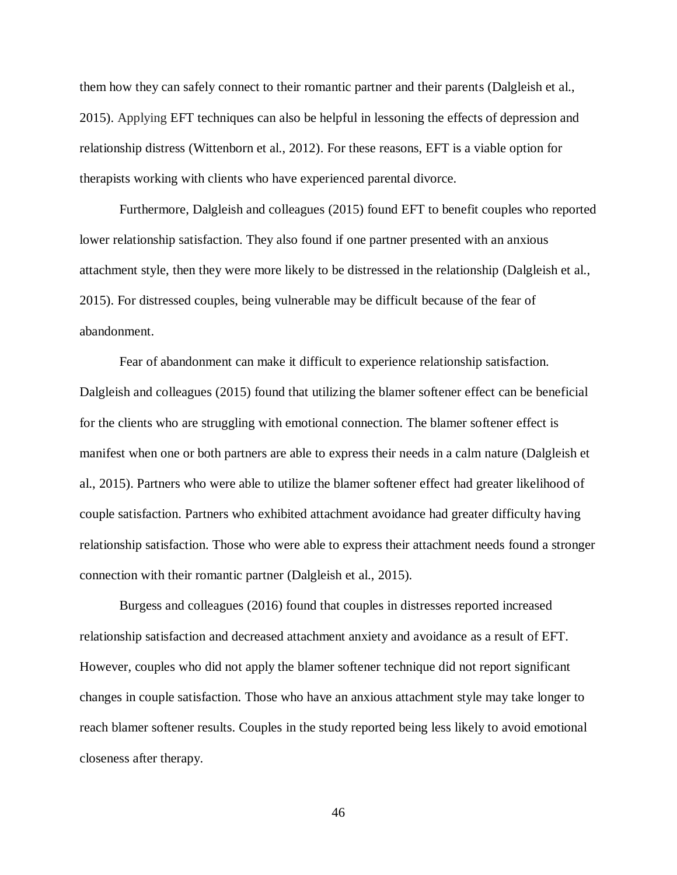them how they can safely connect to their romantic partner and their parents (Dalgleish et al., 2015). Applying EFT techniques can also be helpful in lessoning the effects of depression and relationship distress (Wittenborn et al., 2012). For these reasons, EFT is a viable option for therapists working with clients who have experienced parental divorce.

Furthermore, Dalgleish and colleagues (2015) found EFT to benefit couples who reported lower relationship satisfaction. They also found if one partner presented with an anxious attachment style, then they were more likely to be distressed in the relationship (Dalgleish et al., 2015). For distressed couples, being vulnerable may be difficult because of the fear of abandonment.

Fear of abandonment can make it difficult to experience relationship satisfaction. Dalgleish and colleagues (2015) found that utilizing the blamer softener effect can be beneficial for the clients who are struggling with emotional connection. The blamer softener effect is manifest when one or both partners are able to express their needs in a calm nature (Dalgleish et al., 2015). Partners who were able to utilize the blamer softener effect had greater likelihood of couple satisfaction. Partners who exhibited attachment avoidance had greater difficulty having relationship satisfaction. Those who were able to express their attachment needs found a stronger connection with their romantic partner (Dalgleish et al., 2015).

Burgess and colleagues (2016) found that couples in distresses reported increased relationship satisfaction and decreased attachment anxiety and avoidance as a result of EFT. However, couples who did not apply the blamer softener technique did not report significant changes in couple satisfaction. Those who have an anxious attachment style may take longer to reach blamer softener results. Couples in the study reported being less likely to avoid emotional closeness after therapy.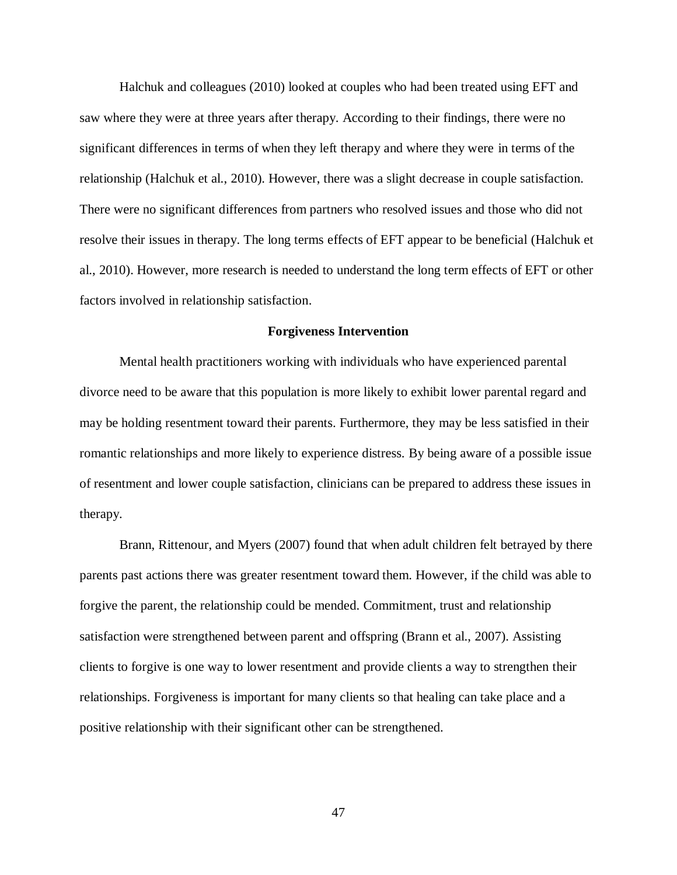Halchuk and colleagues (2010) looked at couples who had been treated using EFT and saw where they were at three years after therapy. According to their findings, there were no significant differences in terms of when they left therapy and where they were in terms of the relationship (Halchuk et al., 2010). However, there was a slight decrease in couple satisfaction. There were no significant differences from partners who resolved issues and those who did not resolve their issues in therapy. The long terms effects of EFT appear to be beneficial (Halchuk et al., 2010). However, more research is needed to understand the long term effects of EFT or other factors involved in relationship satisfaction.

#### **Forgiveness Intervention**

Mental health practitioners working with individuals who have experienced parental divorce need to be aware that this population is more likely to exhibit lower parental regard and may be holding resentment toward their parents. Furthermore, they may be less satisfied in their romantic relationships and more likely to experience distress. By being aware of a possible issue of resentment and lower couple satisfaction, clinicians can be prepared to address these issues in therapy.

Brann, Rittenour, and Myers (2007) found that when adult children felt betrayed by there parents past actions there was greater resentment toward them. However, if the child was able to forgive the parent, the relationship could be mended. Commitment, trust and relationship satisfaction were strengthened between parent and offspring (Brann et al., 2007). Assisting clients to forgive is one way to lower resentment and provide clients a way to strengthen their relationships. Forgiveness is important for many clients so that healing can take place and a positive relationship with their significant other can be strengthened.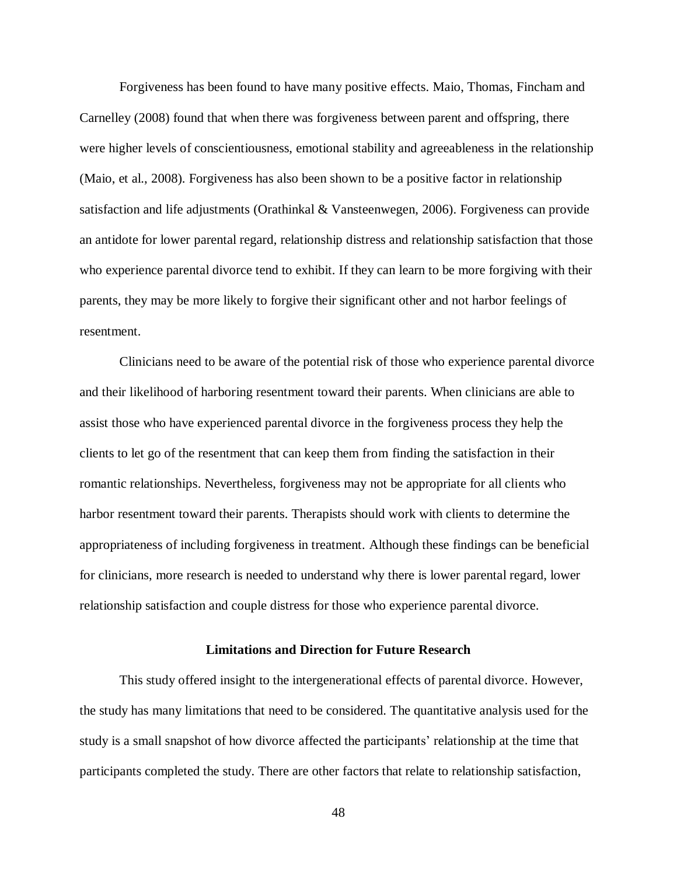Forgiveness has been found to have many positive effects. Maio, Thomas, Fincham and Carnelley (2008) found that when there was forgiveness between parent and offspring, there were higher levels of conscientiousness, emotional stability and agreeableness in the relationship (Maio, et al., 2008). Forgiveness has also been shown to be a positive factor in relationship satisfaction and life adjustments (Orathinkal & Vansteenwegen, 2006). Forgiveness can provide an antidote for lower parental regard, relationship distress and relationship satisfaction that those who experience parental divorce tend to exhibit. If they can learn to be more forgiving with their parents, they may be more likely to forgive their significant other and not harbor feelings of resentment.

Clinicians need to be aware of the potential risk of those who experience parental divorce and their likelihood of harboring resentment toward their parents. When clinicians are able to assist those who have experienced parental divorce in the forgiveness process they help the clients to let go of the resentment that can keep them from finding the satisfaction in their romantic relationships. Nevertheless, forgiveness may not be appropriate for all clients who harbor resentment toward their parents. Therapists should work with clients to determine the appropriateness of including forgiveness in treatment. Although these findings can be beneficial for clinicians, more research is needed to understand why there is lower parental regard, lower relationship satisfaction and couple distress for those who experience parental divorce.

## **Limitations and Direction for Future Research**

This study offered insight to the intergenerational effects of parental divorce. However, the study has many limitations that need to be considered. The quantitative analysis used for the study is a small snapshot of how divorce affected the participants' relationship at the time that participants completed the study. There are other factors that relate to relationship satisfaction,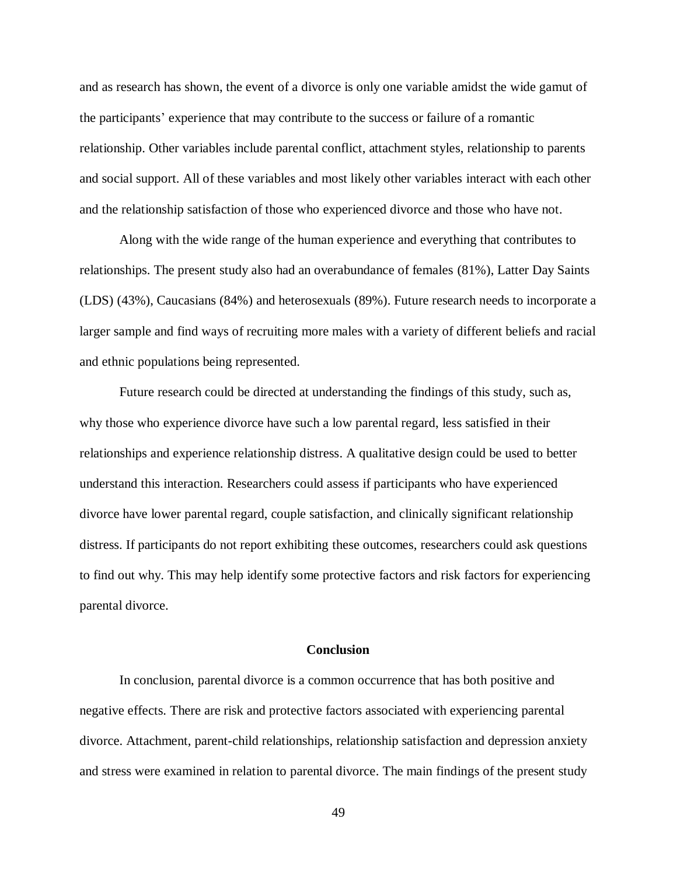and as research has shown, the event of a divorce is only one variable amidst the wide gamut of the participants' experience that may contribute to the success or failure of a romantic relationship. Other variables include parental conflict, attachment styles, relationship to parents and social support. All of these variables and most likely other variables interact with each other and the relationship satisfaction of those who experienced divorce and those who have not.

Along with the wide range of the human experience and everything that contributes to relationships. The present study also had an overabundance of females (81%), Latter Day Saints (LDS) (43%), Caucasians (84%) and heterosexuals (89%). Future research needs to incorporate a larger sample and find ways of recruiting more males with a variety of different beliefs and racial and ethnic populations being represented.

Future research could be directed at understanding the findings of this study, such as, why those who experience divorce have such a low parental regard, less satisfied in their relationships and experience relationship distress. A qualitative design could be used to better understand this interaction. Researchers could assess if participants who have experienced divorce have lower parental regard, couple satisfaction, and clinically significant relationship distress. If participants do not report exhibiting these outcomes, researchers could ask questions to find out why. This may help identify some protective factors and risk factors for experiencing parental divorce.

#### **Conclusion**

In conclusion, parental divorce is a common occurrence that has both positive and negative effects. There are risk and protective factors associated with experiencing parental divorce. Attachment, parent-child relationships, relationship satisfaction and depression anxiety and stress were examined in relation to parental divorce. The main findings of the present study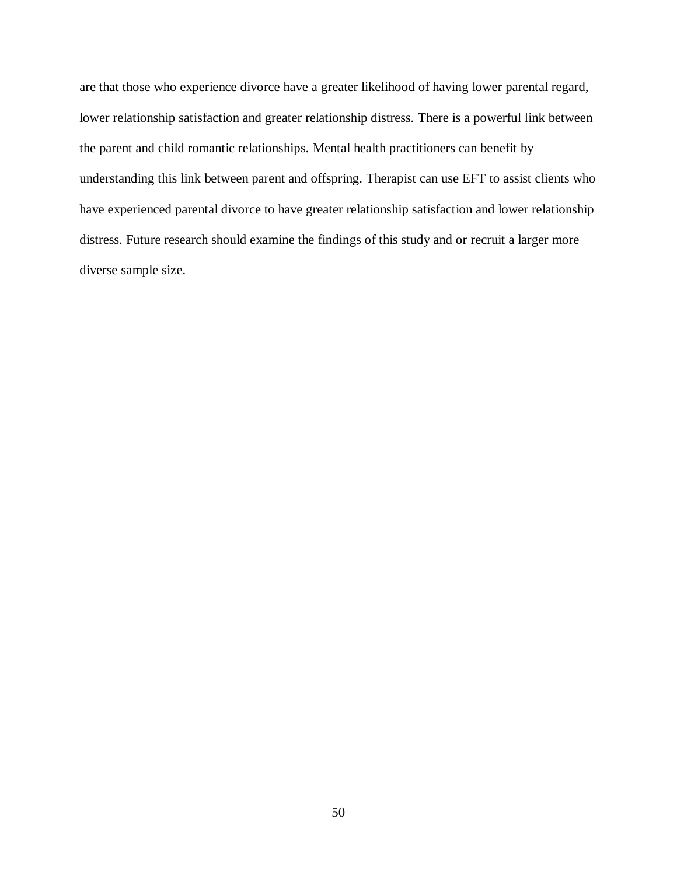are that those who experience divorce have a greater likelihood of having lower parental regard, lower relationship satisfaction and greater relationship distress. There is a powerful link between the parent and child romantic relationships. Mental health practitioners can benefit by understanding this link between parent and offspring. Therapist can use EFT to assist clients who have experienced parental divorce to have greater relationship satisfaction and lower relationship distress. Future research should examine the findings of this study and or recruit a larger more diverse sample size.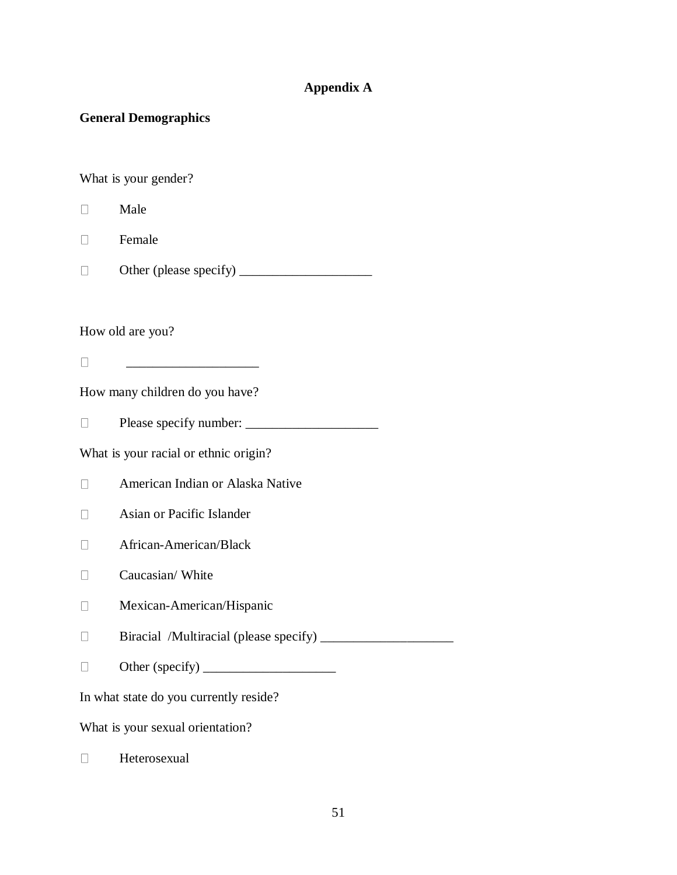## **Appendix A**

## **General Demographics**

What is your gender?

- $\Box$ Male
- Female  $\Box$
- Other (please specify) \_\_\_\_\_\_\_\_\_\_\_\_\_\_\_\_\_\_\_\_  $\Box$

How old are you?

 $\overline{\phantom{a}}$  , we can consider the constraint of the constraint  $\overline{\phantom{a}}$  $\Box$ 

How many children do you have?

Please specify number: \_\_\_\_\_\_\_\_\_\_\_\_\_\_\_\_\_\_\_\_  $\Box$ 

What is your racial or ethnic origin?

American Indian or Alaska Native  $\Box$ 

- Asian or Pacific Islander  $\Box$
- African-American/Black  $\Box$
- $\Box$ Caucasian/ White
- $\Box$ Mexican-American/Hispanic
- Biracial /Multiracial (please specify) \_\_\_\_\_\_\_\_\_\_\_\_\_\_\_\_\_\_\_\_  $\Box$
- Other (specify) \_\_\_\_\_\_\_\_\_\_\_\_\_\_\_\_\_\_\_\_  $\Box$

In what state do you currently reside?

What is your sexual orientation?

 $\Box$ Heterosexual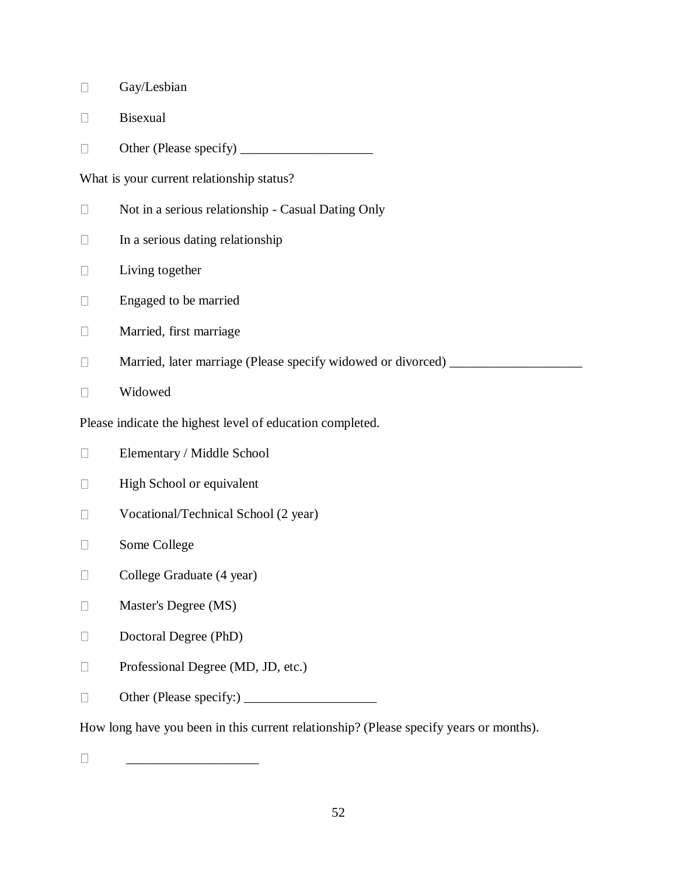- $\Box$ Gay/Lesbian
- $\Box$ Bisexual
- Other (Please specify) \_\_\_\_\_\_\_\_\_\_\_\_\_\_\_\_\_\_\_\_  $\Box$

What is your current relationship status?

- $\Box$ Not in a serious relationship - Casual Dating Only
- $\Box$ In a serious dating relationship
- $\Box$ Living together
- Engaged to be married  $\Box$
- $\hfill \square$ Married, first marriage
- $\Box$ Married, later marriage (Please specify widowed or divorced) \_\_\_\_\_\_\_\_\_\_\_\_\_\_\_\_\_\_\_
- Widowed  $\Box$

Please indicate the highest level of education completed.

- $\hfill \square$ Elementary / Middle School
- High School or equivalent  $\hfill \square$
- Vocational/Technical School (2 year)  $\Box$
- Some College  $\Box$
- $\Box$ College Graduate (4 year)
- Master's Degree (MS)  $\Box$
- $\Box$ Doctoral Degree (PhD)
- Professional Degree (MD, JD, etc.)  $\Box$
- Other (Please specify:) \_\_\_\_\_\_\_\_\_\_\_\_\_\_\_\_\_\_\_\_  $\Box$

How long have you been in this current relationship? (Please specify years or months).

 $\Box$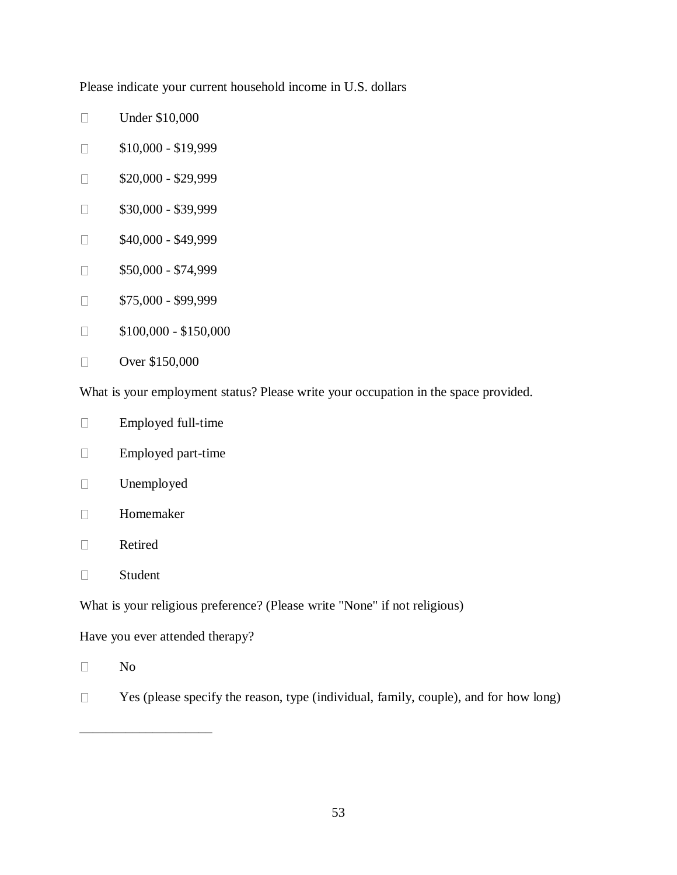Please indicate your current household income in U.S. dollars

- $\Box$ Under \$10,000
- \$10,000 \$19,999  $\Box$
- \$20,000 \$29,999  $\Box$
- $\Box$ \$30,000 - \$39,999
- \$40,000 \$49,999  $\Box$
- \$50,000 \$74,999  $\Box$
- \$75,000 \$99,999  $\Box$
- $\Box$ \$100,000 - \$150,000
- $\Box$ Over \$150,000

What is your employment status? Please write your occupation in the space provided.

- Employed full-time  $\Box$
- Employed part-time  $\Box$
- Unemployed  $\Box$
- $\Box$ Homemaker
- $\Box$ Retired
- $\Box$ Student

What is your religious preference? (Please write "None" if not religious)

Have you ever attended therapy?

\_\_\_\_\_\_\_\_\_\_\_\_\_\_\_\_\_\_\_\_

- $\Box$ No
- Yes (please specify the reason, type (individual, family, couple), and for how long)  $\Box$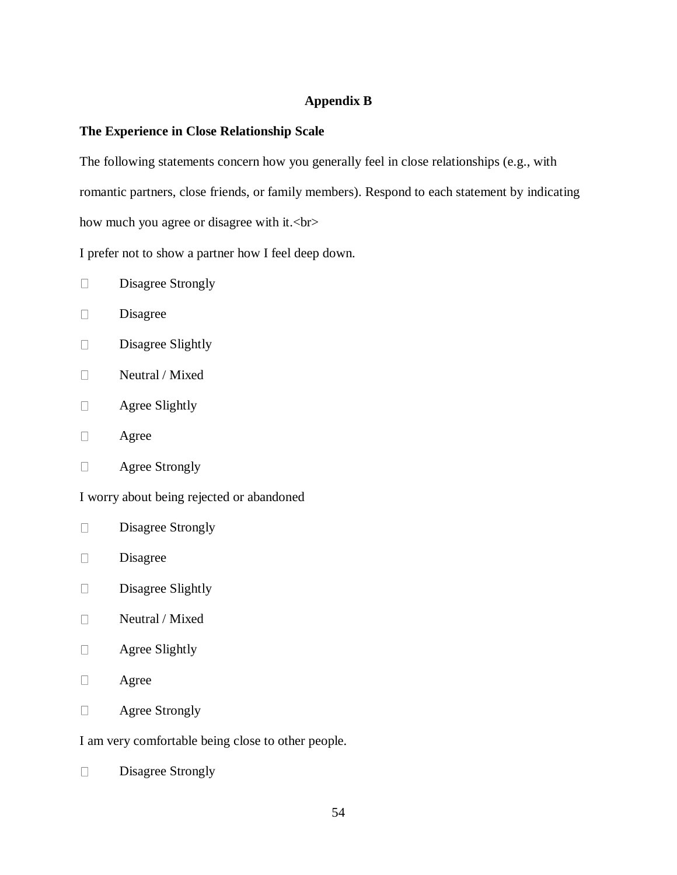# **Appendix B**

## **The Experience in Close Relationship Scale**

The following statements concern how you generally feel in close relationships (e.g., with romantic partners, close friends, or family members). Respond to each statement by indicating how much you agree or disagree with it.<br>

I prefer not to show a partner how I feel deep down.

- $\Box$ Disagree Strongly
- $\Box$ Disagree
- $\Box$ Disagree Slightly
- Neutral / Mixed  $\Box$
- $\Box$ Agree Slightly
- $\Box$ Agree
- $\Box$ Agree Strongly

I worry about being rejected or abandoned

- $\Box$ Disagree Strongly
- $\Box$ Disagree
- $\Box$ Disagree Slightly
- $\Box$ Neutral / Mixed
- $\Box$ Agree Slightly
- $\Box$ Agree
- $\Box$ Agree Strongly

I am very comfortable being close to other people.

 $\Box$ Disagree Strongly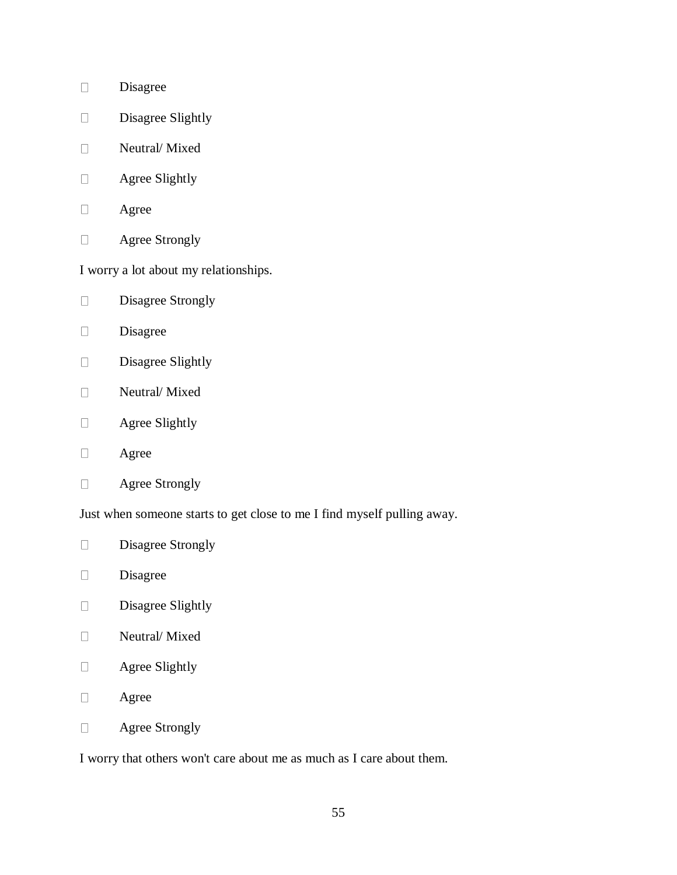- Disagree  $\Box$
- Disagree Slightly  $\Box$
- Neutral/ Mixed  $\Box$
- $\Box$ Agree Slightly
- $\Box$ Agree
- Agree Strongly  $\Box$

I worry a lot about my relationships.

- Disagree Strongly  $\Box$
- Disagree  $\Box$
- $\Box$ Disagree Slightly
- Neutral/ Mixed  $\Box$
- Agree Slightly  $\Box$
- Agree  $\Box$
- Agree Strongly  $\Box$

Just when someone starts to get close to me I find myself pulling away.

- $\Box$ Disagree Strongly
- Disagree  $\Box$
- $\Box$ Disagree Slightly
- $\Box$ Neutral/ Mixed
- Agree Slightly  $\Box$
- $\Box$ Agree
- Agree Strongly  $\Box$

I worry that others won't care about me as much as I care about them.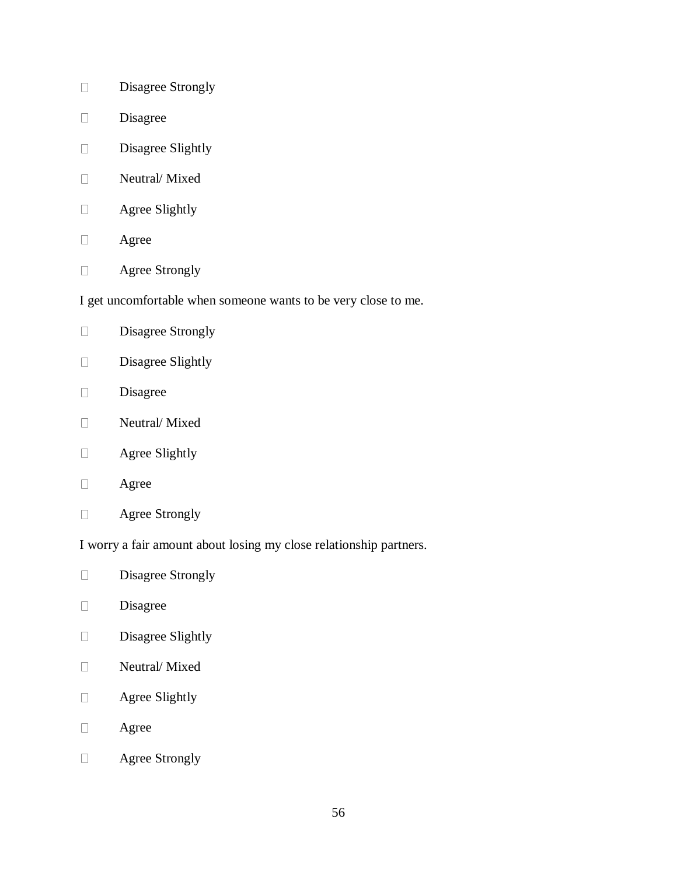- Disagree Strongly  $\Box$
- $\Box$ Disagree
- Disagree Slightly  $\Box$
- Neutral/ Mixed  $\Box$
- Agree Slightly  $\Box$
- Agree  $\Box$
- Agree Strongly  $\Box$

I get uncomfortable when someone wants to be very close to me.

- Disagree Strongly  $\Box$
- $\Box$ Disagree Slightly
- Disagree  $\Box$
- Neutral/ Mixed  $\Box$
- Agree Slightly  $\hfill \square$
- Agree  $\Box$
- $\Box$ Agree Strongly

I worry a fair amount about losing my close relationship partners.

- Disagree Strongly  $\Box$
- $\Box$ Disagree
- $\Box$ Disagree Slightly
- $\Box$ Neutral/ Mixed
- Agree Slightly  $\Box$
- $\Box$ Agree
- Agree Strongly $\Box$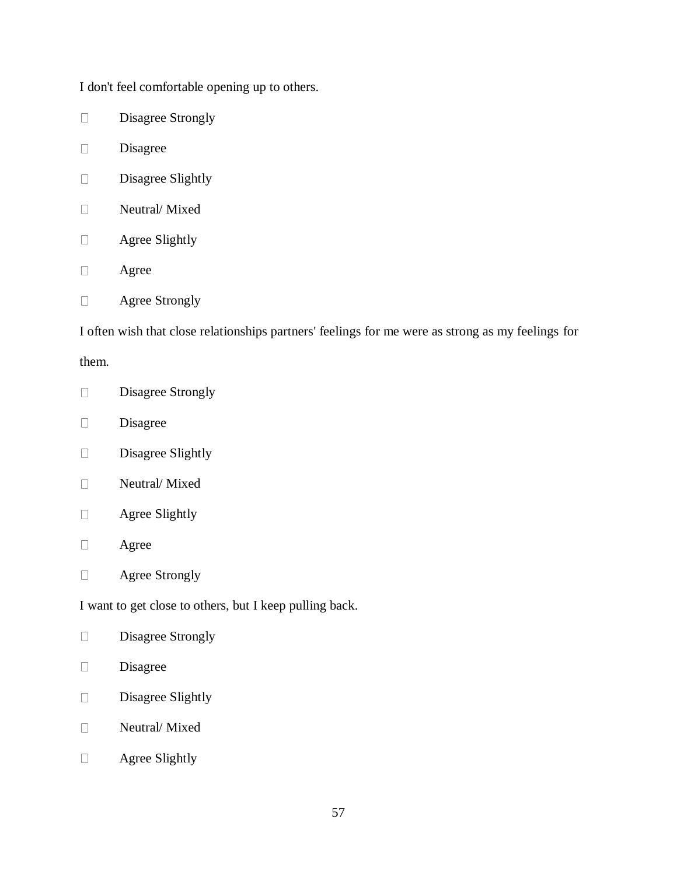I don't feel comfortable opening up to others.

- Disagree Strongly  $\Box$
- $\Box$ Disagree
- $\Box$ Disagree Slightly
- $\Box$ Neutral/ Mixed
- Agree Slightly  $\Box$
- Agree  $\Box$
- Agree Strongly  $\Box$

I often wish that close relationships partners' feelings for me were as strong as my feelings for

them.

- Disagree Strongly  $\Box$
- Disagree  $\Box$
- Disagree Slightly  $\Box$
- Neutral/ Mixed  $\Box$
- $\Box$ Agree Slightly
- $\Box$ Agree
- Agree Strongly  $\Box$

I want to get close to others, but I keep pulling back.

- $\Box$ Disagree Strongly
- Disagree  $\Box$
- Disagree Slightly  $\Box$
- Neutral/ Mixed  $\Box$
- Agree Slightly $\Box$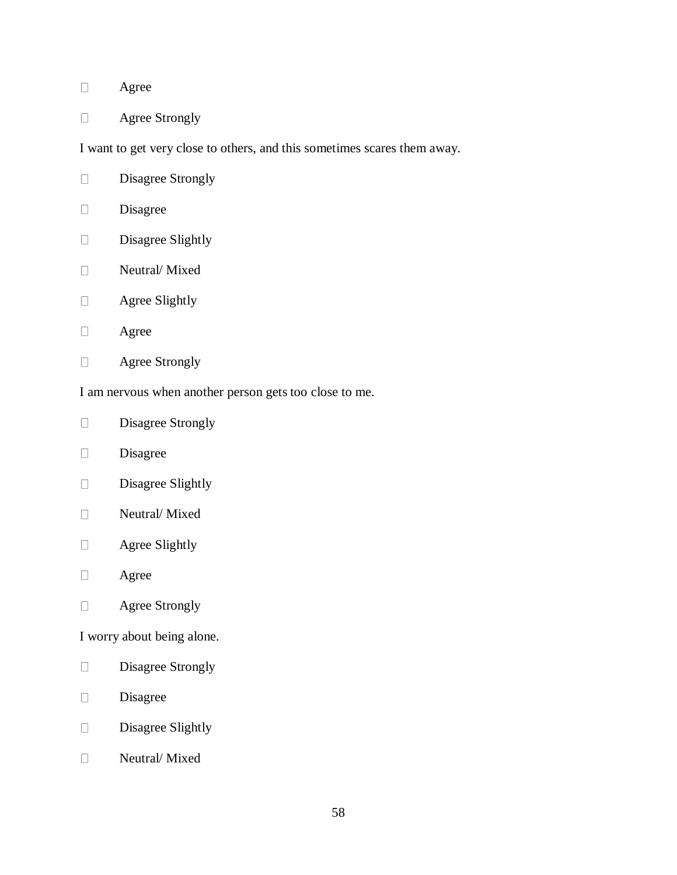#### Agree  $\Box$

Agree Strongly  $\Box$ 

I want to get very close to others, and this sometimes scares them away.

- Disagree Strongly  $\Box$
- $\Box$ Disagree
- Disagree Slightly  $\Box$
- Neutral/ Mixed  $\Box$
- Agree Slightly  $\Box$
- $\Box$ Agree
- $\Box$ Agree Strongly

I am nervous when another person gets too close to me.

- Disagree Strongly  $\Box$
- Disagree  $\Box$
- Disagree Slightly  $\Box$
- Neutral/ Mixed  $\Box$
- $\Box$ Agree Slightly
- $\Box$ Agree
- $\Box$ Agree Strongly

I worry about being alone.

- Disagree Strongly  $\Box$
- Disagree  $\Box$
- Disagree Slightly  $\Box$
- Neutral/ Mixed $\Box$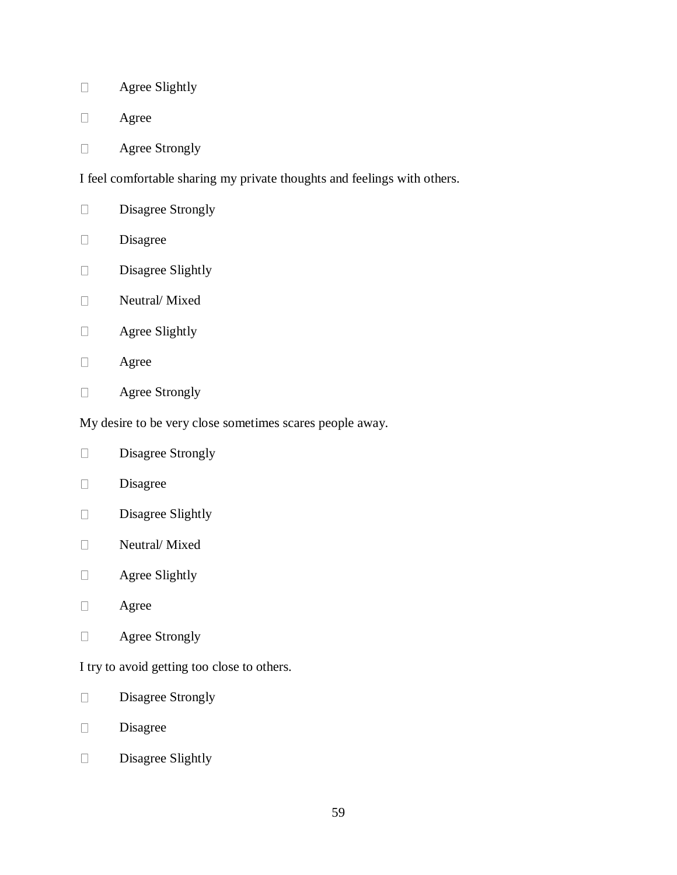- Agree Slightly  $\Box$
- $\Box$ Agree
- Agree Strongly  $\Box$

I feel comfortable sharing my private thoughts and feelings with others.

- Disagree Strongly  $\Box$
- Disagree  $\Box$
- Disagree Slightly  $\Box$
- Neutral/ Mixed  $\Box$
- Agree Slightly  $\Box$
- $\Box$ Agree
- Agree Strongly  $\Box$

My desire to be very close sometimes scares people away.

- Disagree Strongly  $\hfill \square$
- Disagree  $\Box$
- Disagree Slightly  $\Box$
- Neutral/ Mixed  $\Box$
- Agree Slightly  $\Box$
- $\Box$ Agree
- $\Box$ Agree Strongly

I try to avoid getting too close to others.

- Disagree Strongly  $\Box$
- Disagree  $\Box$
- Disagree Slightly $\Box$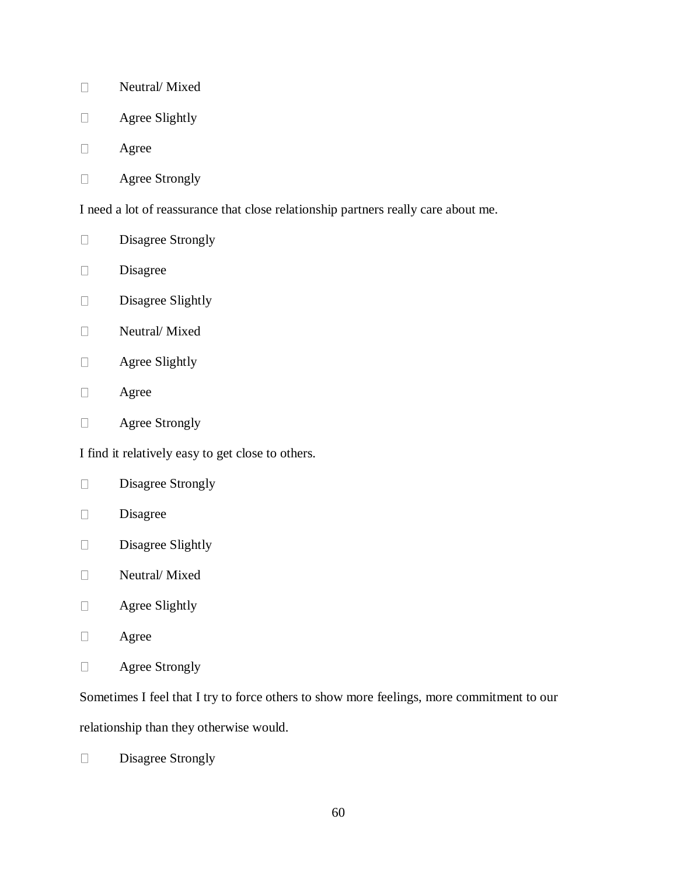- Neutral/ Mixed  $\Box$
- $\Box$ Agree Slightly
- Agree  $\Box$
- Agree Strongly  $\Box$

I need a lot of reassurance that close relationship partners really care about me.

- Disagree Strongly  $\Box$
- $\Box$ Disagree
- Disagree Slightly  $\Box$
- $\Box$ Neutral/ Mixed
- Agree Slightly  $\Box$
- $\Box$ Agree
- Agree Strongly  $\Box$

I find it relatively easy to get close to others.

- Disagree Strongly  $\Box$
- $\Box$ Disagree
- $\Box$ Disagree Slightly
- Neutral/ Mixed  $\Box$
- $\Box$ Agree Slightly
- $\Box$ Agree
- Agree Strongly  $\Box$

Sometimes I feel that I try to force others to show more feelings, more commitment to our

relationship than they otherwise would.

Disagree Strongly $\Box$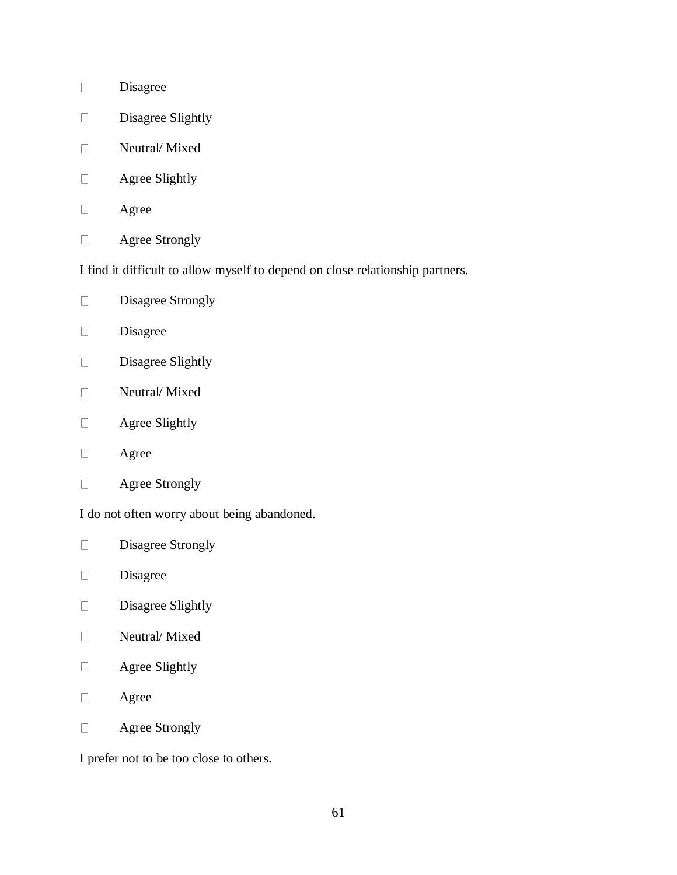- Disagree  $\Box$
- Disagree Slightly  $\Box$
- Neutral/ Mixed  $\Box$
- $\Box$ Agree Slightly
- $\Box$ Agree
- Agree Strongly  $\Box$

I find it difficult to allow myself to depend on close relationship partners.

- Disagree Strongly  $\Box$
- Disagree  $\Box$
- $\Box$ Disagree Slightly
- Neutral/ Mixed  $\Box$
- Agree Slightly  $\Box$
- Agree  $\Box$
- Agree Strongly  $\Box$

I do not often worry about being abandoned.

- Disagree Strongly  $\Box$
- Disagree  $\Box$
- $\Box$ Disagree Slightly
- Neutral/ Mixed  $\Box$
- Agree Slightly  $\Box$
- $\Box$ Agree
- Agree Strongly  $\Box$

I prefer not to be too close to others.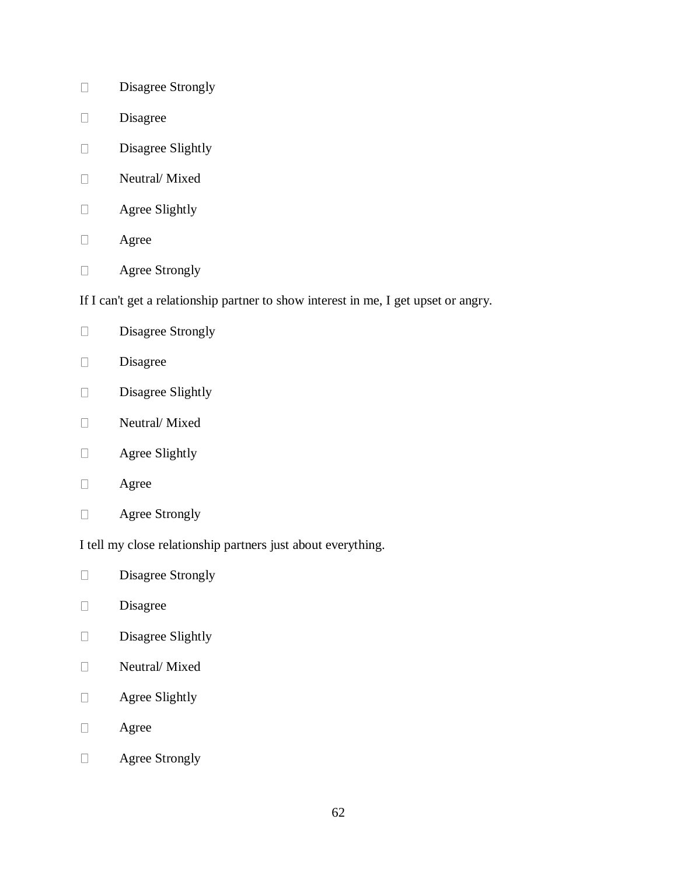- Disagree Strongly  $\Box$
- $\Box$ Disagree
- Disagree Slightly  $\Box$
- Neutral/ Mixed  $\Box$
- Agree Slightly  $\Box$
- Agree  $\Box$
- Agree Strongly  $\hfill \square$

If I can't get a relationship partner to show interest in me, I get upset or angry.

- Disagree Strongly  $\Box$
- $\Box$ Disagree
- Disagree Slightly  $\Box$
- Neutral/ Mixed  $\Box$
- Agree Slightly  $\hfill \square$
- Agree  $\Box$
- $\Box$ Agree Strongly

I tell my close relationship partners just about everything.

- Disagree Strongly  $\Box$
- $\Box$ Disagree
- $\Box$ Disagree Slightly
- Neutral/ Mixed  $\Box$
- Agree Slightly  $\Box$
- $\Box$ Agree
- $\Box$ Agree Strongly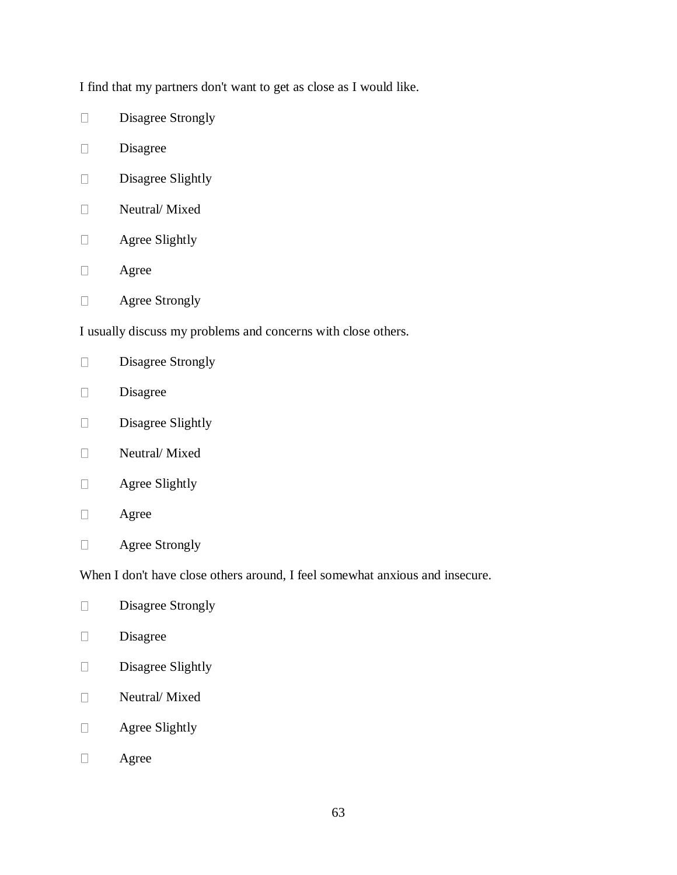I find that my partners don't want to get as close as I would like.

- Disagree Strongly  $\Box$
- $\Box$ Disagree
- $\Box$ Disagree Slightly
- $\Box$ Neutral/ Mixed
- Agree Slightly  $\Box$
- Agree  $\Box$
- Agree Strongly  $\Box$

I usually discuss my problems and concerns with close others.

- $\Box$ Disagree Strongly
- Disagree  $\Box$
- Disagree Slightly  $\Box$
- $\Box$ Neutral/ Mixed
- Agree Slightly  $\Box$
- $\Box$ Agree
- $\Box$ Agree Strongly

When I don't have close others around, I feel somewhat anxious and insecure.

- $\Box$ Disagree Strongly
- $\Box$ Disagree
- Disagree Slightly  $\Box$
- Neutral/ Mixed  $\Box$
- $\Box$ Agree Slightly
- $\Box$ Agree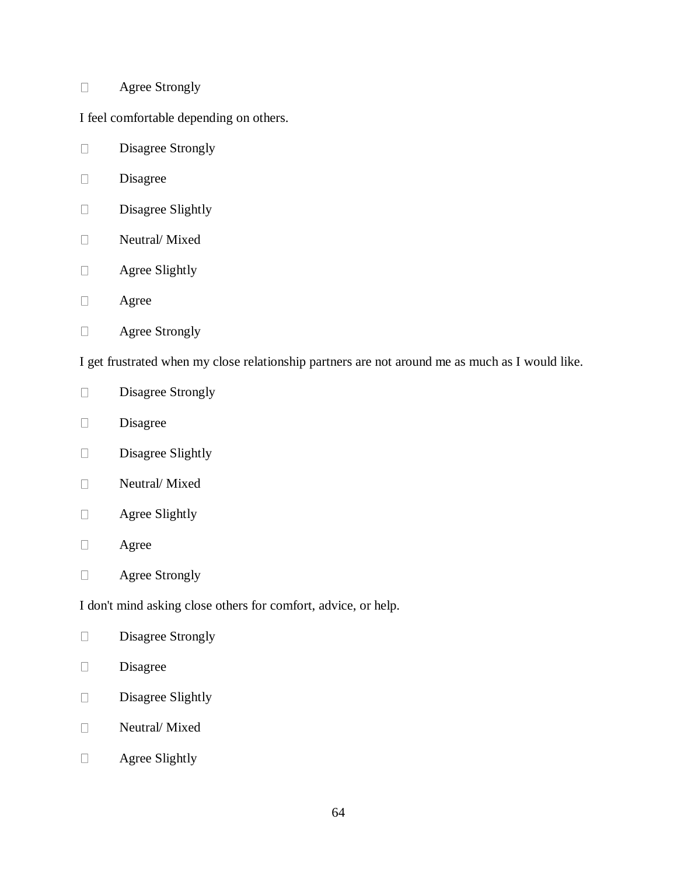#### Agree Strongly  $\Box$

I feel comfortable depending on others.

- Disagree Strongly  $\Box$
- $\Box$ Disagree
- Disagree Slightly  $\Box$
- Neutral/ Mixed  $\Box$
- Agree Slightly  $\Box$
- Agree  $\Box$
- Agree Strongly  $\Box$

I get frustrated when my close relationship partners are not around me as much as I would like.

- Disagree Strongly  $\Box$
- Disagree  $\Box$
- Disagree Slightly  $\Box$
- Neutral/ Mixed  $\Box$
- $\Box$ Agree Slightly
- $\Box$ Agree
- Agree Strongly  $\Box$

I don't mind asking close others for comfort, advice, or help.

- $\Box$ Disagree Strongly
- Disagree  $\Box$
- Disagree Slightly  $\Box$
- Neutral/ Mixed  $\Box$
- Agree Slightly $\Box$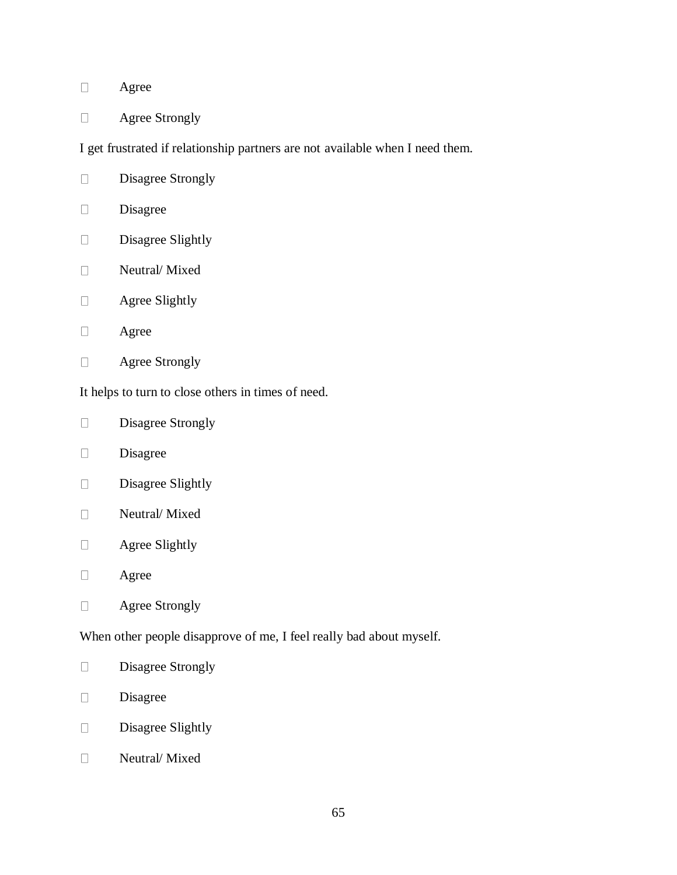#### Agree  $\Box$

Agree Strongly  $\Box$ 

I get frustrated if relationship partners are not available when I need them.

- Disagree Strongly  $\Box$
- $\Box$ Disagree
- Disagree Slightly  $\Box$
- Neutral/ Mixed  $\Box$
- Agree Slightly  $\Box$
- $\Box$ Agree
- $\Box$ Agree Strongly

It helps to turn to close others in times of need.

- Disagree Strongly  $\Box$
- Disagree  $\Box$
- Disagree Slightly  $\Box$
- $\Box$ Neutral/ Mixed
- $\Box$ Agree Slightly
- $\Box$ Agree
- $\Box$ Agree Strongly

When other people disapprove of me, I feel really bad about myself.

- Disagree Strongly  $\Box$
- Disagree  $\Box$
- Disagree Slightly  $\Box$
- $\Box$ Neutral/ Mixed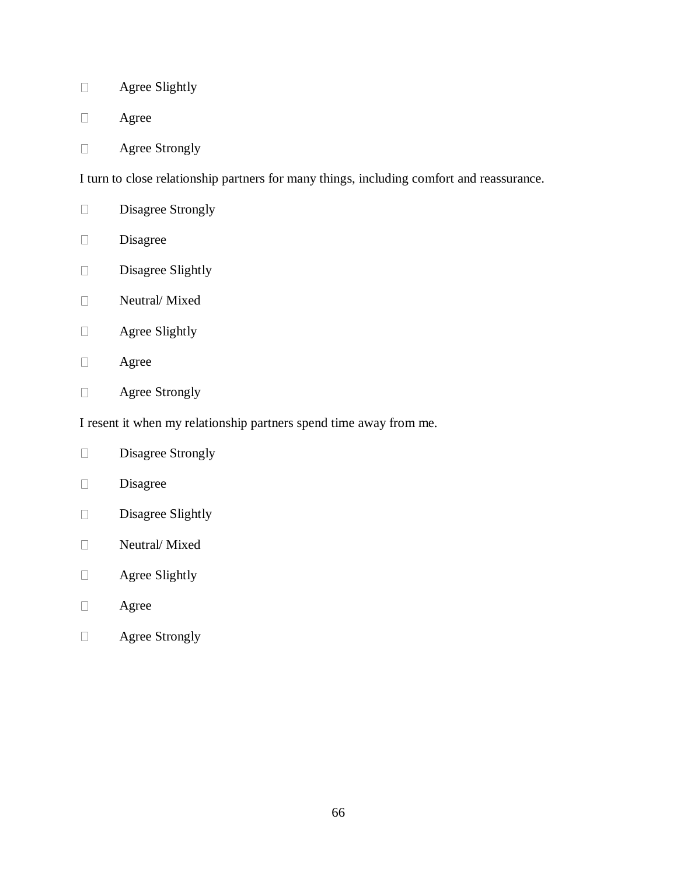- Agree Slightly  $\Box$
- $\Box$ Agree
- Agree Strongly  $\Box$

I turn to close relationship partners for many things, including comfort and reassurance.

- Disagree Strongly  $\Box$
- Disagree  $\Box$
- Disagree Slightly  $\Box$
- Neutral/ Mixed  $\Box$
- Agree Slightly  $\Box$
- $\Box$ Agree
- Agree Strongly  $\Box$

I resent it when my relationship partners spend time away from me.

- Disagree Strongly  $\Box$
- $\Box$ Disagree
- Disagree Slightly  $\Box$
- Neutral/ Mixed  $\Box$
- Agree Slightly  $\Box$
- $\Box$ Agree
- Agree Strongly $\Box$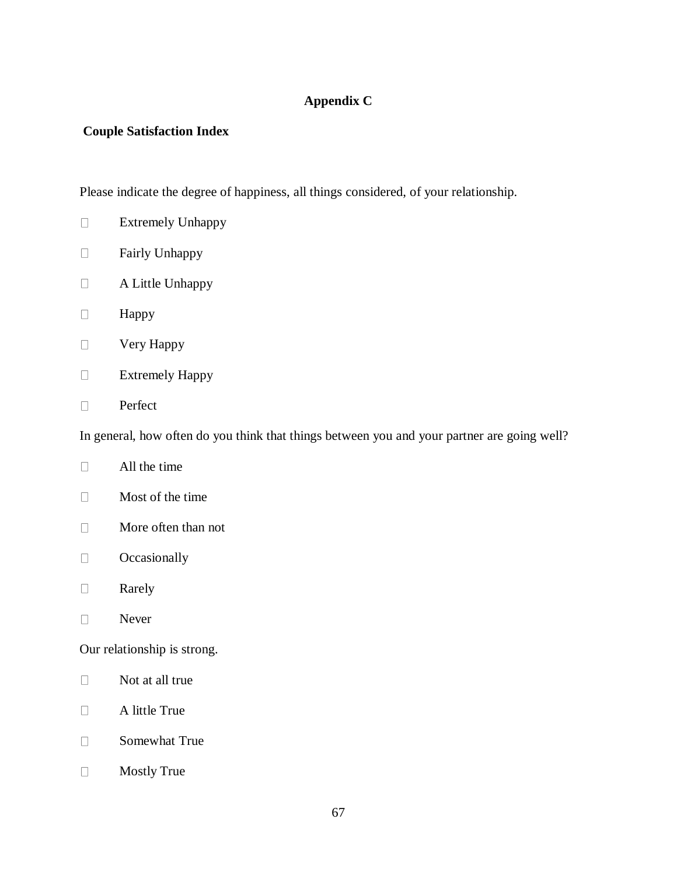# **Appendix C**

# **Couple Satisfaction Index**

Please indicate the degree of happiness, all things considered, of your relationship.

- Extremely Unhappy  $\Box$
- Fairly Unhappy  $\Box$
- A Little Unhappy  $\Box$
- $\Box$ Happy
- $\Box$ Very Happy
- $\Box$ Extremely Happy
- $\Box$ Perfect

In general, how often do you think that things between you and your partner are going well?

- $\Box$ All the time
- $\Box$ Most of the time
- $\Box$ More often than not
- **Occasionally**  $\Box$
- $\Box$ Rarely
- $\Box$ Never

Our relationship is strong.

- Not at all true  $\Box$
- $\Box$ A little True
- Somewhat True  $\Box$
- $\Box$ Mostly True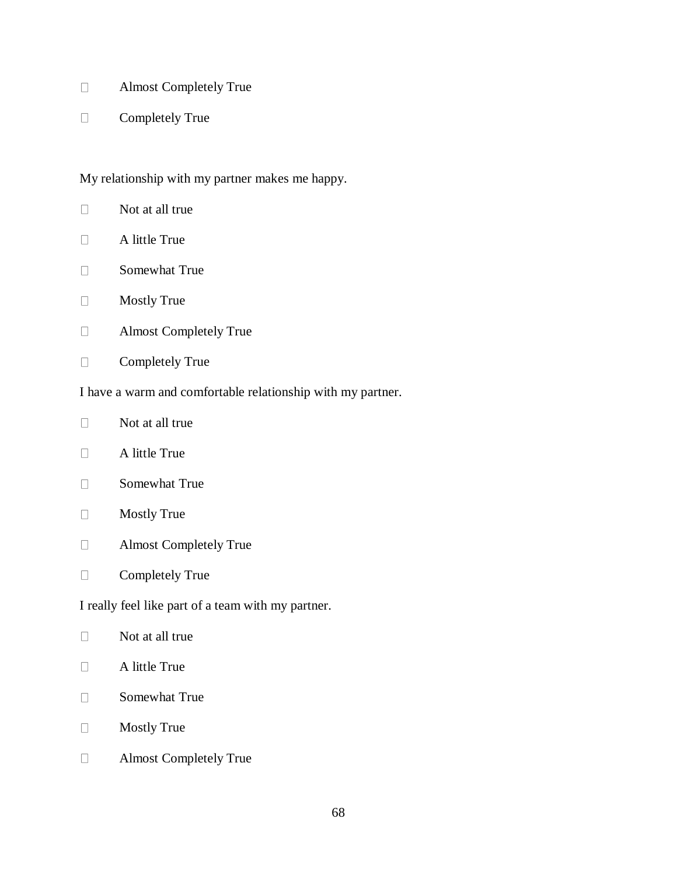- Almost Completely True  $\Box$
- Completely True  $\Box$

My relationship with my partner makes me happy.

- $\Box$ Not at all true
- A little True  $\Box$
- $\Box$ Somewhat True
- Mostly True  $\Box$
- Almost Completely True  $\Box$
- $\Box$ Completely True

I have a warm and comfortable relationship with my partner.

- $\Box$ Not at all true
- $\Box$ A little True
- Somewhat True  $\Box$
- $\Box$ Mostly True
- Almost Completely True  $\Box$
- Completely True  $\Box$

I really feel like part of a team with my partner.

- $\Box$ A little True
- $\Box$ Somewhat True
- $\Box$ Mostly True
- Almost Completely True $\Box$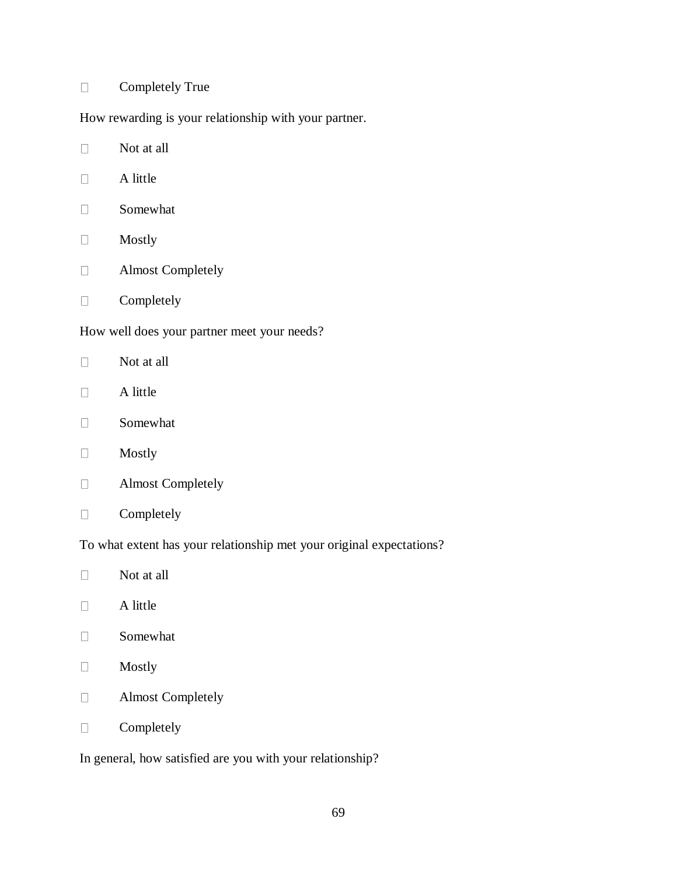#### Completely True  $\Box$

How rewarding is your relationship with your partner.

- Not at all  $\Box$
- $\Box$ A little
- $\Box$ Somewhat
- Mostly  $\Box$
- Almost Completely  $\Box$
- Completely  $\Box$

How well does your partner meet your needs?

- $\Box$ Not at all
- $\Box$ A little
- $\Box$ Somewhat
- Mostly  $\Box$
- Almost Completely  $\Box$
- $\Box$ Completely

To what extent has your relationship met your original expectations?

- Not at all  $\Box$
- $\Box$ A little
- $\Box$ Somewhat
- Mostly  $\Box$
- Almost Completely  $\Box$
- Completely  $\Box$

In general, how satisfied are you with your relationship?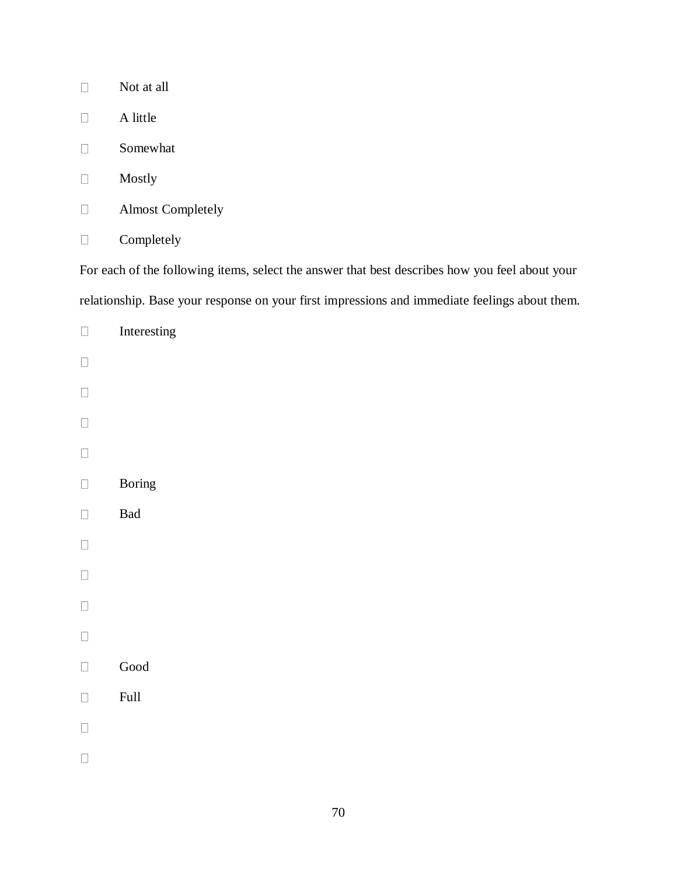| Not at all               |
|--------------------------|
| A little                 |
| Somewhat                 |
| Mostly                   |
| <b>Almost Completely</b> |
| Completely               |

For each of the following items, select the answer that best describes how you feel about your relationship. Base your response on your first impressions and immediate feelings about them.

| $\Box$ | Interesting           |
|--------|-----------------------|
| $\Box$ |                       |
| $\Box$ |                       |
| $\Box$ |                       |
| $\Box$ |                       |
| $\Box$ | <b>Boring</b>         |
| $\Box$ | Bad                   |
| $\Box$ |                       |
| $\Box$ |                       |
| $\Box$ |                       |
| $\Box$ |                       |
| $\Box$ | $\operatorname{Good}$ |
| $\Box$ | $\operatorname{Full}$ |
| $\Box$ |                       |
| $\Box$ |                       |
|        |                       |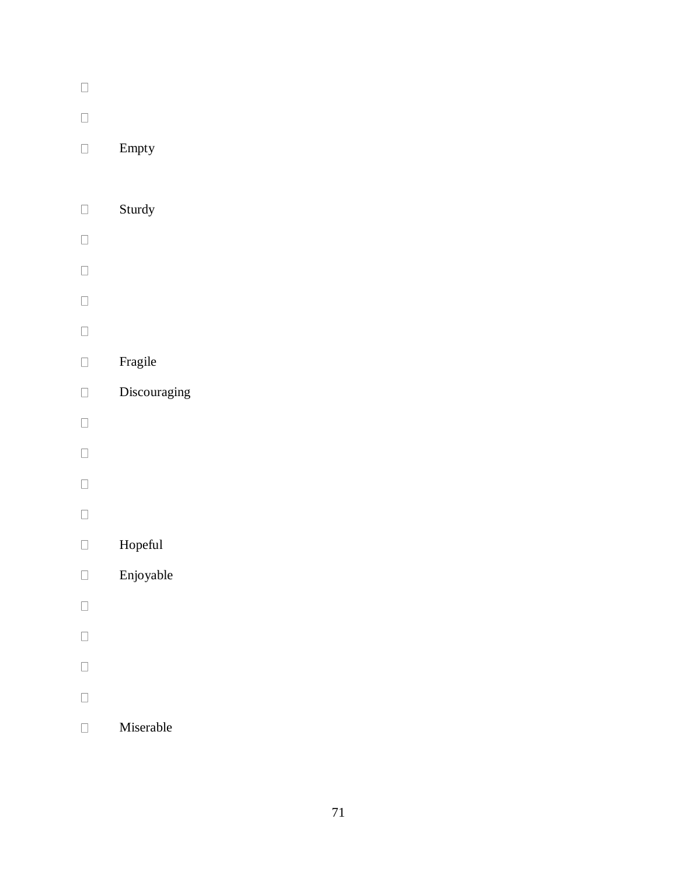| $\overline{\phantom{0}}$ |              |
|--------------------------|--------------|
| П                        |              |
| П                        | Empty        |
|                          |              |
| $\Box$                   | Sturdy       |
| $\Box$                   |              |
| $\Box$                   |              |
| $\Box$                   |              |
| $\Box$                   |              |
| П                        | Fragile      |
| $\Box$                   | Discouraging |
| $\Box$                   |              |
| $\Box$                   |              |
| $\Box$                   |              |
| $\Box$                   |              |
| П                        | Hopeful      |
|                          | Enjoyable    |
| $\Box$                   |              |
| П                        |              |
| $\overline{\phantom{0}}$ |              |
| $\Box$                   |              |

Miserable $\hfill \square$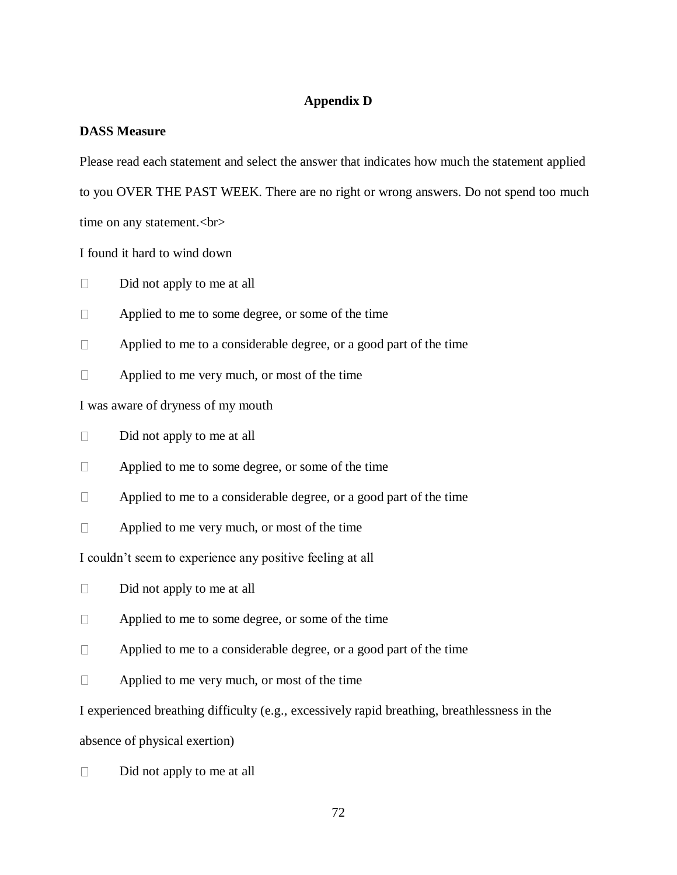# **Appendix D**

# **DASS Measure**

Please read each statement and select the answer that indicates how much the statement applied to you OVER THE PAST WEEK. There are no right or wrong answers. Do not spend too much

time on any statement.<br>

I found it hard to wind down

 $\Box$ Did not apply to me at all

 $\Box$ Applied to me to some degree, or some of the time

 $\Box$ Applied to me to a considerable degree, or a good part of the time

Applied to me very much, or most of the time  $\Box$ 

I was aware of dryness of my mouth

 $\Box$ Did not apply to me at all

 $\Box$ Applied to me to some degree, or some of the time

Applied to me to a considerable degree, or a good part of the time  $\Box$ 

 $\Box$ Applied to me very much, or most of the time

I couldn't seem to experience any positive feeling at all

 $\Box$ Did not apply to me at all

 $\Box$ Applied to me to some degree, or some of the time

 $\Box$ Applied to me to a considerable degree, or a good part of the time

 $\Box$ Applied to me very much, or most of the time

I experienced breathing difficulty (e.g., excessively rapid breathing, breathlessness in the

absence of physical exertion)

 $\Box$ Did not apply to me at all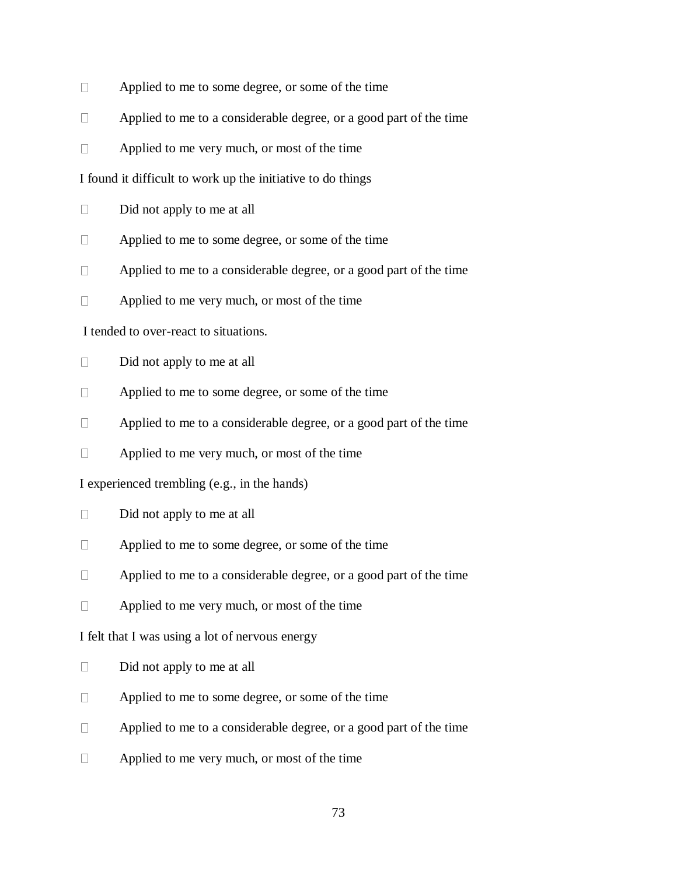- $\Box$ Applied to me to some degree, or some of the time
- $\Box$ Applied to me to a considerable degree, or a good part of the time
- $\Box$ Applied to me very much, or most of the time

I found it difficult to work up the initiative to do things

- $\Box$ Did not apply to me at all
- $\Box$ Applied to me to some degree, or some of the time
- $\Box$ Applied to me to a considerable degree, or a good part of the time
- Applied to me very much, or most of the time  $\Box$

I tended to over-react to situations.

- $\Box$ Did not apply to me at all
- $\Box$ Applied to me to some degree, or some of the time
- $\Box$ Applied to me to a considerable degree, or a good part of the time
- $\Box$ Applied to me very much, or most of the time

I experienced trembling (e.g., in the hands)

- $\Box$ Did not apply to me at all
- Applied to me to some degree, or some of the time  $\Box$
- $\Box$ Applied to me to a considerable degree, or a good part of the time
- $\Box$ Applied to me very much, or most of the time

I felt that I was using a lot of nervous energy

- Did not apply to me at all  $\Box$
- $\Box$ Applied to me to some degree, or some of the time
- $\Box$ Applied to me to a considerable degree, or a good part of the time
- $\Box$ Applied to me very much, or most of the time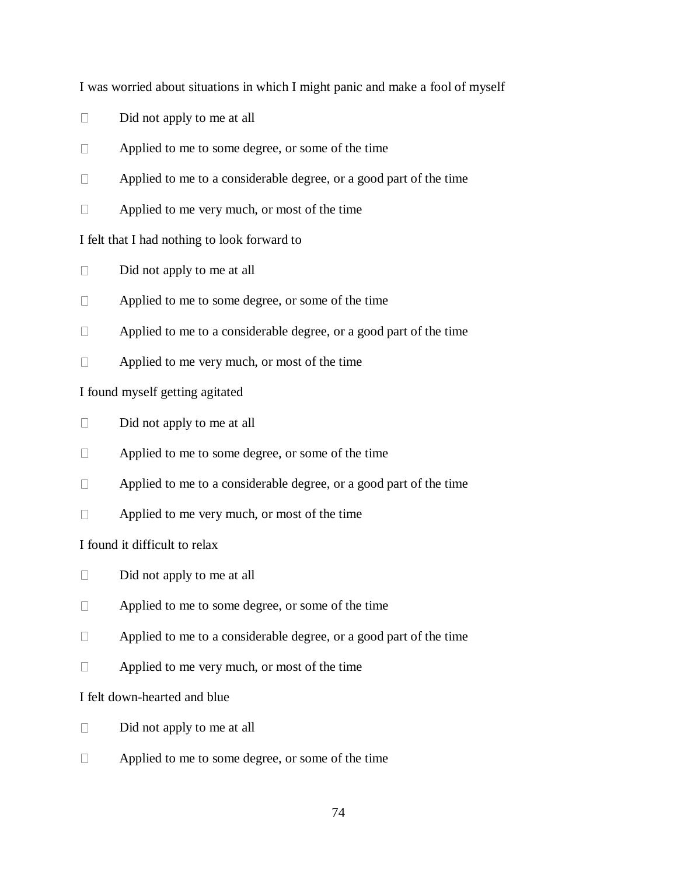I was worried about situations in which I might panic and make a fool of myself

- $\Box$ Did not apply to me at all
- $\Box$ Applied to me to some degree, or some of the time
- $\Box$ Applied to me to a considerable degree, or a good part of the time
- $\Box$ Applied to me very much, or most of the time

# I felt that I had nothing to look forward to

- $\Box$ Did not apply to me at all
- Applied to me to some degree, or some of the time  $\Box$
- $\Box$ Applied to me to a considerable degree, or a good part of the time
- $\Box$ Applied to me very much, or most of the time

# I found myself getting agitated

- $\Box$ Did not apply to me at all
- $\Box$ Applied to me to some degree, or some of the time
- $\Box$ Applied to me to a considerable degree, or a good part of the time
- $\Box$ Applied to me very much, or most of the time

# I found it difficult to relax

- $\Box$ Did not apply to me at all
- $\Box$ Applied to me to some degree, or some of the time
- $\Box$ Applied to me to a considerable degree, or a good part of the time
- Applied to me very much, or most of the time  $\Box$

# I felt down-hearted and blue

- $\Box$ Did not apply to me at all
- Applied to me to some degree, or some of the time $\Box$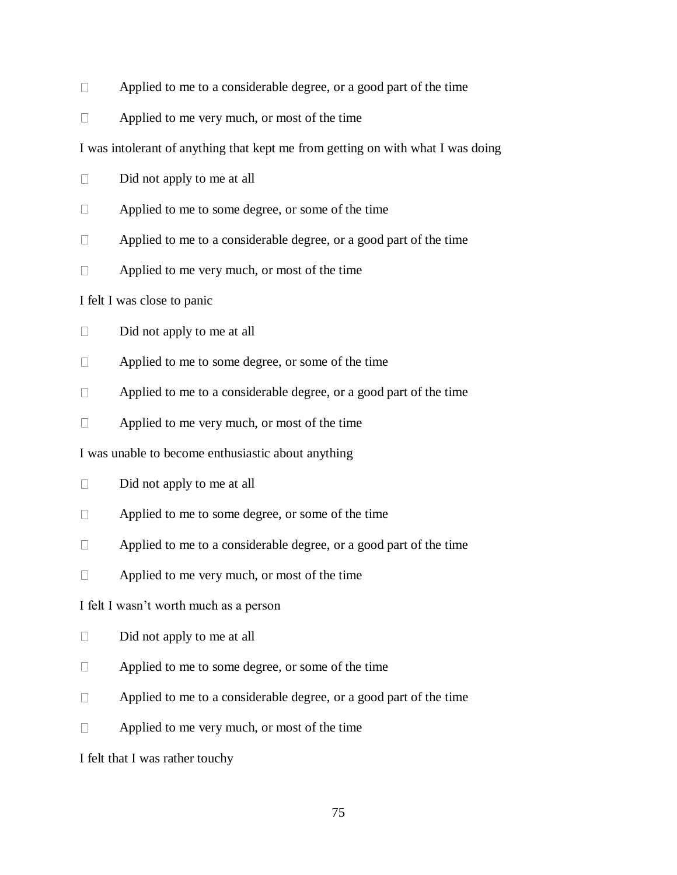- $\Box$ Applied to me to a considerable degree, or a good part of the time
- $\Box$ Applied to me very much, or most of the time

I was intolerant of anything that kept me from getting on with what I was doing

- $\Box$ Did not apply to me at all
- $\Box$ Applied to me to some degree, or some of the time
- $\Box$ Applied to me to a considerable degree, or a good part of the time
- $\Box$ Applied to me very much, or most of the time

I felt I was close to panic

- $\Box$ Did not apply to me at all
- $\Box$ Applied to me to some degree, or some of the time
- $\Box$ Applied to me to a considerable degree, or a good part of the time
- $\Box$ Applied to me very much, or most of the time

I was unable to become enthusiastic about anything

- $\Box$ Did not apply to me at all
- $\Box$ Applied to me to some degree, or some of the time
- $\Box$ Applied to me to a considerable degree, or a good part of the time
- $\Box$ Applied to me very much, or most of the time

I felt I wasn't worth much as a person

- $\Box$ Did not apply to me at all
- Applied to me to some degree, or some of the time  $\Box$
- Applied to me to a considerable degree, or a good part of the time  $\Box$
- Applied to me very much, or most of the time  $\Box$

I felt that I was rather touchy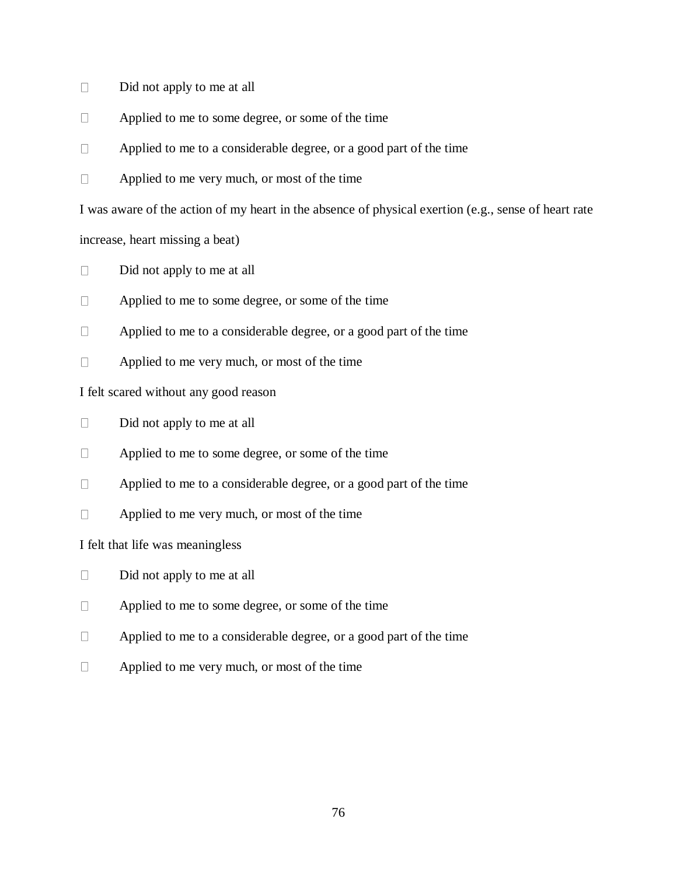- $\Box$ Did not apply to me at all
- $\Box$ Applied to me to some degree, or some of the time
- $\Box$ Applied to me to a considerable degree, or a good part of the time
- $\Box$ Applied to me very much, or most of the time

I was aware of the action of my heart in the absence of physical exertion (e.g., sense of heart rate

increase, heart missing a beat)

- $\Box$ Did not apply to me at all
- Applied to me to some degree, or some of the time  $\Box$
- $\Box$ Applied to me to a considerable degree, or a good part of the time
- $\Box$ Applied to me very much, or most of the time

I felt scared without any good reason

- $\Box$ Did not apply to me at all
- $\Box$ Applied to me to some degree, or some of the time
- $\Box$ Applied to me to a considerable degree, or a good part of the time
- $\Box$ Applied to me very much, or most of the time

# I felt that life was meaningless

- $\Box$ Did not apply to me at all
- $\Box$ Applied to me to some degree, or some of the time
- $\Box$ Applied to me to a considerable degree, or a good part of the time
- Applied to me very much, or most of the time $\Box$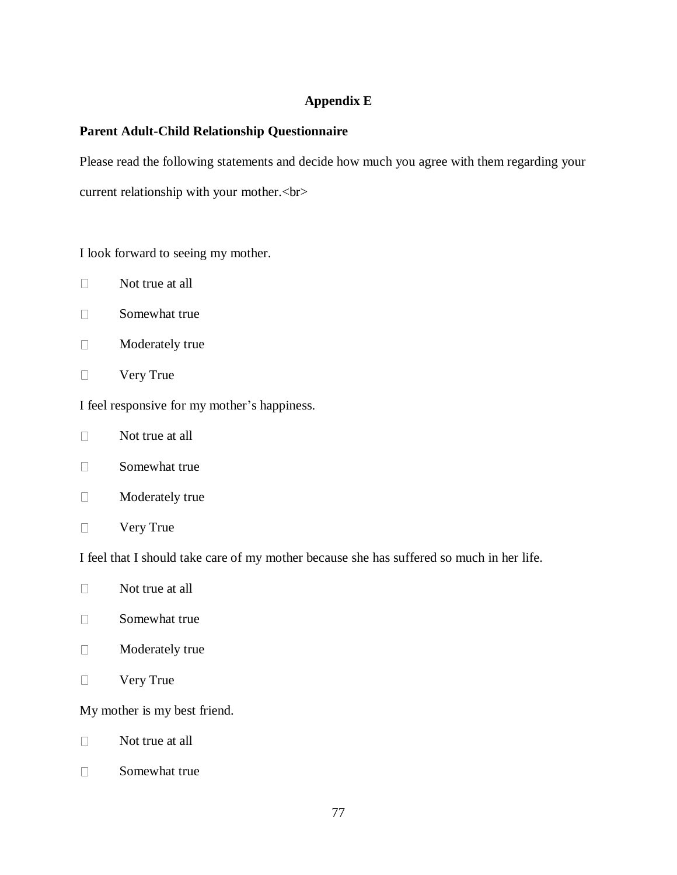# **Appendix E**

# **Parent Adult-Child Relationship Questionnaire**

Please read the following statements and decide how much you agree with them regarding your current relationship with your mother.<br>

I look forward to seeing my mother.

- $\Box$ Not true at all
- $\Box$ Somewhat true
- $\Box$ Moderately true
- Very True  $\Box$

I feel responsive for my mother's happiness.

- Not true at all  $\Box$
- $\Box$ Somewhat true
- $\Box$ Moderately true
- $\Box$ Very True

I feel that I should take care of my mother because she has suffered so much in her life.

- $\Box$ Not true at all
- $\Box$ Somewhat true
- $\Box$ Moderately true
- $\Box$ Very True

My mother is my best friend.

- $\Box$ Not true at all
- Somewhat true $\Box$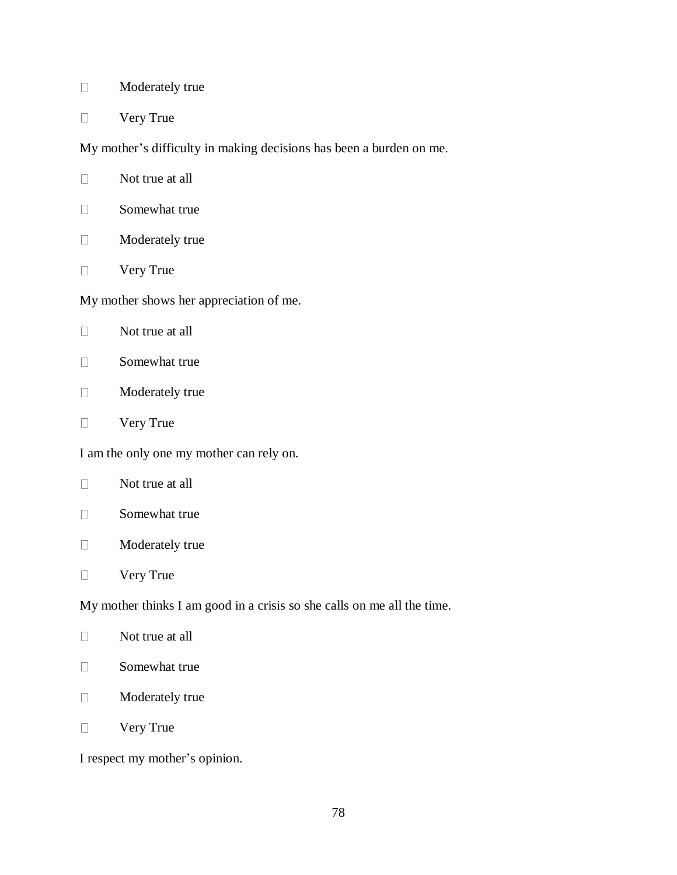- Moderately true  $\Box$
- Very True  $\Box$

My mother's difficulty in making decisions has been a burden on me.

- Not true at all  $\Box$
- $\Box$ Somewhat true
- Moderately true  $\Box$
- Very True  $\Box$

My mother shows her appreciation of me.

- $\Box$ Not true at all
- $\Box$ Somewhat true
- $\Box$ Moderately true
- Very True  $\Box$

I am the only one my mother can rely on.

- $\Box$ Not true at all
- $\Box$ Somewhat true
- Moderately true  $\Box$
- Very True  $\Box$

My mother thinks I am good in a crisis so she calls on me all the time.

- $\Box$ Not true at all
- $\Box$ Somewhat true
- $\Box$ Moderately true
- Very True  $\Box$

I respect my mother's opinion.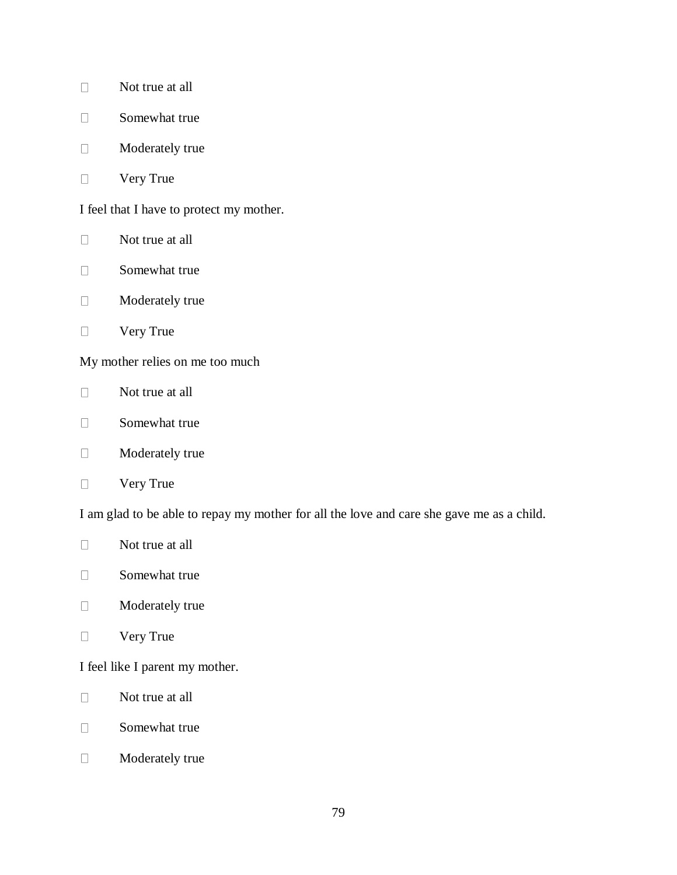- Not true at all  $\Box$
- $\Box$ Somewhat true
- Moderately true  $\Box$
- Very True  $\Box$

I feel that I have to protect my mother.

- $\Box$ Not true at all
- $\Box$ Somewhat true
- Moderately true  $\Box$
- Very True  $\Box$

My mother relies on me too much

- $\Box$ Not true at all
- $\Box$ Somewhat true
- Moderately true  $\Box$
- Very True  $\Box$

I am glad to be able to repay my mother for all the love and care she gave me as a child.

- $\Box$ Not true at all
- Somewhat true  $\Box$
- $\Box$ Moderately true
- $\Box$ Very True

I feel like I parent my mother.

- $\Box$ Not true at all
- $\Box$ Somewhat true
- $\Box$ Moderately true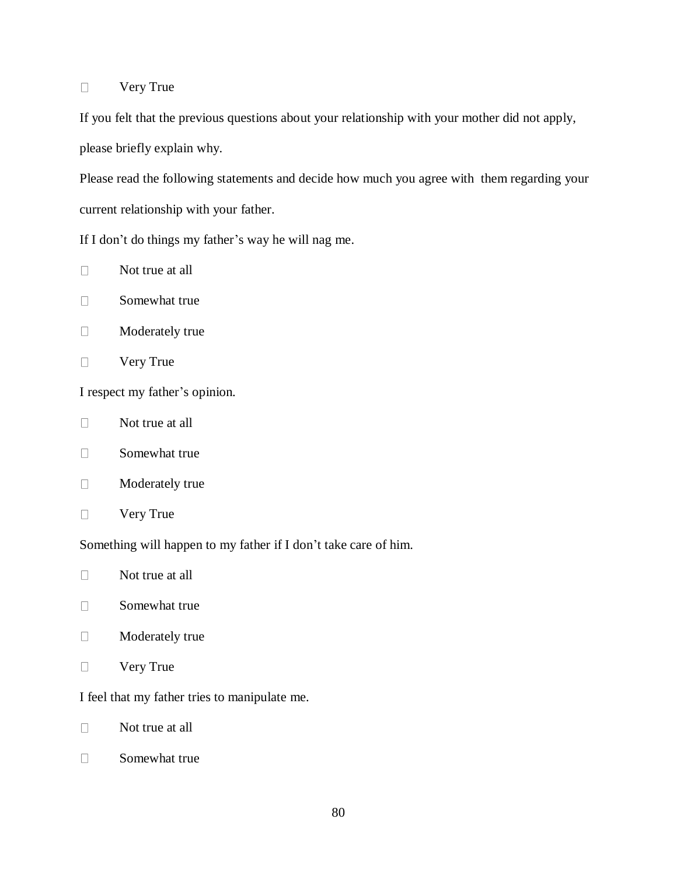#### Very True  $\Box$

If you felt that the previous questions about your relationship with your mother did not apply, please briefly explain why.

Please read the following statements and decide how much you agree with them regarding your current relationship with your father.

If I don't do things my father's way he will nag me.

- Not true at all  $\Box$
- $\Box$ Somewhat true
- $\Box$ Moderately true
- $\Box$ Very True

I respect my father's opinion.

- $\Box$ Not true at all
- $\Box$ Somewhat true
- $\Box$ Moderately true
- Very True  $\Box$

Something will happen to my father if I don't take care of him.

- Not true at all  $\Box$
- $\Box$ Somewhat true
- $\Box$ Moderately true
- Very True  $\Box$

I feel that my father tries to manipulate me.

 $\Box$ Not true at all

 $\Box$ Somewhat true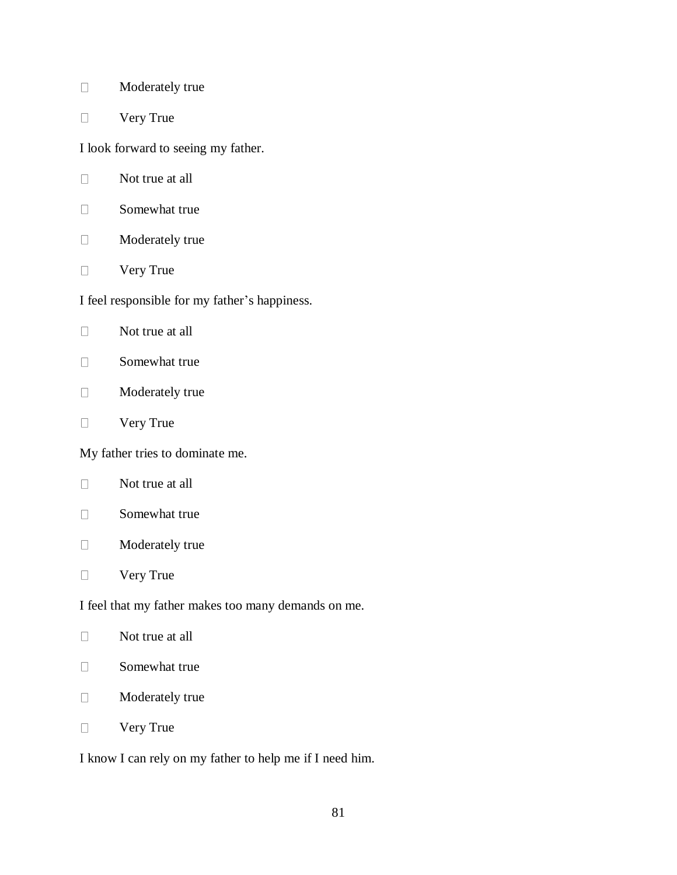- Moderately true  $\Box$
- Very True  $\Box$

I look forward to seeing my father.

- $\Box$ Not true at all
- $\Box$ Somewhat true
- Moderately true  $\Box$
- Very True  $\Box$

I feel responsible for my father's happiness.

- $\Box$ Not true at all
- $\Box$ Somewhat true
- Moderately true  $\Box$
- Very True  $\Box$

My father tries to dominate me.

- $\Box$ Not true at all
- $\Box$ Somewhat true
- Moderately true  $\Box$
- Very True  $\Box$

I feel that my father makes too many demands on me.

- $\Box$ Not true at all
- $\Box$ Somewhat true
- $\Box$ Moderately true
- Very True  $\Box$

I know I can rely on my father to help me if I need him.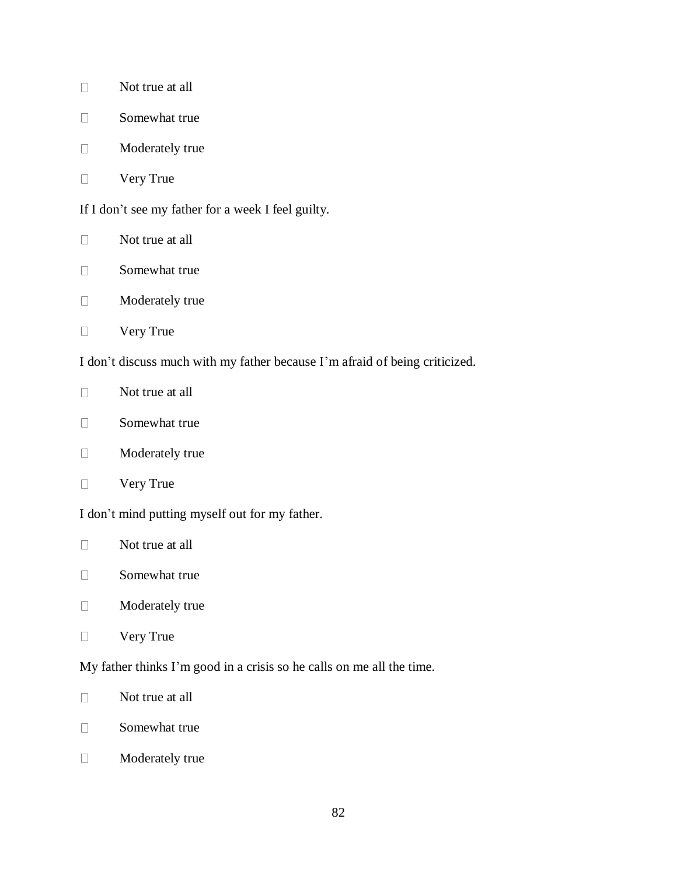- Not true at all  $\Box$
- $\Box$ Somewhat true
- Moderately true  $\Box$
- Very True  $\Box$

If I don't see my father for a week I feel guilty.

- $\Box$ Not true at all
- Somewhat true  $\Box$
- Moderately true  $\Box$
- Very True  $\Box$

I don't discuss much with my father because I'm afraid of being criticized.

- $\Box$ Not true at all
- Somewhat true  $\Box$
- Moderately true  $\Box$
- Very True  $\Box$

I don't mind putting myself out for my father.

- $\Box$ Not true at all
- Somewhat true  $\Box$
- $\Box$ Moderately true
- $\Box$ Very True

My father thinks I'm good in a crisis so he calls on me all the time.

- $\Box$ Not true at all
- $\Box$ Somewhat true
- $\Box$ Moderately true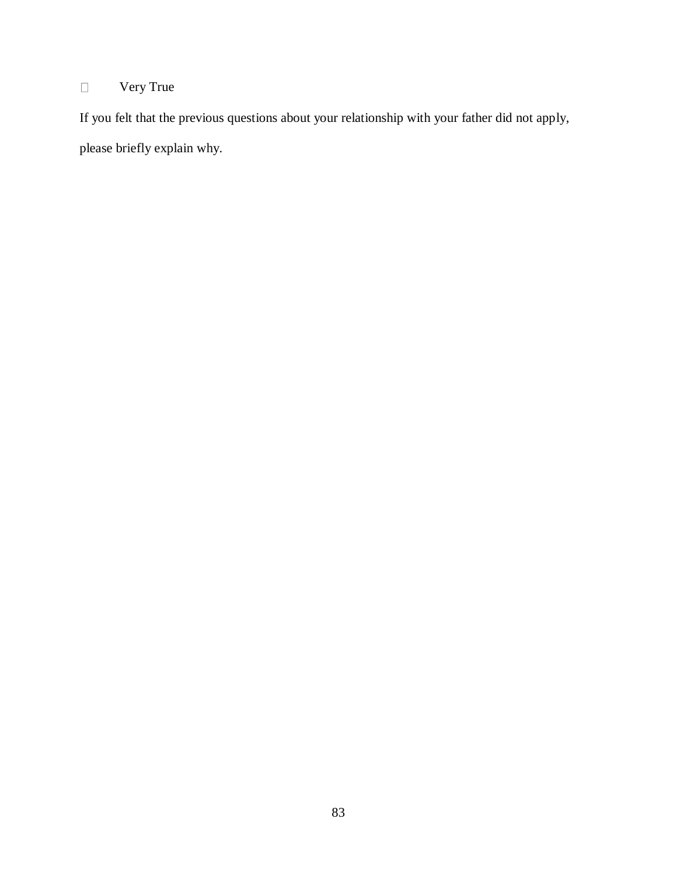### Very True  $\hfill \square$

If you felt that the previous questions about your relationship with your father did not apply, please briefly explain why.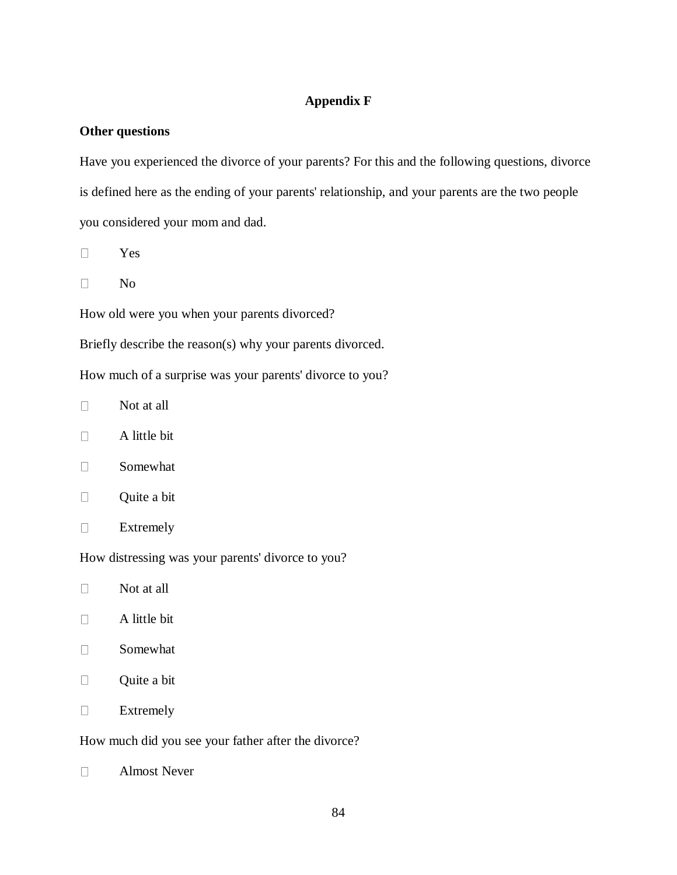# **Appendix F**

# **Other questions**

Have you experienced the divorce of your parents? For this and the following questions, divorce is defined here as the ending of your parents' relationship, and your parents are the two people you considered your mom and dad.

- Yes  $\Box$
- $\Box$ No

How old were you when your parents divorced?

Briefly describe the reason(s) why your parents divorced.

How much of a surprise was your parents' divorce to you?

- $\Box$ Not at all
- $\Box$ A little bit
- $\Box$ Somewhat
- $\Box$ Quite a bit
- $\Box$ Extremely

How distressing was your parents' divorce to you?

- $\Box$ Not at all
- $\Box$ A little bit
- $\Box$ Somewhat
- $\Box$ Quite a bit
- $\Box$ Extremely

How much did you see your father after the divorce?

Almost Never $\Box$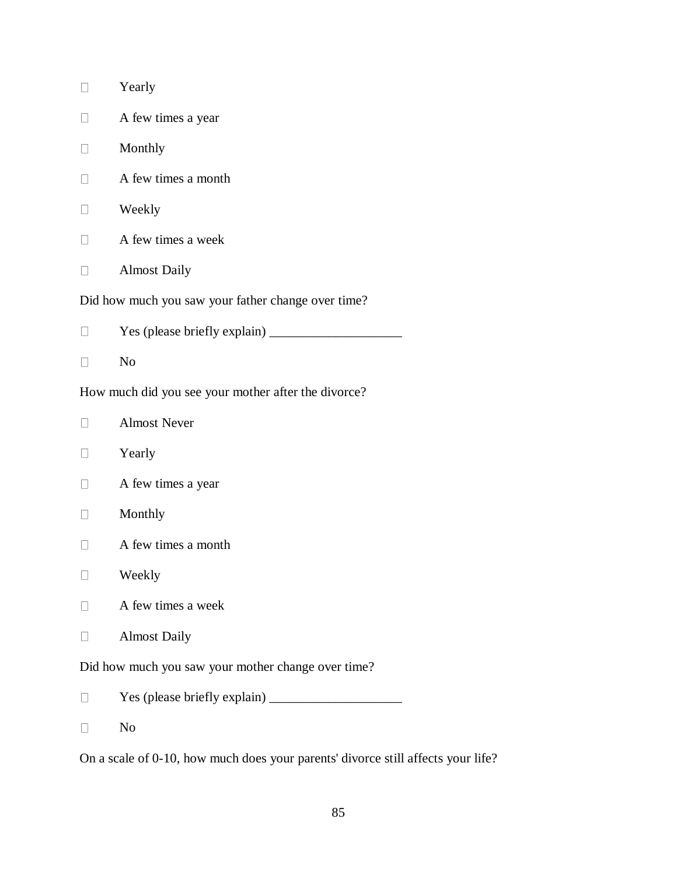|                                                     | Yearly              |  |  |
|-----------------------------------------------------|---------------------|--|--|
|                                                     | A few times a year  |  |  |
|                                                     | Monthly             |  |  |
|                                                     | A few times a month |  |  |
|                                                     | Weekly              |  |  |
|                                                     | A few times a week  |  |  |
|                                                     | <b>Almost Daily</b> |  |  |
| Did how much you saw your father change over time?  |                     |  |  |
|                                                     |                     |  |  |
|                                                     | N <sub>o</sub>      |  |  |
| How much did you see your mother after the divorce? |                     |  |  |
|                                                     | <b>Almost Never</b> |  |  |
|                                                     | Yearly              |  |  |
|                                                     | A few times a year  |  |  |
|                                                     | Monthly             |  |  |
|                                                     | A few times a month |  |  |
|                                                     | Weekly              |  |  |
|                                                     | A few times a week  |  |  |
|                                                     | <b>Almost Daily</b> |  |  |
| Did how much you saw your mother change over time?  |                     |  |  |
|                                                     |                     |  |  |
|                                                     | N <sub>o</sub>      |  |  |

On a scale of 0-10, how much does your parents' divorce still affects your life?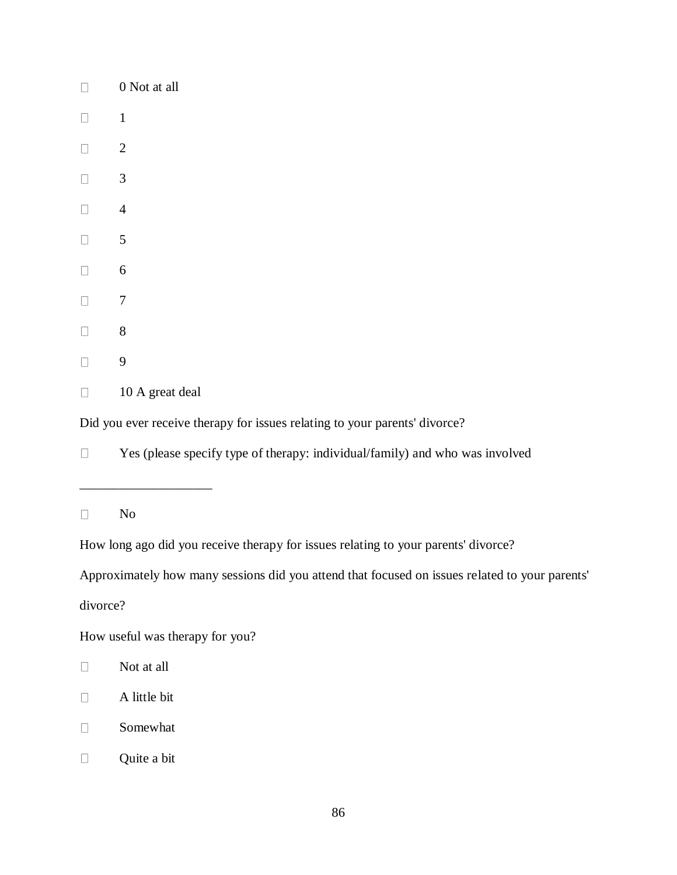| $\Box$ | 0 Not at all                   |
|--------|--------------------------------|
| $\Box$ | $\mathbf{1}$                   |
| $\Box$ | $\overline{c}$                 |
| $\Box$ | 3                              |
| $\Box$ | 4                              |
| $\Box$ | 5                              |
| $\Box$ | 6                              |
| $\Box$ | $\overline{7}$                 |
| $\Box$ | 8                              |
| $\Box$ | 9                              |
| $\Box$ | $\overline{10}$ $\overline{1}$ |

10 A great deal  $\Box$ 

\_\_\_\_\_\_\_\_\_\_\_\_\_\_\_\_\_\_\_\_

Did you ever receive therapy for issues relating to your parents' divorce?

Yes (please specify type of therapy: individual/family) and who was involved  $\Box$ 

 $\Box$ No

How long ago did you receive therapy for issues relating to your parents' divorce?

Approximately how many sessions did you attend that focused on issues related to your parents'

divorce?

How useful was therapy for you?

- $\Box$ Not at all
- $\Box$ A little bit
- Somewhat  $\Box$
- Quite a bit $\Box$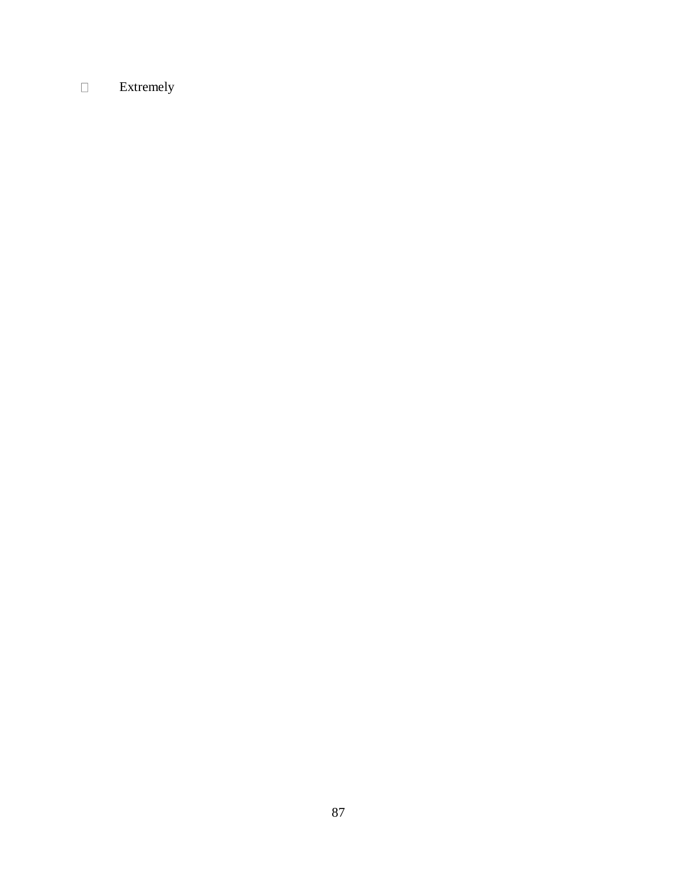### Extremely $\Box$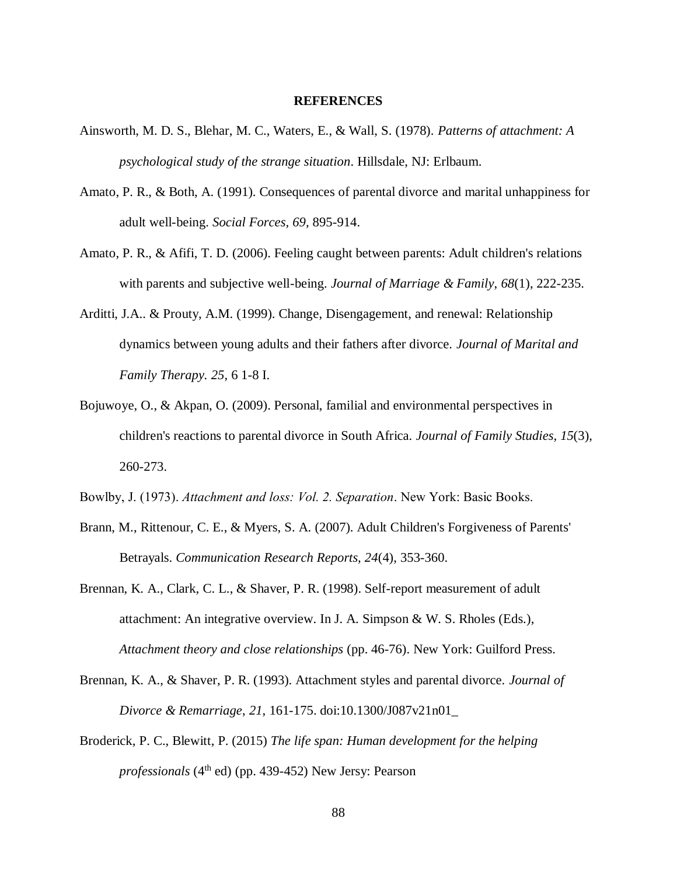## **REFERENCES**

- Ainsworth, M. D. S., Blehar, M. C., Waters, E., & Wall, S. (1978). *Patterns of attachment: A psychological study of the strange situation*. Hillsdale, NJ: Erlbaum.
- Amato, P. R., & Both, A. (1991). Consequences of parental divorce and marital unhappiness for adult well-being. *Social Forces, 69,* 895-914.
- Amato, P. R., & Afifi, T. D. (2006). Feeling caught between parents: Adult children's relations with parents and subjective well-being. *Journal of Marriage & Family*, *68*(1), 222-235.
- Arditti, J.A.. & Prouty, A.M. (1999). Change, Disengagement, and renewal: Relationship dynamics between young adults and their fathers after divorce. *Journal of Marital and Family Therapy. 25*, 6 1-8 I.
- Bojuwoye, O., & Akpan, O. (2009). Personal, familial and environmental perspectives in children's reactions to parental divorce in South Africa. *Journal of Family Studies, 15*(3), 260-273.
- Bowlby, J. (1973). *Attachment and loss: Vol. 2. Separation*. New York: Basic Books.
- Brann, M., Rittenour, C. E., & Myers, S. A. (2007). Adult Children's Forgiveness of Parents' Betrayals. *Communication Research Reports, 24*(4), 353-360.
- Brennan, K. A., Clark, C. L., & Shaver, P. R. (1998). Self-report measurement of adult attachment: An integrative overview. In J. A. Simpson & W. S. Rholes (Eds.), *Attachment theory and close relationships* (pp. 46-76). New York: Guilford Press.
- Brennan, K. A., & Shaver, P. R. (1993). Attachment styles and parental divorce. *Journal of Divorce & Remarriage*, *21,* 161-175. doi:10.1300/J087v21n01\_
- Broderick, P. C., Blewitt, P. (2015) *The life span: Human development for the helping professionals* (4th ed) (pp. 439-452) New Jersy: Pearson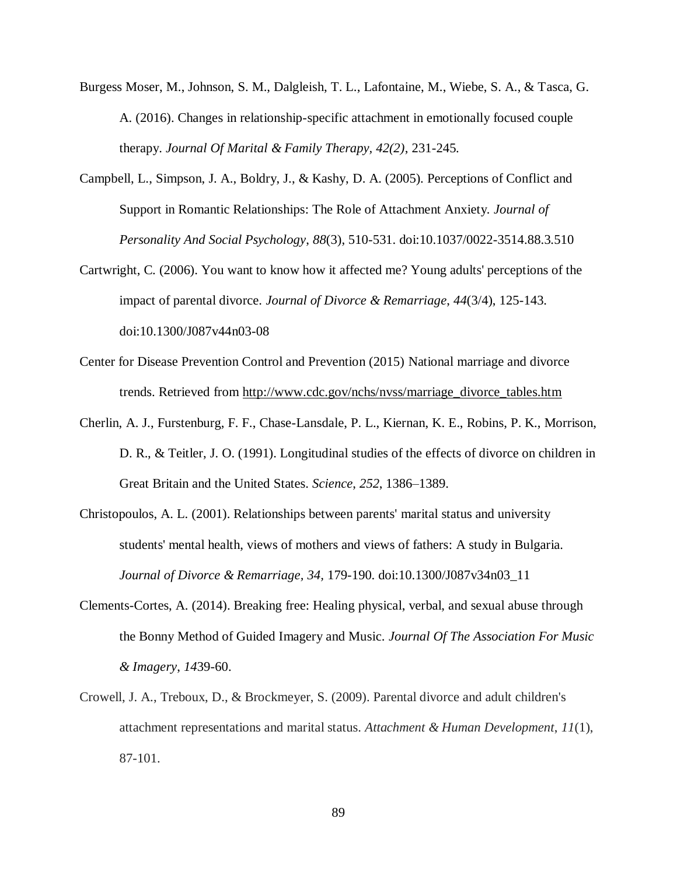- Burgess Moser, M., Johnson, S. M., Dalgleish, T. L., Lafontaine, M., Wiebe, S. A., & Tasca, G. A. (2016). Changes in relationship-specific attachment in emotionally focused couple therapy. *Journal Of Marital & Family Therapy, 42(2)*, 231-245.
- Campbell, L., Simpson, J. A., Boldry, J., & Kashy, D. A. (2005). Perceptions of Conflict and Support in Romantic Relationships: The Role of Attachment Anxiety*. Journal of Personality And Social Psychology*, *88*(3), 510-531. doi:10.1037/0022-3514.88.3.510
- Cartwright, C. (2006). You want to know how it affected me? Young adults' perceptions of the impact of parental divorce. *Journal of Divorce & Remarriage*, *44*(3/4), 125-143. doi:10.1300/J087v44n03-08
- Center for Disease Prevention Control and Prevention (2015) National marriage and divorce trends. Retrieved from [http://www.cdc.gov/nchs/nvss/marriage\\_divorce\\_tables.htm](http://www.cdc.gov/nchs/nvss/marriage_divorce_tables.htm)
- Cherlin, A. J., Furstenburg, F. F., Chase-Lansdale, P. L., Kiernan, K. E., Robins, P. K., Morrison, D. R., & Teitler, J. O. (1991). Longitudinal studies of the effects of divorce on children in Great Britain and the United States. *Science*, *252*, 1386–1389.
- Christopoulos, A. L. (2001). Relationships between parents' marital status and university students' mental health, views of mothers and views of fathers: A study in Bulgaria. *Journal of Divorce & Remarriage, 34,* 179-190. doi:10.1300/J087v34n03\_11
- Clements-Cortes, A. (2014). Breaking free: Healing physical, verbal, and sexual abuse through the Bonny Method of Guided Imagery and Music. *Journal Of The Association For Music & Imagery*, *14*39-60.
- Crowell, J. A., Treboux, D., & Brockmeyer, S. (2009). Parental divorce and adult children's attachment representations and marital status. *Attachment & Human Development*, *11*(1), 87-101.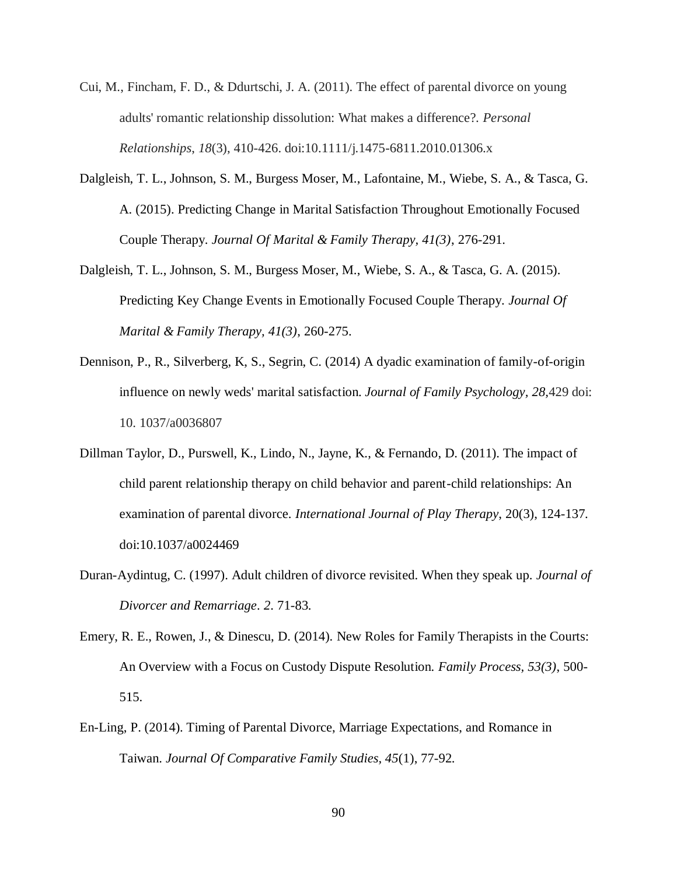- Cui, M., Fincham, F. D., & Ddurtschi, J. A. (2011). The effect of parental divorce on young adults' romantic relationship dissolution: What makes a difference?. *Personal Relationships*, *18*(3), 410-426. doi:10.1111/j.1475-6811.2010.01306.x
- Dalgleish, T. L., Johnson, S. M., Burgess Moser, M., Lafontaine, M., Wiebe, S. A., & Tasca, G. A. (2015). Predicting Change in Marital Satisfaction Throughout Emotionally Focused Couple Therapy. *Journal Of Marital & Family Therapy, 41(3)*, 276-291.
- Dalgleish, T. L., Johnson, S. M., Burgess Moser, M., Wiebe, S. A., & Tasca, G. A. (2015). Predicting Key Change Events in Emotionally Focused Couple Therapy. *Journal Of Marital & Family Therapy, 41(3)*, 260-275.
- Dennison, P., R., Silverberg, K, S., Segrin, C. (2014) A dyadic examination of family-of-origin influence on newly weds' marital satisfaction. *Journal of Family Psychology, 28,*429 doi: 10. 1037/a0036807
- Dillman Taylor, D., Purswell, K., Lindo, N., Jayne, K., & Fernando, D. (2011). The impact of child parent relationship therapy on child behavior and parent-child relationships: An examination of parental divorce. *International Journal of Play Therapy*, 20(3), 124-137. doi:10.1037/a0024469
- Duran-Aydintug, C. (1997). Adult children of divorce revisited. When they speak up. *Journal of Divorcer and Remarriage*. *2*. 71-83.
- Emery, R. E., Rowen, J., & Dinescu, D. (2014). New Roles for Family Therapists in the Courts: An Overview with a Focus on Custody Dispute Resolution. *Family Process, 53(3)*, 500- 515.
- En-Ling, P. (2014). Timing of Parental Divorce, Marriage Expectations, and Romance in Taiwan. *Journal Of Comparative Family Studies, 45*(1), 77-92.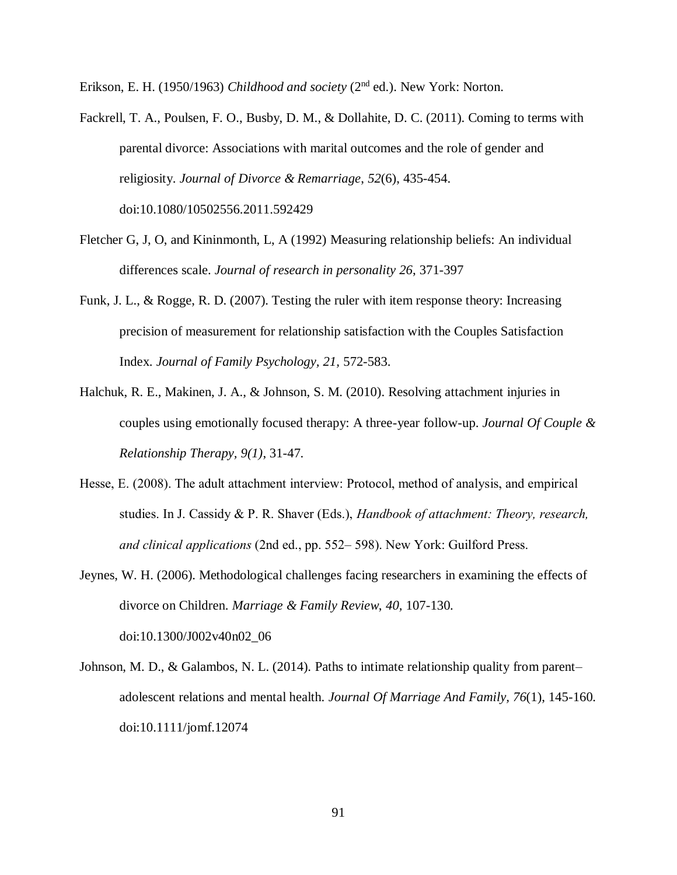Erikson, E. H. (1950/1963) *Childhood and society* (2nd ed.). New York: Norton.

Fackrell, T. A., Poulsen, F. O., Busby, D. M., & Dollahite, D. C. (2011). Coming to terms with parental divorce: Associations with marital outcomes and the role of gender and religiosity. *Journal of Divorce & Remarriage*, *52*(6), 435-454. doi:10.1080/10502556.2011.592429

- Fletcher G, J, O, and Kininmonth, L, A (1992) Measuring relationship beliefs: An individual differences scale. *Journal of research in personality 26*, 371-397
- Funk, J. L., & Rogge, R. D. (2007). Testing the ruler with item response theory: Increasing precision of measurement for relationship satisfaction with the Couples Satisfaction Index. *Journal of Family Psychology, 21,* 572-583.
- Halchuk, R. E., Makinen, J. A., & Johnson, S. M. (2010). Resolving attachment injuries in couples using emotionally focused therapy: A three-year follow-up. *Journal Of Couple & Relationship Therapy, 9(1)*, 31-47.
- Hesse, E. (2008). The adult attachment interview: Protocol, method of analysis, and empirical studies. In J. Cassidy & P. R. Shaver (Eds.), *Handbook of attachment: Theory, research, and clinical applications* (2nd ed., pp. 552– 598). New York: Guilford Press.
- Jeynes, W. H. (2006). Methodological challenges facing researchers in examining the effects of divorce on Children. *Marriage & Family Review*, *40,* 107-130. doi:10.1300/J002v40n02\_06
- Johnson, M. D., & Galambos, N. L. (2014). Paths to intimate relationship quality from parent– adolescent relations and mental health. *Journal Of Marriage And Family, 76*(1), 145-160. doi:10.1111/jomf.12074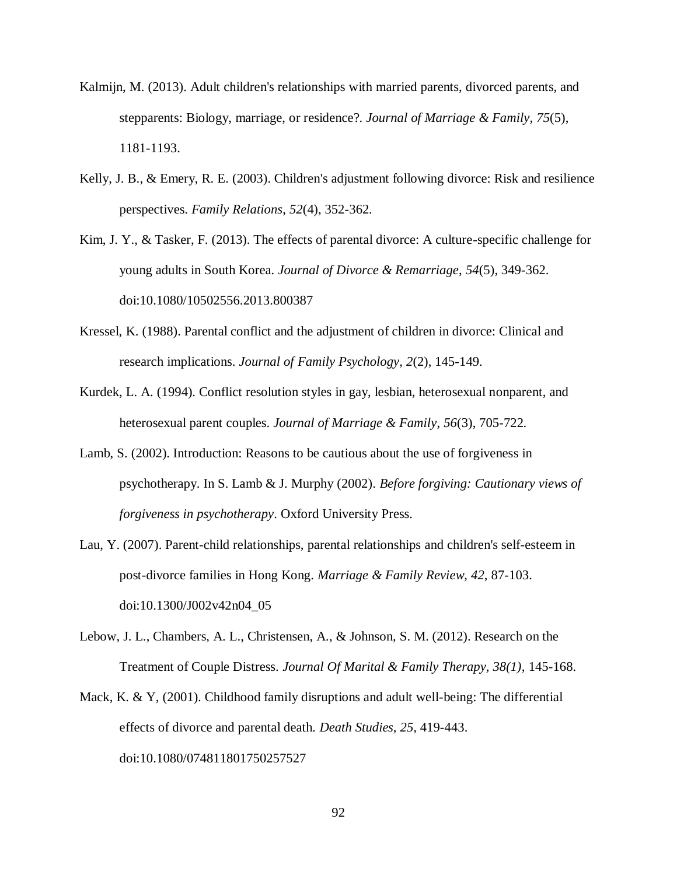- Kalmijn, M. (2013). Adult children's relationships with married parents, divorced parents, and stepparents: Biology, marriage, or residence?. *Journal of Marriage & Family*, *75*(5), 1181-1193.
- Kelly, J. B., & Emery, R. E. (2003). Children's adjustment following divorce: Risk and resilience perspectives. *Family Relations*, *52*(4), 352-362.
- Kim, J. Y., & Tasker, F. (2013). The effects of parental divorce: A culture-specific challenge for young adults in South Korea. *Journal of Divorce & Remarriage*, *54*(5), 349-362. doi:10.1080/10502556.2013.800387
- Kressel, K. (1988). Parental conflict and the adjustment of children in divorce: Clinical and research implications. *Journal of Family Psychology*, *2*(2), 145-149.
- Kurdek, L. A. (1994). Conflict resolution styles in gay, lesbian, heterosexual nonparent, and heterosexual parent couples. *Journal of Marriage & Family*, *56*(3), 705-722.
- Lamb, S. (2002). Introduction: Reasons to be cautious about the use of forgiveness in psychotherapy. In S. Lamb & J. Murphy (2002). *Before forgiving: Cautionary views of forgiveness in psychotherapy*. Oxford University Press.
- Lau, Y. (2007). Parent-child relationships, parental relationships and children's self-esteem in post-divorce families in Hong Kong. *Marriage & Family Review*, *42*, 87-103. doi:10.1300/J002v42n04\_05
- Lebow, J. L., Chambers, A. L., Christensen, A., & Johnson, S. M. (2012). Research on the Treatment of Couple Distress. *Journal Of Marital & Family Therapy, 38(1)*, 145-168.
- Mack, K. & Y, (2001). Childhood family disruptions and adult well-being: The differential effects of divorce and parental death. *Death Studies*, *25*, 419-443. doi:10.1080/074811801750257527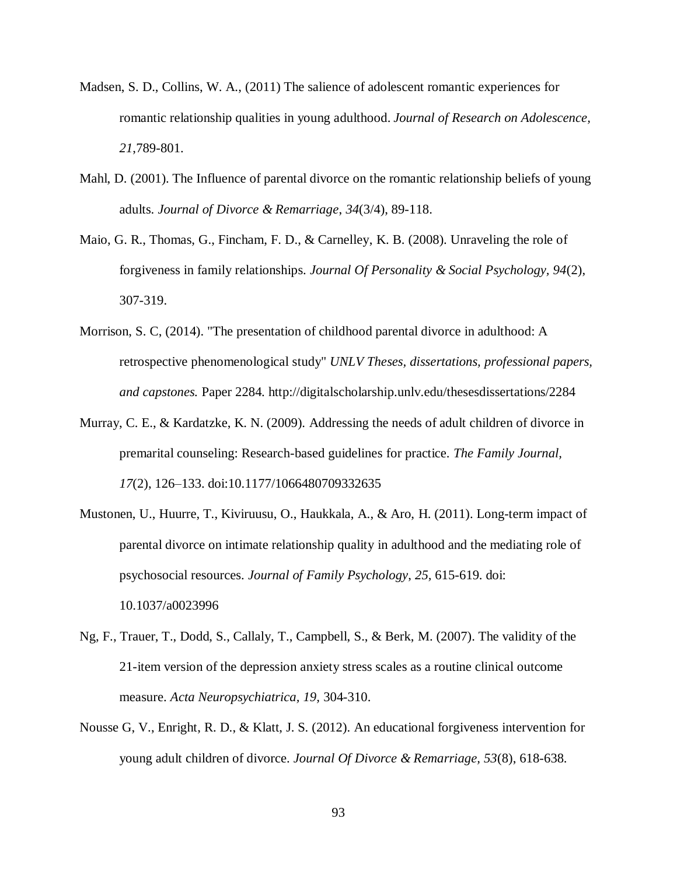- Madsen, S. D., Collins, W. A., (2011) The salience of adolescent romantic experiences for romantic relationship qualities in young adulthood. *Journal of Research on Adolescence, 21*,789-801.
- Mahl, D. (2001). The Influence of parental divorce on the romantic relationship beliefs of young adults. *Journal of Divorce & Remarriage*, *34*(3/4), 89-118.
- Maio, G. R., Thomas, G., Fincham, F. D., & Carnelley, K. B. (2008). Unraveling the role of forgiveness in family relationships. *Journal Of Personality & Social Psychology, 94*(2), 307-319.
- Morrison, S. C, (2014). "The presentation of childhood parental divorce in adulthood: A retrospective phenomenological study" *UNLV Theses, dissertations, professional papers, and capstones.* Paper 2284. http://digitalscholarship.unlv.edu/thesesdissertations/2284
- Murray, C. E., & Kardatzke, K. N. (2009). Addressing the needs of adult children of divorce in premarital counseling: Research-based guidelines for practice. *The Family Journal, 17*(2), 126–133. doi:10.1177/1066480709332635
- Mustonen, U., Huurre, T., Kiviruusu, O., Haukkala, A., & Aro, H. (2011). Long-term impact of parental divorce on intimate relationship quality in adulthood and the mediating role of psychosocial resources. *Journal of Family Psychology*, *25,* 615-619. doi: [10.1037/a0023996](http://psycnet.apa.org/doi/10.1037/a0023996)
- Ng, F., Trauer, T., Dodd, S., Callaly, T., Campbell, S., & Berk, M. (2007). The validity of the 21-item version of the depression anxiety stress scales as a routine clinical outcome measure. *Acta Neuropsychiatrica, 19,* 304-310.
- Nousse G, V., Enright, R. D., & Klatt, J. S. (2012). An educational forgiveness intervention for young adult children of divorce. *Journal Of Divorce & Remarriage, 53*(8), 618-638.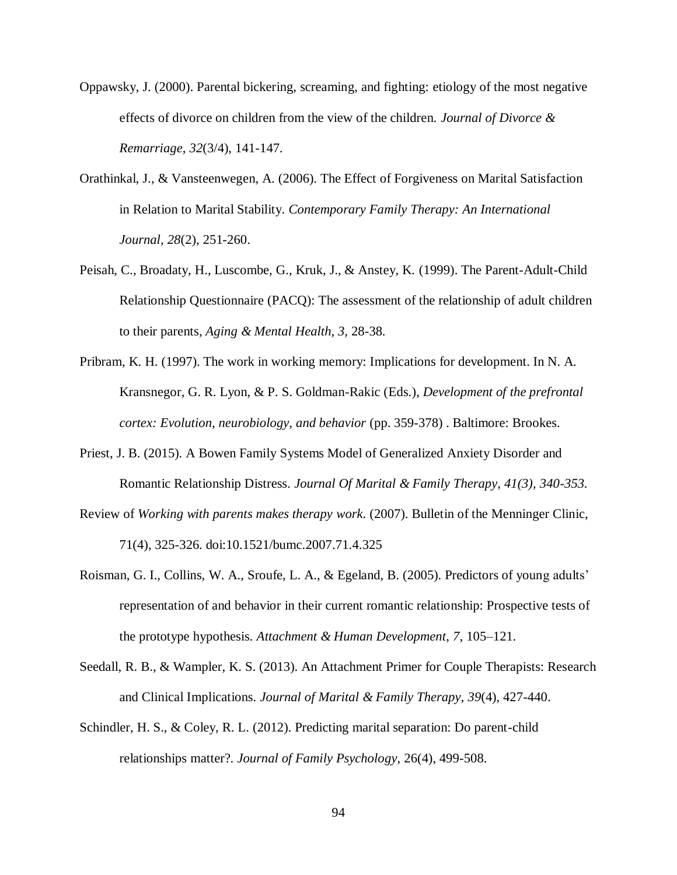- Oppawsky, J. (2000). Parental bickering, screaming, and fighting: etiology of the most negative effects of divorce on children from the view of the children. *Journal of Divorce & Remarriage*, *32*(3/4), 141-147.
- Orathinkal, J., & Vansteenwegen, A. (2006). The Effect of Forgiveness on Marital Satisfaction in Relation to Marital Stability. *Contemporary Family Therapy: An International Journal, 28*(2), 251-260.
- Peisah, C., Broadaty, H., Luscombe, G., Kruk, J., & Anstey, K. (1999). The Parent-Adult-Child Relationship Questionnaire (PACQ): The assessment of the relationship of adult children to their parents, *Aging & Mental Health, 3,* 28-38.
- Pribram, K. H. (1997). The work in working memory: Implications for development. In N. A. Kransnegor, G. R. Lyon, & P. S. Goldman-Rakic (Eds.), *Development of the prefrontal cortex: Evolution, neurobiology, and behavior* (pp. 359-378) . Baltimore: Brookes.
- Priest, J. B. (2015). A Bowen Family Systems Model of Generalized Anxiety Disorder and Romantic Relationship Distress. *Journal Of Marital & Family Therapy, 41(3), 340-353.*
- Review of *Working with parents makes therapy work*. (2007). Bulletin of the Menninger Clinic, 71(4), 325-326. doi:10.1521/bumc.2007.71.4.325
- Roisman, G. I., Collins, W. A., Sroufe, L. A., & Egeland, B. (2005). Predictors of young adults' representation of and behavior in their current romantic relationship: Prospective tests of the prototype hypothesis. *Attachment & Human Development*, *7*, 105–121.
- Seedall, R. B., & Wampler, K. S. (2013). An Attachment Primer for Couple Therapists: Research and Clinical Implications. *Journal of Marital & Family Therapy*, *39*(4), 427-440.
- Schindler, H. S., & Coley, R. L. (2012). Predicting marital separation: Do parent-child relationships matter?. *Journal of Family Psychology*, 26(4), 499-508.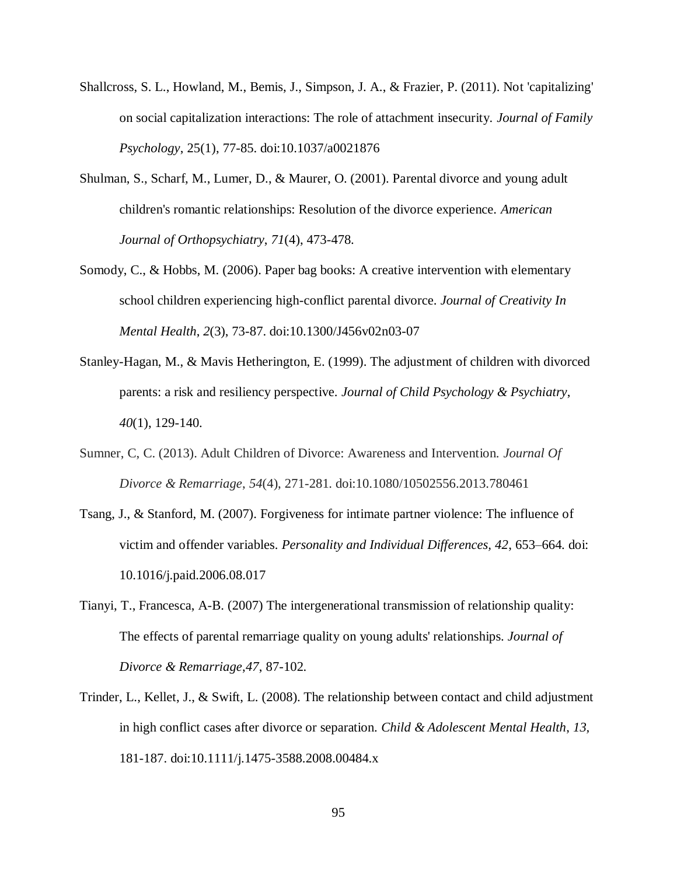- Shallcross, S. L., Howland, M., Bemis, J., Simpson, J. A., & Frazier, P. (2011). Not 'capitalizing' on social capitalization interactions: The role of attachment insecurity. *Journal of Family Psychology*, 25(1), 77-85. doi:10.1037/a0021876
- Shulman, S., Scharf, M., Lumer, D., & Maurer, O. (2001). Parental divorce and young adult children's romantic relationships: Resolution of the divorce experience. *American Journal of Orthopsychiatry*, *71*(4), 473-478.
- Somody, C., & Hobbs, M. (2006). Paper bag books: A creative intervention with elementary school children experiencing high-conflict parental divorce. *Journal of Creativity In Mental Health*, *2*(3), 73-87. doi:10.1300/J456v02n03-07
- Stanley-Hagan, M., & Mavis Hetherington, E. (1999). The adjustment of children with divorced parents: a risk and resiliency perspective. *Journal of Child Psychology & Psychiatry*, *40*(1), 129-140.
- Sumner, C, C. (2013). Adult Children of Divorce: Awareness and Intervention. *Journal Of Divorce & Remarriage*, *54*(4), 271-281. doi:10.1080/10502556.2013.780461
- Tsang, J., & Stanford, M. (2007). Forgiveness for intimate partner violence: The influence of victim and offender variables. *Personality and Individual Differences, 42*, 653–664. doi: 10.1016/j.paid.2006.08.017
- Tianyi, T., Francesca, A-B. (2007) The intergenerational transmission of relationship quality: The effects of parental remarriage quality on young adults' relationships. *Journal of Divorce & Remarriage*,*47*, 87-102.
- Trinder, L., Kellet, J., & Swift, L. (2008). The relationship between contact and child adjustment in high conflict cases after divorce or separation. *Child & Adolescent Mental Health*, *13,* 181-187. doi:10.1111/j.1475-3588.2008.00484.x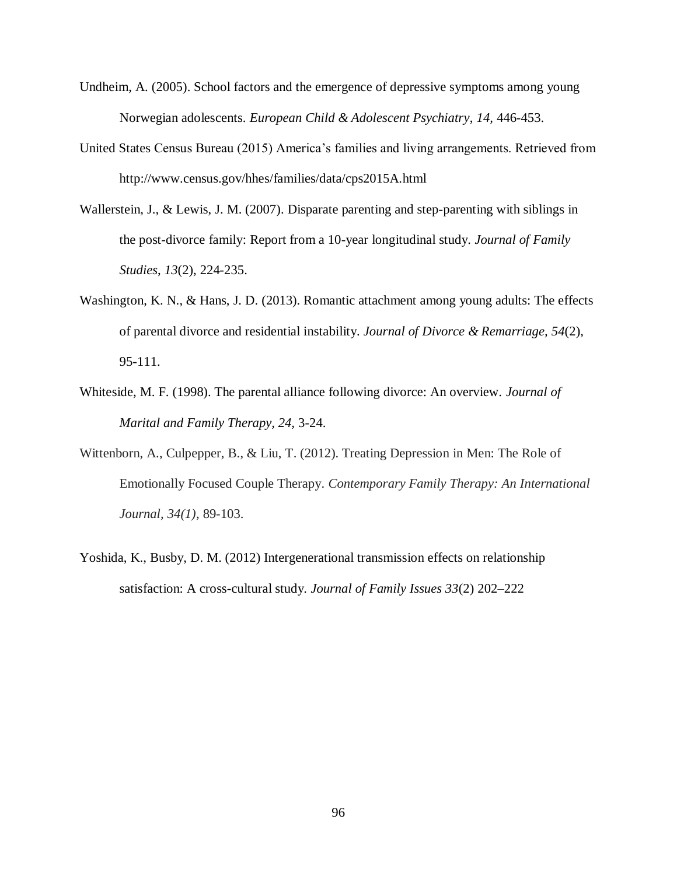- Undheim, A. (2005). School factors and the emergence of depressive symptoms among young Norwegian adolescents. *European Child & Adolescent Psychiatry*, *14,* 446-453.
- United States Census Bureau (2015) America's families and living arrangements. Retrieved from http://www.census.gov/hhes/families/data/cps2015A.html
- Wallerstein, J., & Lewis, J. M. (2007). Disparate parenting and step-parenting with siblings in the post-divorce family: Report from a 10-year longitudinal study. *Journal of Family Studies*, *13*(2), 224-235.
- Washington, K. N., & Hans, J. D. (2013). Romantic attachment among young adults: The effects of parental divorce and residential instability. *Journal of Divorce & Remarriage, 54*(2), 95-111.
- Whiteside, M. F. (1998). The parental alliance following divorce: An overview. *Journal of Marital and Family Therapy, 24,* 3-24.
- Wittenborn, A., Culpepper, B., & Liu, T. (2012). Treating Depression in Men: The Role of Emotionally Focused Couple Therapy. *Contemporary Family Therapy: An International Journal, 34(1)*, 89-103.
- Yoshida, K., Busby, D. M. (2012) Intergenerational transmission effects on relationship satisfaction: A cross-cultural study. *Journal of Family Issues 33*(2) 202–222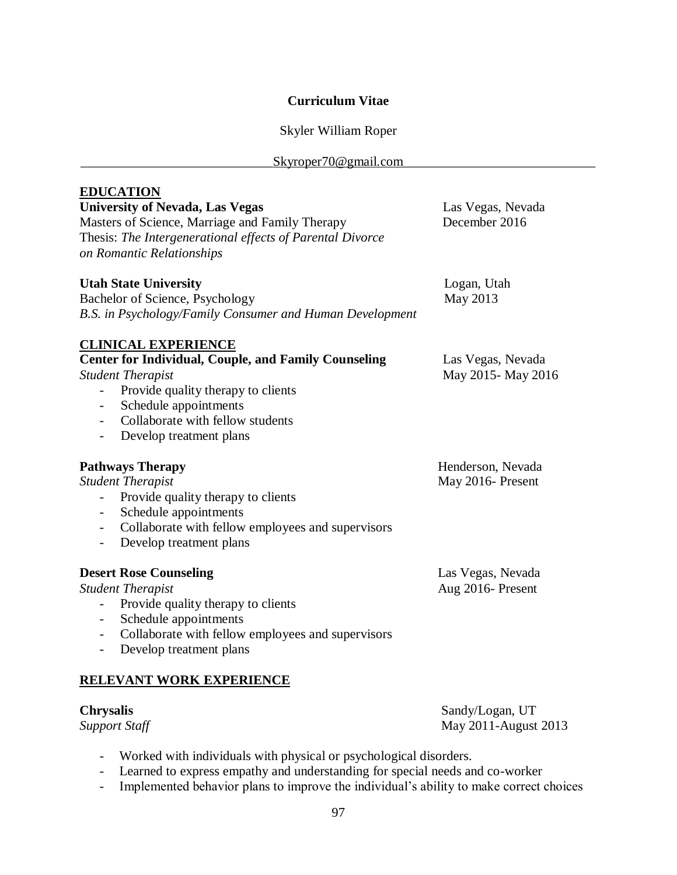# **Curriculum Vitae**

# Skyler William Roper

| Skyroper70@gmail.com                                                                                                                                                                                                                                                                                                                                 |                                        |  |  |  |
|------------------------------------------------------------------------------------------------------------------------------------------------------------------------------------------------------------------------------------------------------------------------------------------------------------------------------------------------------|----------------------------------------|--|--|--|
| <b>EDUCATION</b><br><b>University of Nevada, Las Vegas</b><br>Masters of Science, Marriage and Family Therapy<br>Thesis: The Intergenerational effects of Parental Divorce<br>on Romantic Relationships                                                                                                                                              | Las Vegas, Nevada<br>December 2016     |  |  |  |
| <b>Utah State University</b><br>Bachelor of Science, Psychology<br>B.S. in Psychology/Family Consumer and Human Development                                                                                                                                                                                                                          | Logan, Utah<br>May 2013                |  |  |  |
| <b>CLINICAL EXPERIENCE</b><br><b>Center for Individual, Couple, and Family Counseling</b><br><b>Student Therapist</b><br>Provide quality therapy to clients<br>$\overline{\phantom{0}}$<br>Schedule appointments<br>$\overline{\phantom{0}}$<br>Collaborate with fellow students<br>Develop treatment plans<br>$\overline{\phantom{0}}$              | Las Vegas, Nevada<br>May 2015-May 2016 |  |  |  |
| <b>Pathways Therapy</b><br><b>Student Therapist</b><br>Provide quality therapy to clients<br>$\overline{\phantom{0}}$<br>Schedule appointments<br>$\overline{\phantom{0}}$<br>Collaborate with fellow employees and supervisors<br>Develop treatment plans                                                                                           | Henderson, Nevada<br>May 2016- Present |  |  |  |
| <b>Desert Rose Counseling</b><br><b>Student Therapist</b><br>Provide quality therapy to clients<br>$\overline{\phantom{0}}$<br>Schedule appointments<br>$\overline{\phantom{a}}$<br>Collaborate with fellow employees and supervisors<br>$\overline{\phantom{0}}$<br>Develop treatment plans<br>$\overline{\phantom{a}}$<br>RELEVANT WORK EXPERIENCE | Las Vegas, Nevada<br>Aug 2016- Present |  |  |  |

**Chrysalis** Sandy/Logan, UT<br>
Support Staff May 2011-August *Support Staff* May 2011-August 2013

- Worked with individuals with physical or psychological disorders.
- Learned to express empathy and understanding for special needs and co-worker
- Implemented behavior plans to improve the individual's ability to make correct choices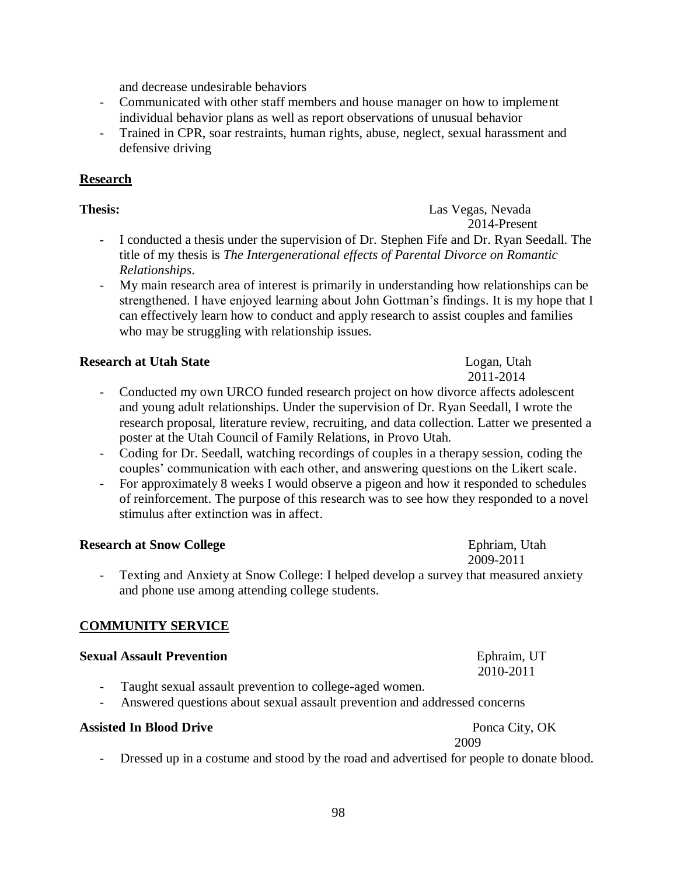and decrease undesirable behaviors

- Communicated with other staff members and house manager on how to implement individual behavior plans as well as report observations of unusual behavior
- Trained in CPR, soar restraints, human rights, abuse, neglect, sexual harassment and defensive driving

# **Research**

# **Thesis:** Las Vegas, Nevada

- 2014-Present **-** I conducted a thesis under the supervision of Dr. Stephen Fife and Dr. Ryan Seedall. The title of my thesis is *The Intergenerational effects of Parental Divorce on Romantic Relationships*.
- My main research area of interest is primarily in understanding how relationships can be strengthened. I have enjoyed learning about John Gottman's findings. It is my hope that I can effectively learn how to conduct and apply research to assist couples and families who may be struggling with relationship issues.

# **Research at Utah State**  Logan, Utah

- Conducted my own URCO funded research project on how divorce affects adolescent and young adult relationships. Under the supervision of Dr. Ryan Seedall, I wrote the research proposal, literature review, recruiting, and data collection. Latter we presented a poster at the Utah Council of Family Relations, in Provo Utah.
- Coding for Dr. Seedall, watching recordings of couples in a therapy session, coding the couples' communication with each other, and answering questions on the Likert scale.
- For approximately 8 weeks I would observe a pigeon and how it responded to schedules of reinforcement. The purpose of this research was to see how they responded to a novel stimulus after extinction was in affect.

# **Research at Snow College Ephriam, Utah Ephriam, Utah**

Texting and Anxiety at Snow College: I helped develop a survey that measured anxiety and phone use among attending college students.

# **COMMUNITY SERVICE**

# **Sexual Assault Prevention** Ephraim, UT

- Taught sexual assault prevention to college-aged women.
- Answered questions about sexual assault prevention and addressed concerns

# **Assisted In Blood Drive** Ponca City, OK

 2009 Dressed up in a costume and stood by the road and advertised for people to donate blood.

2011-2014

2010-2011

2009-2011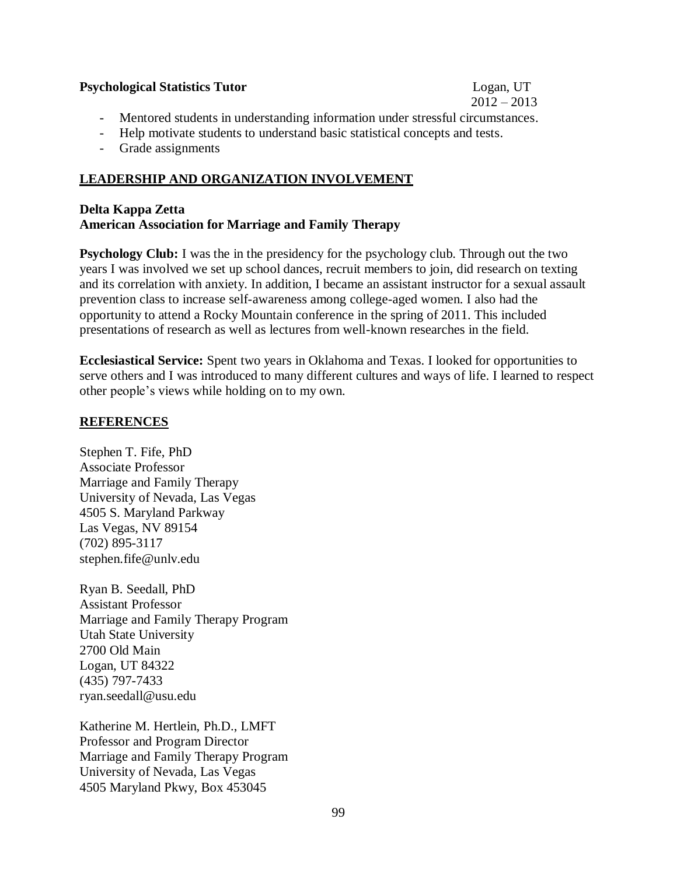# **Psychological Statistics Tutor** Logan, UT

# $2012 - 2013$

- Mentored students in understanding information under stressful circumstances.
- Help motivate students to understand basic statistical concepts and tests.
- Grade assignments

# **LEADERSHIP AND ORGANIZATION INVOLVEMENT**

# **Delta Kappa Zetta American Association for Marriage and Family Therapy**

**Psychology Club:** I was the in the presidency for the psychology club. Through out the two years I was involved we set up school dances, recruit members to join, did research on texting and its correlation with anxiety. In addition, I became an assistant instructor for a sexual assault prevention class to increase self-awareness among college-aged women. I also had the opportunity to attend a Rocky Mountain conference in the spring of 2011. This included presentations of research as well as lectures from well-known researches in the field.

**Ecclesiastical Service:** Spent two years in Oklahoma and Texas. I looked for opportunities to serve others and I was introduced to many different cultures and ways of life. I learned to respect other people's views while holding on to my own.

# **REFERENCES**

Stephen T. Fife, PhD Associate Professor Marriage and Family Therapy University of Nevada, Las Vegas 4505 S. Maryland Parkway Las Vegas, NV 89154 (702) 895-3117 [stephen.fife@unlv.edu](mailto:stephen.fife@unlv.edu)

Ryan B. Seedall, PhD Assistant Professor Marriage and Family Therapy Program Utah State University 2700 Old Main Logan, UT 84322 [\(435\) 797-7433](tel:%28435%29%20797-7433) [ryan.seedall@usu.edu](mailto:ryan.seedall@usu.edu)

Katherine M. Hertlein, Ph.D., LMFT Professor and Program Director Marriage and Family Therapy Program University of Nevada, Las Vegas 4505 Maryland Pkwy, Box 453045